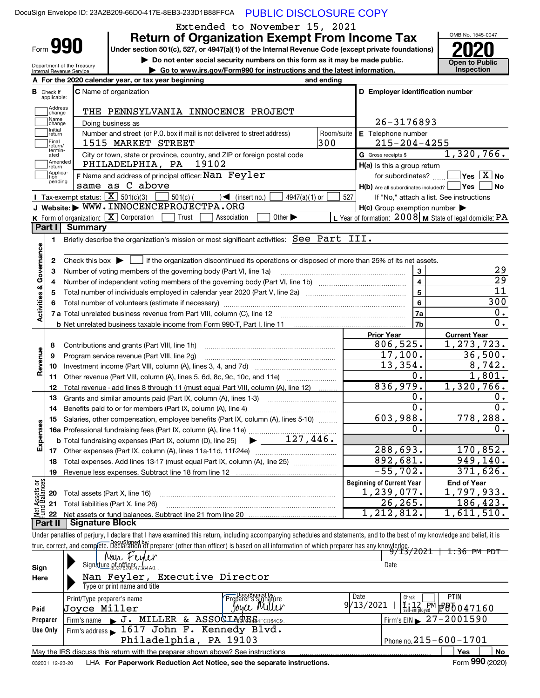|                                      | DocuSign Envelope ID: 23A2B209-66D0-417E-8EB3-233D1B88FFCA PUBLIC DISCLOSURE COPY                                                                                          |                                                                             |            |                                                                       |                                                                                                                             |
|--------------------------------------|----------------------------------------------------------------------------------------------------------------------------------------------------------------------------|-----------------------------------------------------------------------------|------------|-----------------------------------------------------------------------|-----------------------------------------------------------------------------------------------------------------------------|
|                                      |                                                                                                                                                                            | Extended to November 15, 2021                                               |            |                                                                       | OMB No. 1545-0047                                                                                                           |
| Form 990                             | Under section 501(c), 527, or 4947(a)(1) of the Internal Revenue Code (except private foundations)                                                                         | <b>Return of Organization Exempt From Income Tax</b>                        |            |                                                                       |                                                                                                                             |
|                                      |                                                                                                                                                                            | Do not enter social security numbers on this form as it may be made public. |            |                                                                       | <b>Open to Public</b>                                                                                                       |
|                                      | Department of the Treasury<br>Internal Revenue Service                                                                                                                     | Go to www.irs.gov/Form990 for instructions and the latest information.      |            |                                                                       | <b>Inspection</b>                                                                                                           |
|                                      | A For the 2020 calendar year, or tax year beginning                                                                                                                        |                                                                             | and ending |                                                                       |                                                                                                                             |
| в<br>Check if<br>applicable:         | C Name of organization                                                                                                                                                     |                                                                             |            | D Employer identification number                                      |                                                                                                                             |
| Address<br>change                    | THE PENNSYLVANIA INNOCENCE PROJECT                                                                                                                                         |                                                                             |            |                                                                       |                                                                                                                             |
| Name<br>change                       | Doing business as                                                                                                                                                          |                                                                             |            | 26-3176893                                                            |                                                                                                                             |
| Initial<br>return                    | Number and street (or P.O. box if mail is not delivered to street address)                                                                                                 |                                                                             | Room/suite | E Telephone number                                                    |                                                                                                                             |
| Final<br>return/                     | 1515 MARKET STREET                                                                                                                                                         |                                                                             | 300        | $215 - 204 - 4255$                                                    |                                                                                                                             |
| termin-<br>ated<br>Amended           | City or town, state or province, country, and ZIP or foreign postal code                                                                                                   |                                                                             |            | G Gross receipts \$                                                   | 1,320,766.                                                                                                                  |
| return<br>Applica-                   | PHILADELPHIA, PA 19102                                                                                                                                                     |                                                                             |            | H(a) Is this a group return                                           | $\sqrt{}$ Yes $\sqrt{}$ X $\sqrt{}$ No                                                                                      |
| tion<br>pending                      | <b>F</b> Name and address of principal officer: $\mathtt{Nan~}$ $\mathtt{Feyler}$<br>same as C above                                                                       |                                                                             |            | for subordinates?<br>$H(b)$ Are all subordinates included? $\Box$ Yes | <b>No</b>                                                                                                                   |
|                                      | Tax-exempt status: $\boxed{\mathbf{X}}$ 501(c)(3)<br>$501(c)$ (                                                                                                            | $4947(a)(1)$ or<br>$\sqrt{\frac{1}{1}}$ (insert no.)                        | 527        | If "No," attach a list. See instructions                              |                                                                                                                             |
|                                      | J Website: WWW. INNOCENCEPROJECTPA.ORG                                                                                                                                     |                                                                             |            | $H(c)$ Group exemption number $\blacktriangleright$                   |                                                                                                                             |
|                                      | K Form of organization: X Corporation<br>Trust                                                                                                                             | Other $\blacktriangleright$<br>Association                                  |            | L Year of formation: 2008 M State of legal domicile: PA               |                                                                                                                             |
| Part II                              | <b>Summary</b>                                                                                                                                                             |                                                                             |            |                                                                       |                                                                                                                             |
| 1                                    | Briefly describe the organization's mission or most significant activities: See Part III.                                                                                  |                                                                             |            |                                                                       |                                                                                                                             |
| Governance<br>2                      | Check this box $\blacktriangleright$ $\Box$ if the organization discontinued its operations or disposed of more than 25% of its net assets.                                |                                                                             |            |                                                                       |                                                                                                                             |
| 3                                    | Number of voting members of the governing body (Part VI, line 1a)                                                                                                          |                                                                             |            | 3                                                                     | 29                                                                                                                          |
| 4                                    |                                                                                                                                                                            |                                                                             |            | $\overline{4}$                                                        | $\overline{29}$                                                                                                             |
| 5                                    |                                                                                                                                                                            |                                                                             |            | 5                                                                     | $\overline{11}$                                                                                                             |
| <b>Activities &amp;</b><br>6         |                                                                                                                                                                            |                                                                             |            | 6                                                                     | 300                                                                                                                         |
|                                      | 7 a Total unrelated business revenue from Part VIII, column (C), line 12                                                                                                   |                                                                             |            | 7a                                                                    | 0.                                                                                                                          |
|                                      |                                                                                                                                                                            |                                                                             |            | 7 <sub>b</sub>                                                        | 0.                                                                                                                          |
|                                      |                                                                                                                                                                            |                                                                             |            | <b>Prior Year</b>                                                     | <b>Current Year</b>                                                                                                         |
| 8                                    | Contributions and grants (Part VIII, line 1h)                                                                                                                              |                                                                             |            | 806,525.<br>17,100.                                                   | 1,273,723.<br>36,500.                                                                                                       |
| Revenue<br>9<br>10                   | Program service revenue (Part VIII, line 2q)                                                                                                                               |                                                                             |            | 13,354.                                                               | 8,742.                                                                                                                      |
| 11                                   | Other revenue (Part VIII, column (A), lines 5, 6d, 8c, 9c, 10c, and 11e)                                                                                                   |                                                                             |            | 0.                                                                    | 1,801.                                                                                                                      |
| 12                                   | Total revenue - add lines 8 through 11 (must equal Part VIII, column (A), line 12)                                                                                         |                                                                             |            | 836,979.                                                              | 1,320,766.                                                                                                                  |
| 13                                   | Grants and similar amounts paid (Part IX, column (A), lines 1-3)                                                                                                           |                                                                             |            | 0.                                                                    | 0.                                                                                                                          |
| 14                                   | Benefits paid to or for members (Part IX, column (A), line 4)                                                                                                              |                                                                             |            | υ.                                                                    | $0 \cdot$                                                                                                                   |
| 15                                   | Salaries, other compensation, employee benefits (Part IX, column (A), lines 5-10)                                                                                          |                                                                             |            | 603,988.                                                              | 778,288.                                                                                                                    |
|                                      |                                                                                                                                                                            |                                                                             |            | 0.                                                                    | 0.                                                                                                                          |
| Expenses                             | <b>b</b> Total fundraising expenses (Part IX, column (D), line 25)                                                                                                         | $\blacktriangleright$ 127,446.                                              |            |                                                                       |                                                                                                                             |
|                                      |                                                                                                                                                                            |                                                                             |            | 288,693.<br>892,681.                                                  | 170,852.                                                                                                                    |
| 18<br>19                             |                                                                                                                                                                            |                                                                             |            | $-55,702.$                                                            | 949,140.<br>371,626.                                                                                                        |
|                                      |                                                                                                                                                                            |                                                                             |            | <b>Beginning of Current Year</b>                                      | <b>End of Year</b>                                                                                                          |
| 20                                   | Total assets (Part X, line 16)                                                                                                                                             |                                                                             |            | 1,239,077.                                                            | 1,797,933.                                                                                                                  |
| Net Assets or<br>Fund Balances<br>21 | Total liabilities (Part X, line 26)                                                                                                                                        |                                                                             |            | 26, 265.                                                              | 186,423.                                                                                                                    |
| 22                                   |                                                                                                                                                                            |                                                                             |            | 1,212,812.                                                            | 1,611,510.                                                                                                                  |
| Part II                              | Signature Block                                                                                                                                                            |                                                                             |            |                                                                       |                                                                                                                             |
|                                      | Under penalties of perjury, I declare that I have examined this return, including accompanying schedules and statements, and to the best of my knowledge and belief, it is |                                                                             |            |                                                                       |                                                                                                                             |
|                                      | true, correct, and complete. Declaration of preparer (other than officer) is based on all information of which preparer has any knowledge.                                 |                                                                             |            |                                                                       | <del>9/13/2021   1:36 PM PDT</del>                                                                                          |
|                                      | Nan Feiler<br>Signature @f.gyttje@f47384A0                                                                                                                                 |                                                                             |            | Date                                                                  |                                                                                                                             |
| Sign<br>Here                         | Nan Feyler, Executive Director                                                                                                                                             |                                                                             |            |                                                                       |                                                                                                                             |
|                                      | Type or print name and title                                                                                                                                               |                                                                             |            |                                                                       |                                                                                                                             |
|                                      | Print/Type preparer's name                                                                                                                                                 | Preparer's signature<br>Preparer's signature                                |            | Date<br>Check                                                         | <b>PTIN</b>                                                                                                                 |
| Paid                                 | Joyce Miller                                                                                                                                                               |                                                                             |            | 9/13/2021                                                             | $\frac{1}{\text{Self-emploved}}$ $\frac{1}{\text{P}}$ $\frac{1}{\text{P}}$ $\frac{1}{\text{P}}$ $\frac{1}{\text{O}}$ 047160 |
| Preparer                             | Firm's name J. MILLER & ASSOCIATES4FCB64C9.                                                                                                                                |                                                                             |            |                                                                       | Firm's EIN $\triangleright$ 27 - 2001590                                                                                    |
| Use Only                             | Firm's address 1617 John F. Kennedy Blvd.                                                                                                                                  |                                                                             |            |                                                                       |                                                                                                                             |
|                                      | Philadelphia, PA 19103                                                                                                                                                     |                                                                             |            |                                                                       | Phone no. 215 - 600 - 1701                                                                                                  |
|                                      | May the IRS discuss this return with the preparer shown above? See instructions                                                                                            |                                                                             |            |                                                                       | No<br>Yes                                                                                                                   |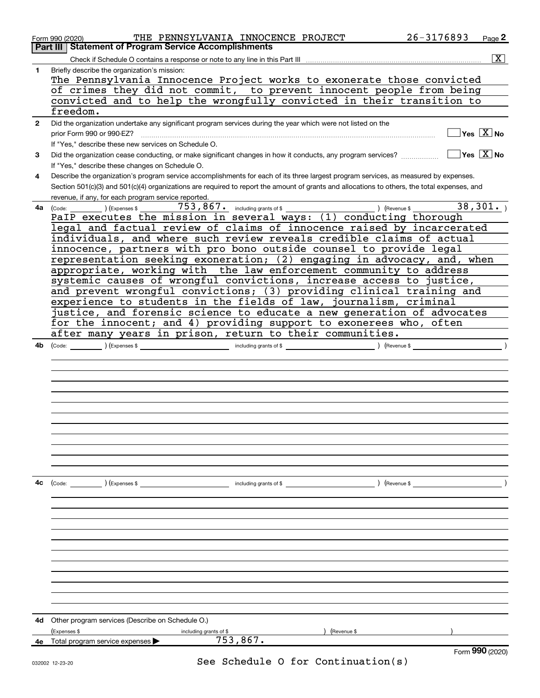|              | 26-3176893<br>THE PENNSYLVANIA INNOCENCE PROJECT<br>Page 2<br>Form 990 (2020)                                                                |
|--------------|----------------------------------------------------------------------------------------------------------------------------------------------|
|              | <b>Part III   Statement of Program Service Accomplishments</b>                                                                               |
|              | $\overline{\text{X}}$                                                                                                                        |
| 1            | Briefly describe the organization's mission:                                                                                                 |
|              | The Pennsylvania Innocence Project works to exonerate those convicted                                                                        |
|              | of crimes they did not commit, to prevent innocent people from being                                                                         |
|              | convicted and to help the wrongfully convicted in their transition to                                                                        |
|              | freedom.                                                                                                                                     |
| $\mathbf{2}$ | Did the organization undertake any significant program services during the year which were not listed on the                                 |
|              | $Yes \quad X$ No<br>prior Form 990 or 990-EZ?                                                                                                |
|              | If "Yes," describe these new services on Schedule O.                                                                                         |
| 3            | $Yes \quad X$ No<br>Did the organization cease conducting, or make significant changes in how it conducts, any program services?             |
|              | If "Yes," describe these changes on Schedule O.                                                                                              |
| 4            | Describe the organization's program service accomplishments for each of its three largest program services, as measured by expenses.         |
|              | Section 501(c)(3) and 501(c)(4) organizations are required to report the amount of grants and allocations to others, the total expenses, and |
|              | revenue, if any, for each program service reported.                                                                                          |
| 4a           | 38,301.<br>$753$ , $867$ . Including grants of \$<br>$\frac{\phantom{+}}{\phantom{+}}$ (Expenses \$<br>) (Revenue \$<br>Code:                |
|              | PaIP executes the mission in several ways: (1) conducting thorough                                                                           |
|              | legal and factual review of claims of innocence raised by incarcerated                                                                       |
|              | individuals, and where such review reveals credible claims of actual                                                                         |
|              | innocence, partners with pro bono outside counsel to provide legal                                                                           |
|              | representation seeking exoneration; (2) engaging in advocacy, and, when                                                                      |
|              | appropriate, working with the law enforcement community to address                                                                           |
|              | systemic causes of wrongful convictions, increase access to justice,                                                                         |
|              | and prevent wrongful convictions; (3) providing clinical training and                                                                        |
|              | experience to students in the fields of law, journalism, criminal                                                                            |
|              | justice, and forensic science to educate a new generation of advocates                                                                       |
|              | for the innocent; and 4) providing support to exonerees who, often                                                                           |
|              | after many years in prison, return to their communities.                                                                                     |
| 4b           | ) (Revenue \$<br>(Code:                                                                                                                      |
|              |                                                                                                                                              |
|              |                                                                                                                                              |
|              |                                                                                                                                              |
|              |                                                                                                                                              |
|              |                                                                                                                                              |
|              |                                                                                                                                              |
|              |                                                                                                                                              |
|              |                                                                                                                                              |
|              |                                                                                                                                              |
|              |                                                                                                                                              |
|              |                                                                                                                                              |
|              |                                                                                                                                              |
| 4c           | ) (Revenue \$<br>(Code: ) (Expenses \$<br>including grants of \$                                                                             |
|              |                                                                                                                                              |
|              |                                                                                                                                              |
|              |                                                                                                                                              |
|              |                                                                                                                                              |
|              |                                                                                                                                              |
|              |                                                                                                                                              |
|              |                                                                                                                                              |
|              |                                                                                                                                              |
|              |                                                                                                                                              |
|              |                                                                                                                                              |
|              |                                                                                                                                              |
|              |                                                                                                                                              |
| 4d           | Other program services (Describe on Schedule O.)                                                                                             |
|              | (Expenses \$<br>) (Revenue \$<br>including grants of \$                                                                                      |
|              | 753,867.<br>4e Total program service expenses ><br>Form 990 (2020)                                                                           |
|              |                                                                                                                                              |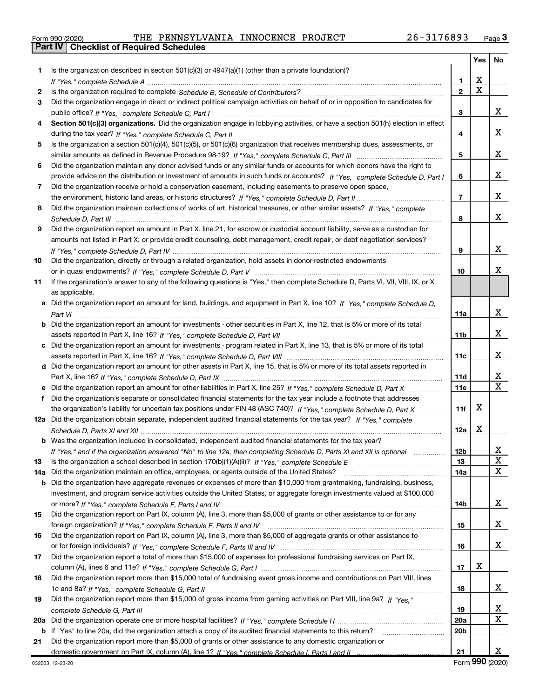|  | Form 990 (2020) |  |
|--|-----------------|--|

Part IV | Checklist of Required Schedules

|     |                                                                                                                                                                                                                                                   |                 |   | Yes   No |
|-----|---------------------------------------------------------------------------------------------------------------------------------------------------------------------------------------------------------------------------------------------------|-----------------|---|----------|
| 1.  | Is the organization described in section $501(c)(3)$ or $4947(a)(1)$ (other than a private foundation)?                                                                                                                                           |                 |   |          |
|     | If "Yes," complete Schedule A measure and a context of the state of the state of the state of the state of the                                                                                                                                    | 1               | х |          |
| 2   |                                                                                                                                                                                                                                                   | $\overline{2}$  | X |          |
| 3   | Did the organization engage in direct or indirect political campaign activities on behalf of or in opposition to candidates for                                                                                                                   |                 |   |          |
|     |                                                                                                                                                                                                                                                   | 3               |   | x        |
| 4   | Section 501(c)(3) organizations. Did the organization engage in lobbying activities, or have a section 501(h) election in effect                                                                                                                  |                 |   |          |
|     |                                                                                                                                                                                                                                                   | 4               |   | x        |
| 5   | Is the organization a section 501(c)(4), 501(c)(5), or 501(c)(6) organization that receives membership dues, assessments, or                                                                                                                      |                 |   |          |
|     |                                                                                                                                                                                                                                                   | 5               |   | x        |
| 6   | Did the organization maintain any donor advised funds or any similar funds or accounts for which donors have the right to                                                                                                                         |                 |   |          |
|     | provide advice on the distribution or investment of amounts in such funds or accounts? If "Yes," complete Schedule D, Part I                                                                                                                      | 6               |   | x        |
| 7   | Did the organization receive or hold a conservation easement, including easements to preserve open space,                                                                                                                                         |                 |   |          |
|     |                                                                                                                                                                                                                                                   | $\overline{7}$  |   | x        |
| 8   | Did the organization maintain collections of works of art, historical treasures, or other similar assets? If "Yes," complete                                                                                                                      |                 |   |          |
|     |                                                                                                                                                                                                                                                   | 8               |   | x        |
| 9   | Did the organization report an amount in Part X, line 21, for escrow or custodial account liability, serve as a custodian for                                                                                                                     |                 |   |          |
|     | amounts not listed in Part X; or provide credit counseling, debt management, credit repair, or debt negotiation services?                                                                                                                         |                 |   |          |
|     |                                                                                                                                                                                                                                                   | 9               |   | x        |
| 10  | Did the organization, directly or through a related organization, hold assets in donor-restricted endowments                                                                                                                                      |                 |   |          |
|     |                                                                                                                                                                                                                                                   | 10              |   | x        |
| 11  | If the organization's answer to any of the following questions is "Yes," then complete Schedule D, Parts VI, VII, VIII, IX, or X                                                                                                                  |                 |   |          |
|     | as applicable.                                                                                                                                                                                                                                    |                 |   |          |
|     | a Did the organization report an amount for land, buildings, and equipment in Part X, line 10? If "Yes," complete Schedule D.                                                                                                                     |                 |   |          |
|     |                                                                                                                                                                                                                                                   | 11a             |   | x        |
|     | <b>b</b> Did the organization report an amount for investments - other securities in Part X, line 12, that is 5% or more of its total                                                                                                             |                 |   |          |
|     |                                                                                                                                                                                                                                                   | 11 <sub>b</sub> |   | x        |
|     | c Did the organization report an amount for investments - program related in Part X, line 13, that is 5% or more of its total                                                                                                                     |                 |   |          |
|     |                                                                                                                                                                                                                                                   | 11c             |   | x        |
|     | d Did the organization report an amount for other assets in Part X, line 15, that is 5% or more of its total assets reported in                                                                                                                   |                 |   | x        |
|     |                                                                                                                                                                                                                                                   | 11d             |   | X        |
|     | e Did the organization report an amount for other liabilities in Part X, line 25? If "Yes," complete Schedule D, Part X                                                                                                                           | 11e             |   |          |
| f   | Did the organization's separate or consolidated financial statements for the tax year include a footnote that addresses                                                                                                                           |                 | х |          |
|     | the organization's liability for uncertain tax positions under FIN 48 (ASC 740)? If "Yes," complete Schedule D, Part X<br>12a Did the organization obtain separate, independent audited financial statements for the tax year? If "Yes," complete | 11f             |   |          |
|     |                                                                                                                                                                                                                                                   | 12a             | х |          |
|     | <b>b</b> Was the organization included in consolidated, independent audited financial statements for the tax year?                                                                                                                                |                 |   |          |
|     | If "Yes," and if the organization answered "No" to line 12a, then completing Schedule D, Parts XI and XII is optional                                                                                                                             | 12b             |   |          |
| 13  |                                                                                                                                                                                                                                                   | 13              |   | ▵<br>х   |
| 14a | Did the organization maintain an office, employees, or agents outside of the United States?                                                                                                                                                       | 14a             |   | x        |
| b   | Did the organization have aggregate revenues or expenses of more than \$10,000 from grantmaking, fundraising, business,                                                                                                                           |                 |   |          |
|     | investment, and program service activities outside the United States, or aggregate foreign investments valued at \$100,000                                                                                                                        |                 |   |          |
|     |                                                                                                                                                                                                                                                   | 14b             |   | x        |
| 15  | Did the organization report on Part IX, column (A), line 3, more than \$5,000 of grants or other assistance to or for any                                                                                                                         |                 |   |          |
|     |                                                                                                                                                                                                                                                   | 15              |   | x        |
| 16  | Did the organization report on Part IX, column (A), line 3, more than \$5,000 of aggregate grants or other assistance to                                                                                                                          |                 |   |          |
|     |                                                                                                                                                                                                                                                   | 16              |   | x        |
| 17  | Did the organization report a total of more than \$15,000 of expenses for professional fundraising services on Part IX,                                                                                                                           |                 |   |          |
|     |                                                                                                                                                                                                                                                   | 17              | х |          |
| 18  | Did the organization report more than \$15,000 total of fundraising event gross income and contributions on Part VIII, lines                                                                                                                      |                 |   |          |
|     |                                                                                                                                                                                                                                                   | 18              |   | x        |
| 19  | Did the organization report more than \$15,000 of gross income from gaming activities on Part VIII, line 9a? If "Yes."                                                                                                                            |                 |   |          |
|     |                                                                                                                                                                                                                                                   | 19              |   | х        |
| 20a |                                                                                                                                                                                                                                                   | 20a             |   | x        |
|     | b If "Yes" to line 20a, did the organization attach a copy of its audited financial statements to this return?                                                                                                                                    | 20 <sub>b</sub> |   |          |
| 21  | Did the organization report more than \$5,000 of grants or other assistance to any domestic organization or                                                                                                                                       |                 |   |          |
|     |                                                                                                                                                                                                                                                   | 21              |   | x        |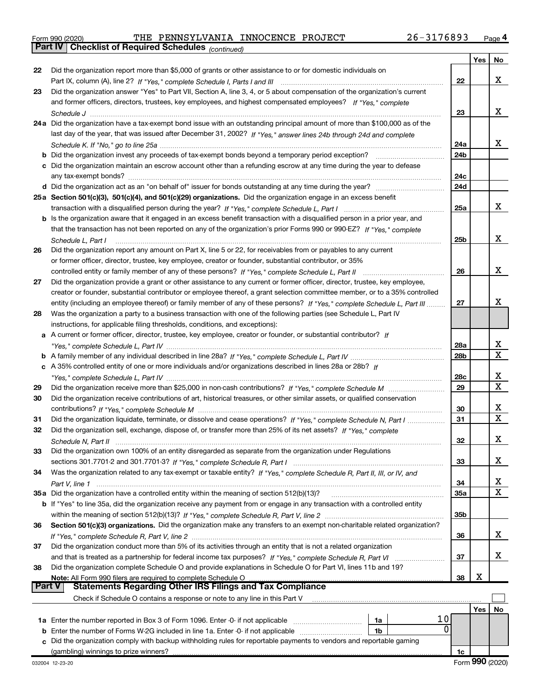|  | Form 990 (2020) |
|--|-----------------|
|  |                 |

Part IV | Checklist of Required Schedules

(continued)

|               |                                                                                                                                  |                 | Yes | No     |
|---------------|----------------------------------------------------------------------------------------------------------------------------------|-----------------|-----|--------|
| 22            | Did the organization report more than \$5,000 of grants or other assistance to or for domestic individuals on                    |                 |     |        |
|               |                                                                                                                                  | 22              |     | x      |
| 23            | Did the organization answer "Yes" to Part VII, Section A, line 3, 4, or 5 about compensation of the organization's current       |                 |     |        |
|               | and former officers, directors, trustees, key employees, and highest compensated employees? If "Yes." complete                   |                 |     |        |
|               |                                                                                                                                  | 23              |     | x      |
|               | 24a Did the organization have a tax-exempt bond issue with an outstanding principal amount of more than \$100,000 as of the      |                 |     |        |
|               | last day of the year, that was issued after December 31, 2002? If "Yes," answer lines 24b through 24d and complete               |                 |     |        |
|               |                                                                                                                                  | 24a             |     | x      |
|               | <b>b</b> Did the organization invest any proceeds of tax-exempt bonds beyond a temporary period exception? <i>marrouummannen</i> | 24 <sub>b</sub> |     |        |
|               | c Did the organization maintain an escrow account other than a refunding escrow at any time during the year to defease           |                 |     |        |
|               |                                                                                                                                  | 24c             |     |        |
|               |                                                                                                                                  | 24d             |     |        |
|               | 25a Section 501(c)(3), 501(c)(4), and 501(c)(29) organizations. Did the organization engage in an excess benefit                 |                 |     |        |
|               |                                                                                                                                  | 25a             |     | x      |
|               | b Is the organization aware that it engaged in an excess benefit transaction with a disqualified person in a prior year, and     |                 |     |        |
|               | that the transaction has not been reported on any of the organization's prior Forms 990 or 990-EZ? If "Yes," complete            |                 |     |        |
|               | Schedule L. Part I                                                                                                               | 25 <sub>b</sub> |     | x      |
| 26            | Did the organization report any amount on Part X, line 5 or 22, for receivables from or payables to any current                  |                 |     |        |
|               | or former officer, director, trustee, key employee, creator or founder, substantial contributor, or 35%                          |                 |     |        |
|               | controlled entity or family member of any of these persons? If "Yes," complete Schedule L, Part II                               | 26              |     | x      |
| 27            | Did the organization provide a grant or other assistance to any current or former officer, director, trustee, key employee,      |                 |     |        |
|               | creator or founder, substantial contributor or employee thereof, a grant selection committee member, or to a 35% controlled      |                 |     |        |
|               | entity (including an employee thereof) or family member of any of these persons? If "Yes," complete Schedule L, Part III         | 27              |     | x      |
| 28            | Was the organization a party to a business transaction with one of the following parties (see Schedule L, Part IV                |                 |     |        |
|               | instructions, for applicable filing thresholds, conditions, and exceptions):                                                     |                 |     |        |
|               | a A current or former officer, director, trustee, key employee, creator or founder, or substantial contributor? If               |                 |     |        |
|               |                                                                                                                                  | 28a             |     | х      |
|               |                                                                                                                                  | 28 <sub>b</sub> |     | X      |
|               | c A 35% controlled entity of one or more individuals and/or organizations described in lines 28a or 28b? If                      |                 |     |        |
|               |                                                                                                                                  | 28c             |     | х      |
| 29            |                                                                                                                                  | 29              |     | X      |
| 30            | Did the organization receive contributions of art, historical treasures, or other similar assets, or qualified conservation      |                 |     |        |
|               |                                                                                                                                  | 30              |     | x<br>X |
| 31            | Did the organization liquidate, terminate, or dissolve and cease operations? If "Yes," complete Schedule N, Part I               | 31              |     |        |
| 32            | Did the organization sell, exchange, dispose of, or transfer more than 25% of its net assets? If "Yes," complete                 |                 |     |        |
|               |                                                                                                                                  | 32              |     | х      |
| 33            | Did the organization own 100% of an entity disregarded as separate from the organization under Regulations                       |                 |     |        |
|               |                                                                                                                                  | 33              |     | x      |
| 34            | Was the organization related to any tax-exempt or taxable entity? If "Yes," complete Schedule R, Part II, III, or IV, and        |                 |     | X      |
|               |                                                                                                                                  | 34              |     | x      |
|               | 35a Did the organization have a controlled entity within the meaning of section 512(b)(13)?                                      | 35a             |     |        |
|               | b If "Yes" to line 35a, did the organization receive any payment from or engage in any transaction with a controlled entity      |                 |     |        |
|               |                                                                                                                                  | 35b             |     |        |
| 36            | Section 501(c)(3) organizations. Did the organization make any transfers to an exempt non-charitable related organization?       |                 |     | x      |
|               | Did the organization conduct more than 5% of its activities through an entity that is not a related organization                 | 36              |     |        |
| 37            | and that is treated as a partnership for federal income tax purposes? If "Yes," complete Schedule R, Part VI                     | 37              |     | x      |
| 38            | Did the organization complete Schedule O and provide explanations in Schedule O for Part VI, lines 11b and 19?                   |                 |     |        |
|               | Note: All Form 990 filers are required to complete Schedule O                                                                    | 38              | х   |        |
| <b>Part V</b> | <b>Statements Regarding Other IRS Filings and Tax Compliance</b>                                                                 |                 |     |        |
|               | Check if Schedule O contains a response or note to any line in this Part V                                                       |                 |     |        |
|               |                                                                                                                                  |                 | Yes | No     |
|               | 10<br>1a Enter the number reported in Box 3 of Form 1096. Enter -0- if not applicable<br>1a                                      |                 |     |        |
| b             | 0<br>Enter the number of Forms W-2G included in line 1a. Enter -0- if not applicable<br>1b                                       |                 |     |        |
|               | Did the organization comply with backup withholding rules for reportable payments to vendors and reportable gaming               |                 |     |        |
|               | (gambling) winnings to prize winners?                                                                                            | 1c              |     |        |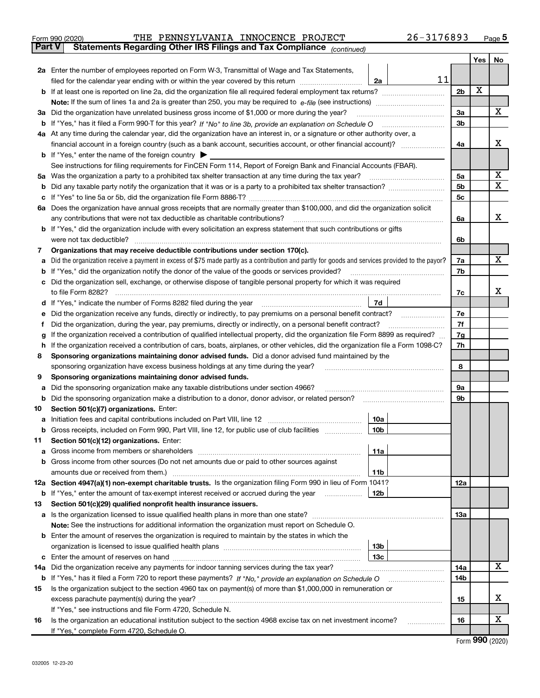| Form 990 (2020) | PENNSYLVANIA INNOCENCE PROJECT |  | 26-3176893 | Page |
|-----------------|--------------------------------|--|------------|------|

Part V | Statements Regarding Other IRS Filings and Tax Compliance

| Part v | Statements Regarding Other IRS Filings and Tax Compilance<br>(continued)                                                                        |                |     |             |  |  |  |
|--------|-------------------------------------------------------------------------------------------------------------------------------------------------|----------------|-----|-------------|--|--|--|
|        |                                                                                                                                                 |                | Yes | No.         |  |  |  |
|        | 2a Enter the number of employees reported on Form W-3, Transmittal of Wage and Tax Statements,                                                  |                |     |             |  |  |  |
|        | 11<br>filed for the calendar year ending with or within the year covered by this return<br>2a                                                   |                |     |             |  |  |  |
|        |                                                                                                                                                 | 2 <sub>b</sub> | X   |             |  |  |  |
|        |                                                                                                                                                 |                |     |             |  |  |  |
|        | 3a Did the organization have unrelated business gross income of \$1,000 or more during the year?                                                | За             |     | X           |  |  |  |
|        |                                                                                                                                                 | 3b             |     |             |  |  |  |
|        | 4a At any time during the calendar year, did the organization have an interest in, or a signature or other authority over, a                    |                |     |             |  |  |  |
|        | financial account in a foreign country (such as a bank account, securities account, or other financial account)?                                | 4a             |     | х           |  |  |  |
|        | <b>b</b> If "Yes," enter the name of the foreign country                                                                                        |                |     |             |  |  |  |
|        | See instructions for filing requirements for FinCEN Form 114, Report of Foreign Bank and Financial Accounts (FBAR).                             |                |     |             |  |  |  |
| 5а     | Was the organization a party to a prohibited tax shelter transaction at any time during the tax year?                                           | 5a             |     | X           |  |  |  |
| b      |                                                                                                                                                 | 5b             |     | $\mathbf X$ |  |  |  |
| с      |                                                                                                                                                 | 5с             |     |             |  |  |  |
|        | 6a Does the organization have annual gross receipts that are normally greater than \$100,000, and did the organization solicit                  |                |     |             |  |  |  |
|        | any contributions that were not tax deductible as charitable contributions?                                                                     | 6a             |     | х           |  |  |  |
|        | <b>b</b> If "Yes," did the organization include with every solicitation an express statement that such contributions or gifts                   |                |     |             |  |  |  |
|        | were not tax deductible?                                                                                                                        |                |     |             |  |  |  |
| 7      | Organizations that may receive deductible contributions under section 170(c).                                                                   |                |     |             |  |  |  |
| a      | Did the organization receive a payment in excess of \$75 made partly as a contribution and partly for goods and services provided to the payor? | 7a             |     | х           |  |  |  |
| b      | If "Yes," did the organization notify the donor of the value of the goods or services provided?                                                 | 7b             |     |             |  |  |  |
|        | c Did the organization sell, exchange, or otherwise dispose of tangible personal property for which it was required                             |                |     |             |  |  |  |
|        | to file Form 8282?                                                                                                                              | 7c             |     | х           |  |  |  |
| d      | 7d<br>If "Yes," indicate the number of Forms 8282 filed during the year                                                                         |                |     |             |  |  |  |
| е      | Did the organization receive any funds, directly or indirectly, to pay premiums on a personal benefit contract?                                 | 7е<br>7f       |     |             |  |  |  |
| f      | Did the organization, during the year, pay premiums, directly or indirectly, on a personal benefit contract?                                    |                |     |             |  |  |  |
| g      | If the organization received a contribution of qualified intellectual property, did the organization file Form 8899 as required?                | 7g             |     |             |  |  |  |
| h      | If the organization received a contribution of cars, boats, airplanes, or other vehicles, did the organization file a Form 1098-C?              | 7h             |     |             |  |  |  |
| 8      | Sponsoring organizations maintaining donor advised funds. Did a donor advised fund maintained by the                                            |                |     |             |  |  |  |
|        | sponsoring organization have excess business holdings at any time during the year?                                                              | 8              |     |             |  |  |  |
| 9      | Sponsoring organizations maintaining donor advised funds.                                                                                       |                |     |             |  |  |  |
| а      | Did the sponsoring organization make any taxable distributions under section 4966?                                                              | 9а             |     |             |  |  |  |
| b      | Did the sponsoring organization make a distribution to a donor, donor advisor, or related person?                                               | 9b             |     |             |  |  |  |
| 10     | Section 501(c)(7) organizations. Enter:                                                                                                         |                |     |             |  |  |  |
| a      | Initiation fees and capital contributions included on Part VIII, line 12<br>10a                                                                 |                |     |             |  |  |  |
|        | b Gross receipts, included on Form 990, Part VIII, line 12, for public use of club facilities<br>10 <sub>b</sub>                                |                |     |             |  |  |  |
| 11.    | Section 501(c)(12) organizations. Enter:                                                                                                        |                |     |             |  |  |  |
|        | 11a                                                                                                                                             |                |     |             |  |  |  |
|        | <b>b</b> Gross income from other sources (Do not net amounts due or paid to other sources against                                               |                |     |             |  |  |  |
|        | 11b                                                                                                                                             |                |     |             |  |  |  |
|        | 12a Section 4947(a)(1) non-exempt charitable trusts. Is the organization filing Form 990 in lieu of Form 1041?                                  | 12a            |     |             |  |  |  |
|        | 12b<br><b>b</b> If "Yes," enter the amount of tax-exempt interest received or accrued during the year                                           |                |     |             |  |  |  |
| 13     | Section 501(c)(29) qualified nonprofit health insurance issuers.                                                                                |                |     |             |  |  |  |
|        |                                                                                                                                                 | 13а            |     |             |  |  |  |
|        | Note: See the instructions for additional information the organization must report on Schedule O.                                               |                |     |             |  |  |  |
|        | <b>b</b> Enter the amount of reserves the organization is required to maintain by the states in which the                                       |                |     |             |  |  |  |
|        | 13b                                                                                                                                             |                |     |             |  |  |  |
|        | 13 <sub>c</sub>                                                                                                                                 |                |     | х           |  |  |  |
| 14a    | Did the organization receive any payments for indoor tanning services during the tax year?                                                      | 14a            |     |             |  |  |  |
|        | b If "Yes," has it filed a Form 720 to report these payments? If "No," provide an explanation on Schedule O                                     | 14b            |     |             |  |  |  |
| 15     | Is the organization subject to the section 4960 tax on payment(s) of more than \$1,000,000 in remuneration or                                   |                |     | х           |  |  |  |
|        |                                                                                                                                                 | 15             |     |             |  |  |  |
|        | If "Yes," see instructions and file Form 4720, Schedule N.                                                                                      |                |     | х           |  |  |  |
| 16     | Is the organization an educational institution subject to the section 4968 excise tax on net investment income?                                 | 16             |     |             |  |  |  |
|        | If "Yes," complete Form 4720, Schedule O.                                                                                                       |                |     |             |  |  |  |

Form 990 (2020)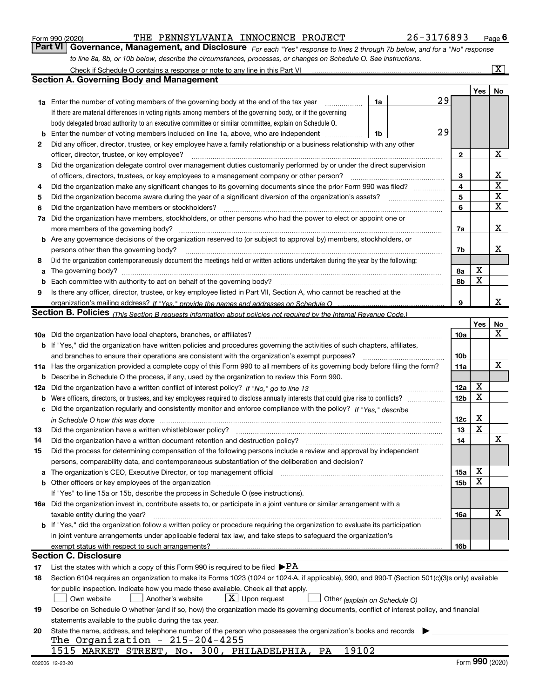|  | Form 990 (2020) |
|--|-----------------|
|  |                 |

#### Form 990 (2020) THE PENNSYLVANIA INNOCENCE PROJECT 26-3176893 Page

Part VI | Governance, Management, and Disclosure  $F_{Or}$  each "Yes" response to lines 2 through 7b below, and for a "No" response to line 8a, 8b, or 10b below, describe the circumstances, processes, or changes on Schedule O. See instructions.

|     | Check if Schedule O contains a response or note to any line in this Part VI                                                                                                  |    |  |    |                 |        | $\overline{\mathbf{X}}$ |  |
|-----|------------------------------------------------------------------------------------------------------------------------------------------------------------------------------|----|--|----|-----------------|--------|-------------------------|--|
|     | <b>Section A. Governing Body and Management</b>                                                                                                                              |    |  |    |                 |        |                         |  |
|     |                                                                                                                                                                              |    |  |    |                 | Yes    | No                      |  |
|     | 1a Enter the number of voting members of the governing body at the end of the tax year                                                                                       | 1a |  | 29 |                 |        |                         |  |
|     | If there are material differences in voting rights among members of the governing body, or if the governing                                                                  |    |  |    |                 |        |                         |  |
|     | body delegated broad authority to an executive committee or similar committee, explain on Schedule O.                                                                        |    |  |    |                 |        |                         |  |
| b   | Enter the number of voting members included on line 1a, above, who are independent                                                                                           | 1b |  | 29 |                 |        |                         |  |
| 2   | Did any officer, director, trustee, or key employee have a family relationship or a business relationship with any other                                                     |    |  |    |                 |        |                         |  |
|     | officer, director, trustee, or key employee?                                                                                                                                 |    |  |    | $\mathbf{2}$    |        | X                       |  |
| 3   | Did the organization delegate control over management duties customarily performed by or under the direct supervision                                                        |    |  |    |                 |        |                         |  |
|     | of officers, directors, trustees, or key employees to a management company or other person?                                                                                  |    |  |    | 3               |        | х                       |  |
| 4   | Did the organization make any significant changes to its governing documents since the prior Form 990 was filed?                                                             |    |  |    | 4               |        | $\mathbf X$             |  |
| 5   |                                                                                                                                                                              |    |  |    | 5               |        | $\mathbf X$             |  |
| 6   | Did the organization have members or stockholders?                                                                                                                           |    |  |    | 6               |        | X                       |  |
| 7а  | Did the organization have members, stockholders, or other persons who had the power to elect or appoint one or                                                               |    |  |    |                 |        |                         |  |
|     | more members of the governing body?                                                                                                                                          |    |  |    | 7a              |        | х                       |  |
|     | <b>b</b> Are any governance decisions of the organization reserved to (or subject to approval by) members, stockholders, or                                                  |    |  |    |                 |        |                         |  |
|     | persons other than the governing body?                                                                                                                                       |    |  |    | 7b              |        | x                       |  |
| 8   | Did the organization contemporaneously document the meetings held or written actions undertaken during the year by the following:                                            |    |  |    |                 |        |                         |  |
| a   |                                                                                                                                                                              |    |  |    | 8а              | X      |                         |  |
| b   |                                                                                                                                                                              |    |  |    | 8b              | X      |                         |  |
| 9   | Is there any officer, director, trustee, or key employee listed in Part VII, Section A, who cannot be reached at the                                                         |    |  |    |                 |        |                         |  |
|     |                                                                                                                                                                              |    |  |    | 9               |        | X                       |  |
|     | Section B. Policies <sub>(This</sub> Section B requests information about policies not required by the Internal Revenue Code.)                                               |    |  |    |                 |        |                         |  |
|     |                                                                                                                                                                              |    |  |    |                 | Yes    | No                      |  |
|     |                                                                                                                                                                              |    |  |    | 10a             |        | х                       |  |
|     | <b>b</b> If "Yes," did the organization have written policies and procedures governing the activities of such chapters, affiliates,                                          |    |  |    |                 |        |                         |  |
|     | and branches to ensure their operations are consistent with the organization's exempt purposes?                                                                              |    |  |    | 10 <sub>b</sub> |        |                         |  |
|     | 11a Has the organization provided a complete copy of this Form 990 to all members of its governing body before filing the form?                                              |    |  |    | 11a             |        | $\mathbf X$             |  |
| b   | Describe in Schedule O the process, if any, used by the organization to review this Form 990.                                                                                |    |  |    |                 |        |                         |  |
| 12a |                                                                                                                                                                              |    |  |    | 12a             | X      |                         |  |
| b   | Were officers, directors, or trustees, and key employees required to disclose annually interests that could give rise to conflicts?                                          |    |  |    | 12 <sub>b</sub> | X      |                         |  |
| с   | Did the organization regularly and consistently monitor and enforce compliance with the policy? If "Yes," describe                                                           |    |  |    |                 |        |                         |  |
|     | in Schedule O how this was done encourance and the control of the control of the control of the control of the                                                               |    |  |    | 12c             | х<br>X |                         |  |
| 13  | Did the organization have a written whistleblower policy?                                                                                                                    |    |  |    | 13              |        |                         |  |
| 14  | Did the organization have a written document retention and destruction policy?                                                                                               |    |  |    | 14              |        | X                       |  |
| 15  | Did the process for determining compensation of the following persons include a review and approval by independent                                                           |    |  |    |                 |        |                         |  |
|     | persons, comparability data, and contemporaneous substantiation of the deliberation and decision?                                                                            |    |  |    |                 | X      |                         |  |
| а   | The organization's CEO, Executive Director, or top management official manufacture content content of the organization's CEO, Executive Director, or top management official |    |  |    | 15a             | x      |                         |  |
| b   | If "Yes" to line 15a or 15b, describe the process in Schedule O (see instructions).                                                                                          |    |  |    | 15b             |        |                         |  |
|     | 16a Did the organization invest in, contribute assets to, or participate in a joint venture or similar arrangement with a                                                    |    |  |    |                 |        |                         |  |
|     | taxable entity during the year?                                                                                                                                              |    |  |    | 16a             |        | Х                       |  |
|     | b If "Yes," did the organization follow a written policy or procedure requiring the organization to evaluate its participation                                               |    |  |    |                 |        |                         |  |
|     | in joint venture arrangements under applicable federal tax law, and take steps to safeguard the organization's                                                               |    |  |    |                 |        |                         |  |
|     | exempt status with respect to such arrangements?                                                                                                                             |    |  |    | 16b             |        |                         |  |
|     | <b>Section C. Disclosure</b>                                                                                                                                                 |    |  |    |                 |        |                         |  |
| 17  | List the states with which a copy of this Form 990 is required to be filed $\blacktriangleright$ PA                                                                          |    |  |    |                 |        |                         |  |
| 18  | Section 6104 requires an organization to make its Forms 1023 (1024 or 1024-A, if applicable), 990, and 990-T (Section 501(c)(3)s only) available                             |    |  |    |                 |        |                         |  |
|     | for public inspection. Indicate how you made these available. Check all that apply.                                                                                          |    |  |    |                 |        |                         |  |
|     | $\lfloor x \rfloor$ Upon request<br>Another's website<br>Own website<br>Other (explain on Schedule O)                                                                        |    |  |    |                 |        |                         |  |
| 19  | Describe on Schedule O whether (and if so, how) the organization made its governing documents, conflict of interest policy, and financial                                    |    |  |    |                 |        |                         |  |
|     | statements available to the public during the tax year.                                                                                                                      |    |  |    |                 |        |                         |  |
| 20  | State the name, address, and telephone number of the person who possesses the organization's books and records                                                               |    |  |    |                 |        |                         |  |
|     | The Organization - $215-204-4255$                                                                                                                                            |    |  |    |                 |        |                         |  |
|     | 1515 MARKET STREET, No. 300, PHILADELPHIA, PA<br>19102                                                                                                                       |    |  |    |                 |        |                         |  |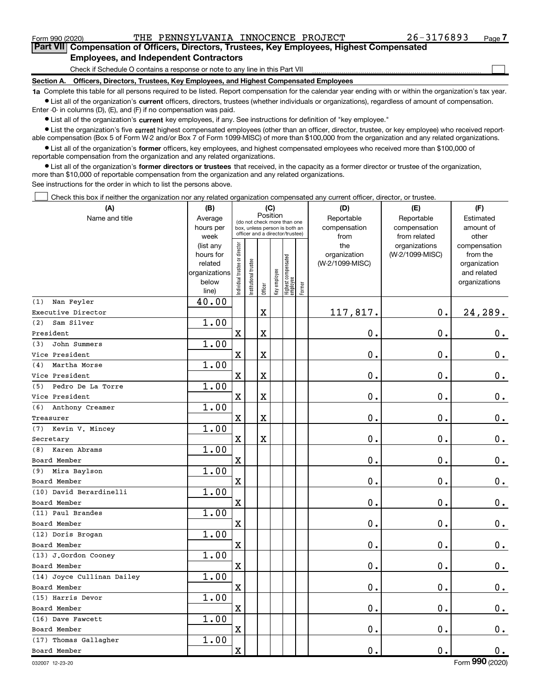$\Box$ 

Part VII Compensation of Officers, Directors, Trustees, Key Employees, Highest Compensated Employees, and Independent Contractors

Check if Schedule O contains a response or note to any line in this Part VII

Section A. Officers, Directors, Trustees, Key Employees, and Highest Compensated Employees

1a Complete this table for all persons required to be listed. Report compensation for the calendar year ending with or within the organization's tax year. Ist all of the organization's current officers, directors, trustees (whether individuals or organizations), regardless of amount of compensation.

Enter -0- in columns (D), (E), and (F) if no compensation was paid.

**•** List all of the organization's current key employees, if any. See instructions for definition of "key employee."

● List the organization's five current highest compensated employees (other than an officer, director, trustee, or key employee) who received reportable compensation (Box 5 of Form W-2 and/or Box 7 of Form 1099-MISC) of more than \$100,000 from the organization and any related organizations.

List all of the organization's former officers, key employees, and highest compensated employees who received more than \$100,000 of reportable compensation from the organization and any related organizations.

• List all of the organization's former directors or trustees that received, in the capacity as a former director or trustee of the organization, more than \$10,000 of reportable compensation from the organization and any related organizations.

See instructions for the order in which to list the persons above.

Check this box if neither the organization nor any related organization compensated any current officer, director, or trustee.  $\Box$ 

| (A)                        | (B)               |                               |                      |                       | (C)          |                                                                  |        | (D)             | (E)                           | (F)                   |
|----------------------------|-------------------|-------------------------------|----------------------|-----------------------|--------------|------------------------------------------------------------------|--------|-----------------|-------------------------------|-----------------------|
| Name and title             | Average           |                               |                      | Position              |              | (do not check more than one                                      |        | Reportable      | Reportable                    | Estimated             |
|                            | hours per         |                               |                      |                       |              | box, unless person is both an<br>officer and a director/trustee) |        | compensation    | compensation                  | amount of             |
|                            | week<br>(list any |                               |                      |                       |              |                                                                  |        | from<br>the     | from related<br>organizations | other<br>compensation |
|                            | hours for         |                               |                      |                       |              |                                                                  |        | organization    | (W-2/1099-MISC)               | from the              |
|                            | related           |                               |                      |                       |              |                                                                  |        | (W-2/1099-MISC) |                               | organization          |
|                            | organizations     |                               |                      |                       |              |                                                                  |        |                 |                               | and related           |
|                            | below             | ndividual trustee or director | nstitutional trustee | Officer               | Key employee | Highest compensated<br>  employee                                | Former |                 |                               | organizations         |
| Nan Feyler<br>(1)          | line)<br>40.00    |                               |                      |                       |              |                                                                  |        |                 |                               |                       |
| Executive Director         |                   |                               |                      | $\mathbf X$           |              |                                                                  |        | 117,817.        | 0.                            | 24,289.               |
| Sam Silver<br>(2)          | 1.00              |                               |                      |                       |              |                                                                  |        |                 |                               |                       |
| President                  |                   | $\mathbf X$                   |                      | $\overline{\text{X}}$ |              |                                                                  |        | 0.              | $\mathbf 0$ .                 | $\mathbf 0$ .         |
| John Summers<br>(3)        | 1.00              |                               |                      |                       |              |                                                                  |        |                 |                               |                       |
| Vice President             |                   | $\mathbf X$                   |                      | $\mathbf X$           |              |                                                                  |        | 0.              | $\mathbf 0$ .                 | $\mathbf 0$ .         |
| Martha Morse<br>(4)        | 1.00              |                               |                      |                       |              |                                                                  |        |                 |                               |                       |
| Vice President             |                   | $\mathbf X$                   |                      | $\overline{\text{X}}$ |              |                                                                  |        | 0.              | 0.                            | $\mathbf 0$ .         |
| Pedro De La Torre<br>(5)   | 1.00              |                               |                      |                       |              |                                                                  |        |                 |                               |                       |
| Vice President             |                   | $\mathbf X$                   |                      | $\mathbf X$           |              |                                                                  |        | 0.              | $\mathbf 0$ .                 | 0.                    |
| Anthony Creamer<br>(6)     | 1.00              |                               |                      |                       |              |                                                                  |        |                 |                               |                       |
| Treasurer                  |                   | $\mathbf X$                   |                      | $\overline{\text{X}}$ |              |                                                                  |        | 0.              | $\mathbf 0$ .                 | $\mathbf 0$ .         |
| (7) Kevin V. Mincey        | 1.00              |                               |                      |                       |              |                                                                  |        |                 |                               |                       |
| Secretary                  |                   | $\mathbf X$                   |                      | $\mathbf X$           |              |                                                                  |        | 0.              | $\mathbf 0$ .                 | $\mathbf 0$ .         |
| Karen Abrams<br>(8)        | 1.00              |                               |                      |                       |              |                                                                  |        |                 |                               |                       |
| Board Member               |                   | $\mathbf X$                   |                      |                       |              |                                                                  |        | 0.              | $\mathbf 0$ .                 | $\mathbf 0$ .         |
| (9) Mira Baylson           | 1.00              |                               |                      |                       |              |                                                                  |        |                 |                               |                       |
| Board Member               |                   | $\mathbf X$                   |                      |                       |              |                                                                  |        | 0.              | 0.                            | 0.                    |
| (10) David Berardinelli    | 1.00              |                               |                      |                       |              |                                                                  |        |                 |                               |                       |
| Board Member               |                   | $\mathbf X$                   |                      |                       |              |                                                                  |        | 0.              | $\mathbf 0$ .                 | $\mathbf 0$ .         |
| (11) Paul Brandes          | 1.00              |                               |                      |                       |              |                                                                  |        |                 |                               |                       |
| Board Member               |                   | $\mathbf X$                   |                      |                       |              |                                                                  |        | 0.              | $\mathbf 0$ .                 | $0_{.}$               |
| (12) Doris Brogan          | 1.00              |                               |                      |                       |              |                                                                  |        |                 |                               |                       |
| Board Member               |                   | $\mathbf X$                   |                      |                       |              |                                                                  |        | 0.              | $\mathbf 0$ .                 | $\mathbf 0$ .         |
| (13) J.Gordon Cooney       | 1.00              |                               |                      |                       |              |                                                                  |        |                 |                               |                       |
| Board Member               |                   | $\mathbf X$                   |                      |                       |              |                                                                  |        | 0.              | 0.                            | $0_{.}$               |
| (14) Joyce Cullinan Dailey | 1.00              |                               |                      |                       |              |                                                                  |        |                 |                               |                       |
| Board Member               |                   | $\mathbf X$                   |                      |                       |              |                                                                  |        | 0.              | $\mathbf 0$ .                 | $0_{.}$               |
| (15) Harris Devor          | 1.00              |                               |                      |                       |              |                                                                  |        |                 |                               |                       |
| Board Member               |                   | $\mathbf X$                   |                      |                       |              |                                                                  |        | 0.              | $\mathbf 0$ .                 | $\mathbf 0$ .         |
| (16) Dave Fawcett          | 1.00              |                               |                      |                       |              |                                                                  |        |                 |                               |                       |
| Board Member               |                   | $\mathbf X$                   |                      |                       |              |                                                                  |        | 0.              | $\mathbf 0$ .                 | $\mathbf 0$ .         |
| (17) Thomas Gallagher      | 1.00              |                               |                      |                       |              |                                                                  |        |                 |                               |                       |
| Board Member               |                   | $\mathbf x$                   |                      |                       |              |                                                                  |        | 0.              | $\mathbf 0$ .                 | 0.                    |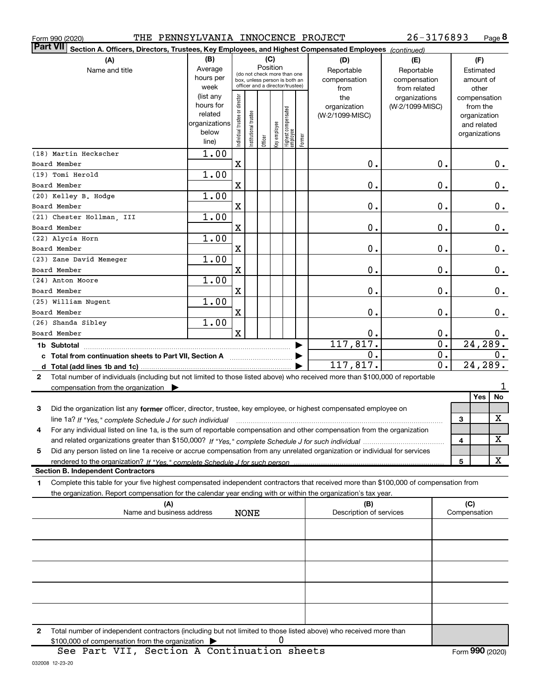|  | Form 990 (2020) |
|--|-----------------|
|  |                 |

Form 990 (2020) THE PENNSYLVANIA INNOCENCE PROJECT 26-3176893 Page

Page 8 26-3176893

| <b>Part VII</b><br>Section A. Officers, Directors, Trustees, Key Employees, and Highest Compensated Employees (continued)                    |                        |                               |                                                              |         |              |                                   |        |                                |                 |                     |                         |
|----------------------------------------------------------------------------------------------------------------------------------------------|------------------------|-------------------------------|--------------------------------------------------------------|---------|--------------|-----------------------------------|--------|--------------------------------|-----------------|---------------------|-------------------------|
| (A)                                                                                                                                          | (B)                    |                               |                                                              | (C)     |              |                                   |        | (D)                            | (E)             | (F)                 |                         |
| Name and title                                                                                                                               | Average                |                               |                                                              |         | Position     |                                   |        | Reportable                     | Reportable      | Estimated           |                         |
|                                                                                                                                              | hours per              |                               | (do not check more than one<br>box, unless person is both an |         |              |                                   |        | compensation                   | compensation    | amount of           |                         |
|                                                                                                                                              | week                   |                               | officer and a director/trustee)                              |         |              |                                   |        | from                           | from related    | other               |                         |
|                                                                                                                                              | (list any              |                               |                                                              |         |              |                                   |        | the                            | organizations   | compensation        |                         |
|                                                                                                                                              | hours for              |                               |                                                              |         |              |                                   |        | organization                   | (W-2/1099-MISC) | from the            |                         |
|                                                                                                                                              | related                |                               |                                                              |         |              |                                   |        | (W-2/1099-MISC)                |                 | organization        |                         |
|                                                                                                                                              | organizations<br>below |                               |                                                              |         |              |                                   |        |                                |                 | and related         |                         |
|                                                                                                                                              | line)                  | ndividual trustee or director | nstitutional trustee                                         | Officer | Key employee | Highest compensated<br>  employee | Former |                                |                 | organizations       |                         |
|                                                                                                                                              |                        |                               |                                                              |         |              |                                   |        |                                |                 |                     |                         |
| (18) Martin Heckscher                                                                                                                        | 1.00                   |                               |                                                              |         |              |                                   |        |                                |                 |                     |                         |
| Board Member                                                                                                                                 |                        | $\mathbf x$                   |                                                              |         |              |                                   |        | 0.                             | 0.              |                     | 0.                      |
| (19) Tomi Herold                                                                                                                             | 1.00                   |                               |                                                              |         |              |                                   |        |                                |                 |                     |                         |
| Board Member                                                                                                                                 |                        | X                             |                                                              |         |              |                                   |        | 0.                             | $\mathbf 0$ .   |                     | 0.                      |
| (20) Kelley B. Hodge                                                                                                                         | 1.00                   |                               |                                                              |         |              |                                   |        |                                |                 |                     |                         |
| Board Member                                                                                                                                 |                        | $\mathbf x$                   |                                                              |         |              |                                   |        | 0.                             | $\mathbf 0$ .   |                     | 0.                      |
| (21) Chester Hollman, III                                                                                                                    | 1.00                   |                               |                                                              |         |              |                                   |        |                                |                 |                     |                         |
| Board Member                                                                                                                                 |                        | X                             |                                                              |         |              |                                   |        | 0.                             | 0.              |                     | $0$ .                   |
| (22) Alycia Horn                                                                                                                             | 1.00                   |                               |                                                              |         |              |                                   |        |                                |                 |                     |                         |
| Board Member                                                                                                                                 |                        | X                             |                                                              |         |              |                                   |        | 0.                             | 0.              |                     | $0$ .                   |
| (23) Zane David Memeger                                                                                                                      | 1.00                   |                               |                                                              |         |              |                                   |        |                                |                 |                     |                         |
| Board Member                                                                                                                                 |                        | X                             |                                                              |         |              |                                   |        | 0.                             | 0.              |                     | $0$ .                   |
| (24) Anton Moore                                                                                                                             | 1.00                   |                               |                                                              |         |              |                                   |        |                                |                 |                     |                         |
| Board Member                                                                                                                                 |                        | X                             |                                                              |         |              |                                   |        | 0.                             | 0.              |                     | 0.                      |
| (25) William Nugent                                                                                                                          | 1.00                   |                               |                                                              |         |              |                                   |        |                                |                 |                     |                         |
|                                                                                                                                              |                        |                               |                                                              |         |              |                                   |        |                                |                 |                     |                         |
| Board Member                                                                                                                                 |                        | X                             |                                                              |         |              |                                   |        | 0.                             | 0.              |                     | 0.                      |
| (26) Shanda Sibley                                                                                                                           | 1.00                   |                               |                                                              |         |              |                                   |        |                                |                 |                     |                         |
| Board Member                                                                                                                                 |                        | $\mathbf x$                   |                                                              |         |              |                                   |        | 0.                             | 0.              |                     | 0.                      |
| 1b Subtotal                                                                                                                                  |                        |                               |                                                              |         |              |                                   |        | 117,817.                       | 0.              | 24, 289.            |                         |
| c Total from continuation sheets to Part VII, Section A [111] [12] Total from continuation sheets to Part VII, Section A                     |                        |                               |                                                              |         |              |                                   |        | 0.                             | 0.              |                     | 0.                      |
| d Total (add lines 1b and 1c).                                                                                                               |                        |                               |                                                              |         |              |                                   |        | 117,817.                       | 0.              | 24,289.             |                         |
| Total number of individuals (including but not limited to those listed above) who received more than \$100,000 of reportable<br>$\mathbf{2}$ |                        |                               |                                                              |         |              |                                   |        |                                |                 |                     |                         |
| compensation from the organization $\blacktriangleright$                                                                                     |                        |                               |                                                              |         |              |                                   |        |                                |                 |                     |                         |
|                                                                                                                                              |                        |                               |                                                              |         |              |                                   |        |                                |                 | Yes                 | No                      |
| 3<br>Did the organization list any former officer, director, trustee, key employee, or highest compensated employee on                       |                        |                               |                                                              |         |              |                                   |        |                                |                 |                     |                         |
| line 1a? If "Yes," complete Schedule J for such individual                                                                                   |                        |                               |                                                              |         |              |                                   |        |                                |                 | 3                   | $\mathbf X$             |
| For any individual listed on line 1a, is the sum of reportable compensation and other compensation from the organization<br>4                |                        |                               |                                                              |         |              |                                   |        |                                |                 |                     |                         |
|                                                                                                                                              |                        |                               |                                                              |         |              |                                   |        |                                |                 | 4                   | $\overline{\mathbf{X}}$ |
| 5<br>Did any person listed on line 1a receive or accrue compensation from any unrelated organization or individual for services              |                        |                               |                                                              |         |              |                                   |        |                                |                 |                     |                         |
| rendered to the organization? If "Yes." complete Schedule J for such person                                                                  |                        |                               |                                                              |         |              |                                   |        |                                |                 | 5                   | х                       |
| <b>Section B. Independent Contractors</b>                                                                                                    |                        |                               |                                                              |         |              |                                   |        |                                |                 |                     |                         |
| Complete this table for your five highest compensated independent contractors that received more than \$100,000 of compensation from         |                        |                               |                                                              |         |              |                                   |        |                                |                 |                     |                         |
| 1.                                                                                                                                           |                        |                               |                                                              |         |              |                                   |        |                                |                 |                     |                         |
| the organization. Report compensation for the calendar year ending with or within the organization's tax year.                               |                        |                               |                                                              |         |              |                                   |        |                                |                 |                     |                         |
| (A)<br>Name and business address                                                                                                             |                        |                               |                                                              |         |              |                                   |        | (B)<br>Description of services |                 | (C)<br>Compensation |                         |
|                                                                                                                                              |                        |                               | <b>NONE</b>                                                  |         |              |                                   |        |                                |                 |                     |                         |
|                                                                                                                                              |                        |                               |                                                              |         |              |                                   |        |                                |                 |                     |                         |
|                                                                                                                                              |                        |                               |                                                              |         |              |                                   |        |                                |                 |                     |                         |
|                                                                                                                                              |                        |                               |                                                              |         |              |                                   |        |                                |                 |                     |                         |
|                                                                                                                                              |                        |                               |                                                              |         |              |                                   |        |                                |                 |                     |                         |
|                                                                                                                                              |                        |                               |                                                              |         |              |                                   |        |                                |                 |                     |                         |
|                                                                                                                                              |                        |                               |                                                              |         |              |                                   |        |                                |                 |                     |                         |
|                                                                                                                                              |                        |                               |                                                              |         |              |                                   |        |                                |                 |                     |                         |
|                                                                                                                                              |                        |                               |                                                              |         |              |                                   |        |                                |                 |                     |                         |
|                                                                                                                                              |                        |                               |                                                              |         |              |                                   |        |                                |                 |                     |                         |
|                                                                                                                                              |                        |                               |                                                              |         |              |                                   |        |                                |                 |                     |                         |
| Total number of independent contractors (including but not limited to those listed above) who received more than<br>2                        |                        |                               |                                                              |         |              |                                   |        |                                |                 |                     |                         |

\$100,000 of compensation from the organization  $\rightarrow$  0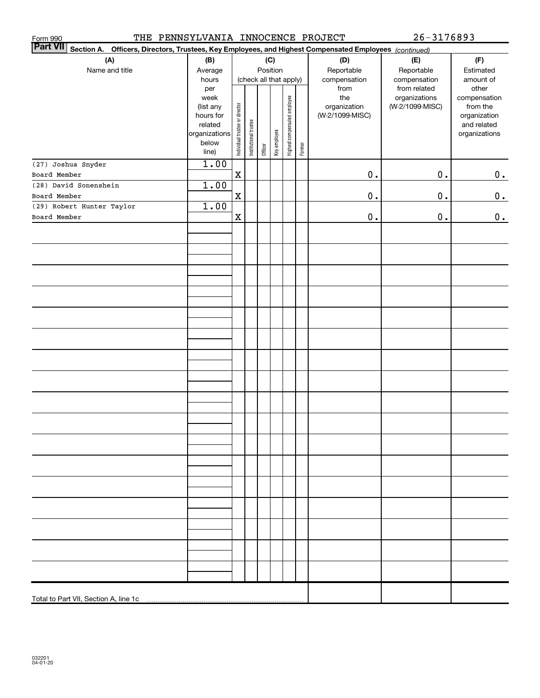| THE PENNSYLVANIA INNOCENCE PROJECT<br>Form 990<br><b>Part VII</b>                                      |                        |                                |                       |          |              |                              |        |                 | <u>26-3176893</u>             |                       |
|--------------------------------------------------------------------------------------------------------|------------------------|--------------------------------|-----------------------|----------|--------------|------------------------------|--------|-----------------|-------------------------------|-----------------------|
| Section A. Officers, Directors, Trustees, Key Employees, and Highest Compensated Employees (continued) |                        |                                |                       |          |              |                              |        |                 |                               |                       |
| (A)                                                                                                    | (B)                    |                                |                       |          | (C)          |                              |        | (D)             | (E)                           | (F)                   |
| Name and title                                                                                         | Average                |                                |                       | Position |              |                              |        | Reportable      | Reportable                    | Estimated             |
|                                                                                                        | hours                  |                                |                       |          |              | (check all that apply)       |        | compensation    | compensation                  | amount of             |
|                                                                                                        | per<br>week            |                                |                       |          |              |                              |        | from<br>the     | from related<br>organizations | other<br>compensation |
|                                                                                                        | (list any              |                                |                       |          |              |                              |        | organization    | (W-2/1099-MISC)               | from the              |
|                                                                                                        | hours for              |                                |                       |          |              |                              |        | (W-2/1099-MISC) |                               | organization          |
|                                                                                                        | related                |                                |                       |          |              | Highest compensated employee |        |                 |                               | and related           |
|                                                                                                        | organizations<br>below |                                |                       |          |              |                              |        |                 |                               | organizations         |
|                                                                                                        | line)                  | Individual trustee or director | Institutional trustee | Officer  | Key employee |                              | Former |                 |                               |                       |
| (27) Joshua Snyder                                                                                     | 1.00                   |                                |                       |          |              |                              |        |                 |                               |                       |
| Board Member                                                                                           |                        | $\mathbf X$                    |                       |          |              |                              |        | $0$ .           | $0$ .                         | $0_{\bullet}$         |
| (28) David Sonenshein                                                                                  | 1.00                   |                                |                       |          |              |                              |        |                 |                               |                       |
| Board Member                                                                                           |                        | X                              |                       |          |              |                              |        | $0$ .           | $0$ .                         | 0.                    |
| (29) Robert Hunter Taylor                                                                              | 1.00                   |                                |                       |          |              |                              |        |                 |                               |                       |
| Board Member                                                                                           |                        | $\mathbf X$                    |                       |          |              |                              |        | $\mathbf 0$ .   | $0$ .                         | 0.                    |
|                                                                                                        |                        |                                |                       |          |              |                              |        |                 |                               |                       |
|                                                                                                        |                        |                                |                       |          |              |                              |        |                 |                               |                       |
|                                                                                                        |                        |                                |                       |          |              |                              |        |                 |                               |                       |
|                                                                                                        |                        |                                |                       |          |              |                              |        |                 |                               |                       |
|                                                                                                        |                        |                                |                       |          |              |                              |        |                 |                               |                       |
|                                                                                                        |                        |                                |                       |          |              |                              |        |                 |                               |                       |
|                                                                                                        |                        |                                |                       |          |              |                              |        |                 |                               |                       |
|                                                                                                        |                        |                                |                       |          |              |                              |        |                 |                               |                       |
|                                                                                                        |                        |                                |                       |          |              |                              |        |                 |                               |                       |
|                                                                                                        |                        |                                |                       |          |              |                              |        |                 |                               |                       |
|                                                                                                        |                        |                                |                       |          |              |                              |        |                 |                               |                       |
|                                                                                                        |                        |                                |                       |          |              |                              |        |                 |                               |                       |
|                                                                                                        |                        |                                |                       |          |              |                              |        |                 |                               |                       |
|                                                                                                        |                        |                                |                       |          |              |                              |        |                 |                               |                       |
|                                                                                                        |                        |                                |                       |          |              |                              |        |                 |                               |                       |
|                                                                                                        |                        |                                |                       |          |              |                              |        |                 |                               |                       |
|                                                                                                        |                        |                                |                       |          |              |                              |        |                 |                               |                       |
|                                                                                                        |                        |                                |                       |          |              |                              |        |                 |                               |                       |
|                                                                                                        |                        |                                |                       |          |              |                              |        |                 |                               |                       |
|                                                                                                        |                        |                                |                       |          |              |                              |        |                 |                               |                       |
|                                                                                                        |                        |                                |                       |          |              |                              |        |                 |                               |                       |
|                                                                                                        |                        |                                |                       |          |              |                              |        |                 |                               |                       |
|                                                                                                        |                        |                                |                       |          |              |                              |        |                 |                               |                       |
|                                                                                                        |                        |                                |                       |          |              |                              |        |                 |                               |                       |
|                                                                                                        |                        |                                |                       |          |              |                              |        |                 |                               |                       |
| Total to Part VII, Section A, line 1c                                                                  |                        |                                |                       |          |              |                              |        |                 |                               |                       |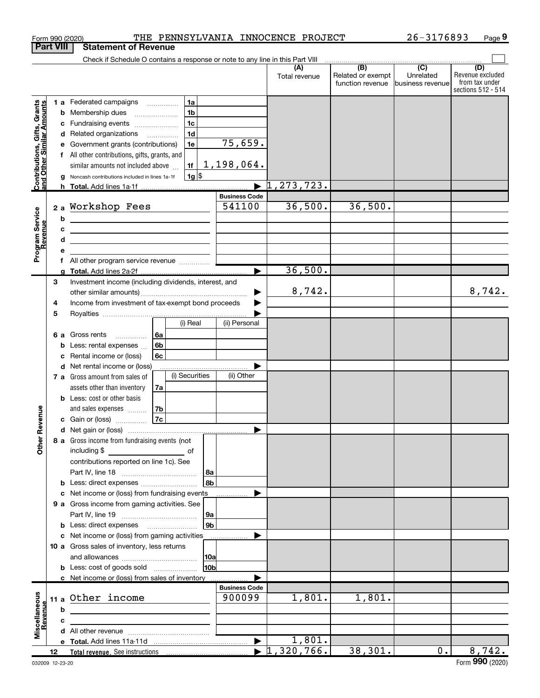|                                                                  | <b>Part VIII</b> | Form 990 (2020)<br><b>Statement of Revenue</b>                                |    |                |          |                      | THE PENNSYLVANIA INNOCENCE PROJECT |                          | $26 - 3176893$              |                                      | Page $9$ |
|------------------------------------------------------------------|------------------|-------------------------------------------------------------------------------|----|----------------|----------|----------------------|------------------------------------|--------------------------|-----------------------------|--------------------------------------|----------|
|                                                                  |                  | Check if Schedule O contains a response or note to any line in this Part VIII |    |                |          |                      |                                    |                          |                             |                                      |          |
|                                                                  |                  |                                                                               |    |                |          |                      | (A)<br>Total revenue               | (B)<br>Related or exempt | $\overline{C}$<br>Unrelated | (D)<br>Revenue excluded              |          |
|                                                                  |                  |                                                                               |    |                |          |                      |                                    | function revenue         | business revenue            | from tax under<br>sections 512 - 514 |          |
|                                                                  |                  | 1 a Federated campaigns                                                       |    | 1a             |          |                      |                                    |                          |                             |                                      |          |
| <b>Contributions, Gifts, Grants</b><br>and Other Similar Amounts |                  | <b>b</b> Membership dues<br>$\ldots \ldots \ldots \ldots$                     |    | 1 <sub>b</sub> |          |                      |                                    |                          |                             |                                      |          |
|                                                                  |                  | c Fundraising events                                                          |    | 1 <sub>c</sub> |          |                      |                                    |                          |                             |                                      |          |
|                                                                  |                  | d Related organizations                                                       |    | 1 <sub>d</sub> |          |                      |                                    |                          |                             |                                      |          |
|                                                                  |                  | e Government grants (contributions)                                           |    | 1e             |          | 75,659.              |                                    |                          |                             |                                      |          |
|                                                                  |                  | f All other contributions, gifts, grants, and                                 |    |                |          | 1,198,064.           |                                    |                          |                             |                                      |          |
|                                                                  |                  | similar amounts not included above                                            |    | 1f<br>$1g$ \$  |          |                      |                                    |                          |                             |                                      |          |
|                                                                  |                  | g Noncash contributions included in lines 1a-1f<br>h Total. Add lines 1a-1f   |    |                |          |                      | , 273, 723.                        |                          |                             |                                      |          |
|                                                                  |                  |                                                                               |    |                |          | <b>Business Code</b> |                                    |                          |                             |                                      |          |
|                                                                  |                  | 2a Workshop Fees                                                              |    |                |          | 541100               | 36,500.                            | 36,500.                  |                             |                                      |          |
|                                                                  | b                | <u> 1989 - Andrea Andrew Maria (h. 1989).</u>                                 |    |                |          |                      |                                    |                          |                             |                                      |          |
|                                                                  | c                | <u> 1980 - Jan Sterling Sterling (d. 1980)</u>                                |    |                |          |                      |                                    |                          |                             |                                      |          |
| Revenue                                                          | d                | <u> 1980 - Jan Barnett, fransk politiker (d. 1980)</u>                        |    |                |          |                      |                                    |                          |                             |                                      |          |
| Program Service                                                  |                  |                                                                               |    |                |          |                      |                                    |                          |                             |                                      |          |
|                                                                  |                  | f All other program service revenue                                           |    |                |          |                      | 36,500.                            |                          |                             |                                      |          |
|                                                                  | З                | Investment income (including dividends, interest, and                         |    |                |          |                      |                                    |                          |                             |                                      |          |
|                                                                  |                  |                                                                               |    |                |          | ▶                    | 8,742.                             |                          |                             | 8,742.                               |          |
|                                                                  | 4                | Income from investment of tax-exempt bond proceeds                            |    |                |          |                      |                                    |                          |                             |                                      |          |
|                                                                  | 5                |                                                                               |    |                |          |                      |                                    |                          |                             |                                      |          |
|                                                                  |                  |                                                                               |    | (i) Real       |          | (ii) Personal        |                                    |                          |                             |                                      |          |
|                                                                  |                  | 6a<br>Gross rents<br>6а<br>.                                                  |    |                |          |                      |                                    |                          |                             |                                      |          |
|                                                                  |                  | 6 <sub>b</sub><br><b>b</b> Less: rental expenses                              |    |                |          |                      |                                    |                          |                             |                                      |          |
|                                                                  |                  | c Rental income or (loss)                                                     | 6c |                |          |                      |                                    |                          |                             |                                      |          |
|                                                                  |                  | d Net rental income or (loss)                                                 |    |                |          |                      |                                    |                          |                             |                                      |          |
|                                                                  |                  | 7 a Gross amount from sales of                                                |    | (i) Securities |          | (ii) Other           |                                    |                          |                             |                                      |          |
|                                                                  |                  | assets other than inventory<br><b>b</b> Less: cost or other basis             | 7a |                |          |                      |                                    |                          |                             |                                      |          |
|                                                                  |                  | and sales expenses                                                            | 7b |                |          |                      |                                    |                          |                             |                                      |          |
| venue                                                            |                  | <b>c</b> Gain or (loss)                                                       | 7c |                |          |                      |                                    |                          |                             |                                      |          |
|                                                                  |                  |                                                                               |    |                |          |                      |                                    |                          |                             |                                      |          |
| Other Re                                                         |                  | 8 a Gross income from fundraising events (not                                 |    |                |          |                      |                                    |                          |                             |                                      |          |
|                                                                  |                  |                                                                               |    |                |          |                      |                                    |                          |                             |                                      |          |
|                                                                  |                  | contributions reported on line 1c). See                                       |    |                |          |                      |                                    |                          |                             |                                      |          |
|                                                                  |                  |                                                                               |    |                | 8a<br>8b |                      |                                    |                          |                             |                                      |          |
|                                                                  |                  | c Net income or (loss) from fundraising events                                |    |                |          |                      |                                    |                          |                             |                                      |          |
|                                                                  |                  | 9 a Gross income from gaming activities. See                                  |    |                |          |                      |                                    |                          |                             |                                      |          |
|                                                                  |                  |                                                                               |    |                | 9а       |                      |                                    |                          |                             |                                      |          |
|                                                                  |                  |                                                                               |    |                | 9b       |                      |                                    |                          |                             |                                      |          |
|                                                                  |                  | c Net income or (loss) from gaming activities                                 |    |                |          |                      |                                    |                          |                             |                                      |          |
|                                                                  |                  | 10 a Gross sales of inventory, less returns                                   |    |                |          |                      |                                    |                          |                             |                                      |          |
|                                                                  |                  |                                                                               |    |                | 10a      |                      |                                    |                          |                             |                                      |          |
|                                                                  |                  | <b>b</b> Less: cost of goods sold                                             |    |                | 10b      |                      |                                    |                          |                             |                                      |          |
|                                                                  |                  | c Net income or (loss) from sales of inventory                                |    |                |          | <b>Business Code</b> |                                    |                          |                             |                                      |          |
|                                                                  |                  | 11 a Other income                                                             |    |                |          | 900099               | 1,801.                             | 1,801.                   |                             |                                      |          |
|                                                                  | b                |                                                                               |    |                |          |                      |                                    |                          |                             |                                      |          |
| Miscellaneous<br>Revenue                                         | C                |                                                                               |    |                |          |                      |                                    |                          |                             |                                      |          |
|                                                                  |                  |                                                                               |    |                |          |                      |                                    |                          |                             |                                      |          |
|                                                                  |                  |                                                                               |    |                |          | ▶                    | 1,801.                             |                          |                             |                                      |          |
|                                                                  | 12               |                                                                               |    |                |          |                      | $\blacktriangleright$ 1,320,766.   | 38,301.                  | 0.                          | 8,742.                               |          |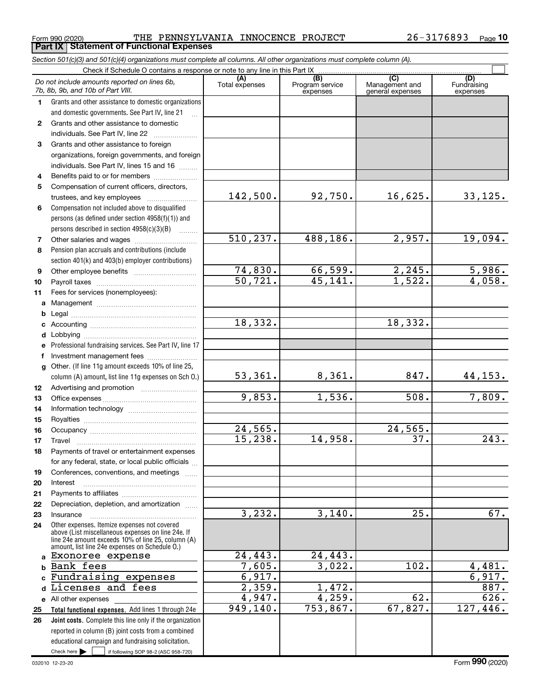$_{\rm Form}$   $_{990}$   $_{(2020)}$   $_{\rm THE}$   $_{\rm PENNSYLVANIA}$   $_{\rm INNOCENCE}$   $_{\rm RNOJECT}$   $_{\rm 26-3176893}$   $_{\rm Page}$ Form 990 (2020) THE PENNSYLVA<br>**Part IX | Statement of Functional Expenses** 

|              | Section 501(c)(3) and 501(c)(4) organizations must complete all columns. All other organizations must complete column (A).                                                                                 |                       |                                    |                                           |                                |  |  |  |  |  |  |
|--------------|------------------------------------------------------------------------------------------------------------------------------------------------------------------------------------------------------------|-----------------------|------------------------------------|-------------------------------------------|--------------------------------|--|--|--|--|--|--|
|              | Check if Schedule O contains a response or note to any line in this Part IX                                                                                                                                |                       |                                    |                                           |                                |  |  |  |  |  |  |
|              | Do not include amounts reported on lines 6b,<br>7b, 8b, 9b, and 10b of Part VIII.                                                                                                                          | (A)<br>Total expenses | (B)<br>Program service<br>expenses | (C)<br>Management and<br>general expenses | (D)<br>Fundraising<br>expenses |  |  |  |  |  |  |
| $\mathbf 1$  | Grants and other assistance to domestic organizations                                                                                                                                                      |                       |                                    |                                           |                                |  |  |  |  |  |  |
|              | and domestic governments. See Part IV, line 21                                                                                                                                                             |                       |                                    |                                           |                                |  |  |  |  |  |  |
| $\mathbf{2}$ | Grants and other assistance to domestic                                                                                                                                                                    |                       |                                    |                                           |                                |  |  |  |  |  |  |
|              | individuals. See Part IV, line 22                                                                                                                                                                          |                       |                                    |                                           |                                |  |  |  |  |  |  |
| 3            | Grants and other assistance to foreign                                                                                                                                                                     |                       |                                    |                                           |                                |  |  |  |  |  |  |
|              | organizations, foreign governments, and foreign                                                                                                                                                            |                       |                                    |                                           |                                |  |  |  |  |  |  |
|              | individuals. See Part IV, lines 15 and 16                                                                                                                                                                  |                       |                                    |                                           |                                |  |  |  |  |  |  |
| 4            | Benefits paid to or for members                                                                                                                                                                            |                       |                                    |                                           |                                |  |  |  |  |  |  |
| 5            | Compensation of current officers, directors,<br>trustees, and key employees                                                                                                                                | 142,500.              | 92,750.                            | 16,625.                                   | 33,125.                        |  |  |  |  |  |  |
| 6            | Compensation not included above to disqualified                                                                                                                                                            |                       |                                    |                                           |                                |  |  |  |  |  |  |
|              | persons (as defined under section 4958(f)(1)) and                                                                                                                                                          |                       |                                    |                                           |                                |  |  |  |  |  |  |
|              | persons described in section 4958(c)(3)(B)                                                                                                                                                                 |                       |                                    |                                           |                                |  |  |  |  |  |  |
| 7            | Other salaries and wages                                                                                                                                                                                   | 510, 237.             | 488,186.                           | 2,957.                                    | 19,094.                        |  |  |  |  |  |  |
| 8            | Pension plan accruals and contributions (include                                                                                                                                                           |                       |                                    |                                           |                                |  |  |  |  |  |  |
|              | section 401(k) and 403(b) employer contributions)                                                                                                                                                          |                       |                                    |                                           |                                |  |  |  |  |  |  |
| 9            |                                                                                                                                                                                                            | 74,830.               | <u>66,599.</u>                     |                                           | 5,986.                         |  |  |  |  |  |  |
| 10           |                                                                                                                                                                                                            | $\overline{50, 721.}$ | 45, 141.                           | $\frac{2,245.}{1,522.}$                   | 4,058.                         |  |  |  |  |  |  |
| 11           | Fees for services (nonemployees):                                                                                                                                                                          |                       |                                    |                                           |                                |  |  |  |  |  |  |
| a            |                                                                                                                                                                                                            |                       |                                    |                                           |                                |  |  |  |  |  |  |
|              |                                                                                                                                                                                                            |                       |                                    |                                           |                                |  |  |  |  |  |  |
|              |                                                                                                                                                                                                            | 18,332.               |                                    | 18,332.                                   |                                |  |  |  |  |  |  |
|              |                                                                                                                                                                                                            |                       |                                    |                                           |                                |  |  |  |  |  |  |
| е            | Professional fundraising services. See Part IV, line 17                                                                                                                                                    |                       |                                    |                                           |                                |  |  |  |  |  |  |
| f            | Investment management fees                                                                                                                                                                                 |                       |                                    |                                           |                                |  |  |  |  |  |  |
| g            | Other. (If line 11g amount exceeds 10% of line 25,                                                                                                                                                         |                       |                                    |                                           |                                |  |  |  |  |  |  |
|              | column (A) amount, list line 11g expenses on Sch 0.)                                                                                                                                                       | 53,361.               | 8,361.                             | 847.                                      | 44,153.                        |  |  |  |  |  |  |
| 12           |                                                                                                                                                                                                            |                       |                                    |                                           |                                |  |  |  |  |  |  |
| 13           |                                                                                                                                                                                                            | 9,853.                | 1,536.                             | 508.                                      | 7,809.                         |  |  |  |  |  |  |
| 14           |                                                                                                                                                                                                            |                       |                                    |                                           |                                |  |  |  |  |  |  |
| 15           |                                                                                                                                                                                                            | 24,565.               |                                    | 24,565.                                   |                                |  |  |  |  |  |  |
| 16           |                                                                                                                                                                                                            | 15,238.               | 14,958.                            | 37.                                       | 243.                           |  |  |  |  |  |  |
| 17<br>18     | Payments of travel or entertainment expenses                                                                                                                                                               |                       |                                    |                                           |                                |  |  |  |  |  |  |
|              | for any federal, state, or local public officials                                                                                                                                                          |                       |                                    |                                           |                                |  |  |  |  |  |  |
| 19           | Conferences, conventions, and meetings                                                                                                                                                                     |                       |                                    |                                           |                                |  |  |  |  |  |  |
| 20           | Interest                                                                                                                                                                                                   |                       |                                    |                                           |                                |  |  |  |  |  |  |
| 21           |                                                                                                                                                                                                            |                       |                                    |                                           |                                |  |  |  |  |  |  |
| 22           | Depreciation, depletion, and amortization                                                                                                                                                                  |                       |                                    |                                           |                                |  |  |  |  |  |  |
| 23           | Insurance                                                                                                                                                                                                  | 3,232.                | 3,140.                             | 25.                                       | 67.                            |  |  |  |  |  |  |
| 24           | Other expenses. Itemize expenses not covered<br>above (List miscellaneous expenses on line 24e. If<br>line 24e amount exceeds 10% of line 25, column (A)<br>amount, list line 24e expenses on Schedule O.) |                       |                                    |                                           |                                |  |  |  |  |  |  |
| a            | Exonoree expense                                                                                                                                                                                           | 24,443.               | 24,443.                            |                                           |                                |  |  |  |  |  |  |
|              | Bank fees                                                                                                                                                                                                  | 7,605.                | 3,022.                             | 102.                                      | 4,481.                         |  |  |  |  |  |  |
|              | Fundraising expenses                                                                                                                                                                                       | 6,917.                |                                    |                                           | 6,917.                         |  |  |  |  |  |  |
|              | Licenses and fees                                                                                                                                                                                          | 2,359.                | 1,472.                             |                                           | 887.                           |  |  |  |  |  |  |
|              | e All other expenses                                                                                                                                                                                       | 4,947.                | 4,259.                             | 62.                                       | 626.                           |  |  |  |  |  |  |
| 25           | Total functional expenses. Add lines 1 through 24e                                                                                                                                                         | 949,140.              | 753,867.                           | 67,827.                                   | 127,446.                       |  |  |  |  |  |  |
| 26           | <b>Joint costs.</b> Complete this line only if the organization                                                                                                                                            |                       |                                    |                                           |                                |  |  |  |  |  |  |
|              | reported in column (B) joint costs from a combined                                                                                                                                                         |                       |                                    |                                           |                                |  |  |  |  |  |  |
|              | educational campaign and fundraising solicitation.                                                                                                                                                         |                       |                                    |                                           |                                |  |  |  |  |  |  |
|              | Check here $\blacktriangleright$<br>if following SOP 98-2 (ASC 958-720)                                                                                                                                    |                       |                                    |                                           |                                |  |  |  |  |  |  |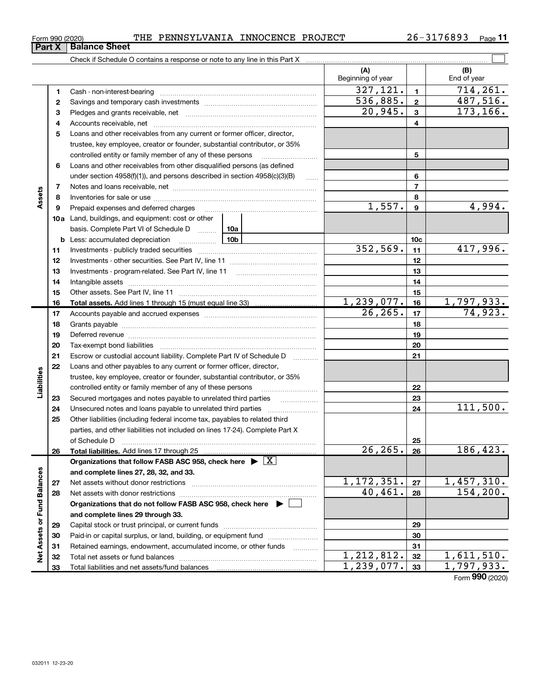33

Net Assets or Fund Balances

Total liabilities and net assets/fund balances

| THE PENNSYLVANIA INNOCENCE PROJECT |  |  |
|------------------------------------|--|--|
|------------------------------------|--|--|

 $\boxed{\phantom{1}}$ 

(A) (B)

| Form 990 (2020) |                      | THE | PENNSYLVANIA                                                               | INNOCENCE PROJECT | 76893<br>26–1 | Page |  |
|-----------------|----------------------|-----|----------------------------------------------------------------------------|-------------------|---------------|------|--|
| <b>Part X</b>   | <b>Balance Sheet</b> |     |                                                                            |                   |               |      |  |
|                 |                      |     | Check if Schedule O contains a response or note to any line in this Part X |                   |               |      |  |

|    |                                                                                                                                  |  | Beginning of year |                         | End of year       |
|----|----------------------------------------------------------------------------------------------------------------------------------|--|-------------------|-------------------------|-------------------|
| 1  | Cash - non-interest-bearing                                                                                                      |  | 327, 121.         | $\blacksquare$          | 714, 261.         |
| 2  |                                                                                                                                  |  | 536,885.          | $\overline{2}$          | 487,516.          |
| з  |                                                                                                                                  |  | 20,945.           | $\overline{\mathbf{3}}$ | 173,166.          |
| 4  |                                                                                                                                  |  |                   | 4                       |                   |
| 5  | Loans and other receivables from any current or former officer, director,                                                        |  |                   |                         |                   |
|    | trustee, key employee, creator or founder, substantial contributor, or 35%                                                       |  |                   |                         |                   |
|    | controlled entity or family member of any of these persons                                                                       |  |                   | 5                       |                   |
| 6  | Loans and other receivables from other disqualified persons (as defined                                                          |  |                   |                         |                   |
|    | under section $4958(f)(1)$ , and persons described in section $4958(c)(3)(B)$                                                    |  | 6                 |                         |                   |
| 7  |                                                                                                                                  |  |                   | $\overline{7}$          |                   |
| 8  |                                                                                                                                  |  |                   | 8                       |                   |
| 9  | Prepaid expenses and deferred charges                                                                                            |  | 1,557.            | 9                       | 4,994.            |
|    | <b>10a</b> Land, buildings, and equipment: cost or other                                                                         |  |                   |                         |                   |
|    | basis. Complete Part VI of Schedule D  10a                                                                                       |  |                   |                         |                   |
| b  | <u>10b</u><br>Less: accumulated depreciation                                                                                     |  |                   | 10 <sub>c</sub>         |                   |
| 11 |                                                                                                                                  |  | 352,569.          | 11                      | 417,996.          |
| 12 |                                                                                                                                  |  |                   | 12                      |                   |
| 13 |                                                                                                                                  |  |                   | 13                      |                   |
| 14 |                                                                                                                                  |  |                   | 14                      |                   |
| 15 |                                                                                                                                  |  |                   | 15                      |                   |
| 16 |                                                                                                                                  |  | 1,239,077.        | 16                      | <u>1,797,933.</u> |
| 17 |                                                                                                                                  |  | 26, 265.          | 17                      | 74,923.           |
| 18 |                                                                                                                                  |  |                   | 18                      |                   |
| 19 |                                                                                                                                  |  |                   | 19                      |                   |
| 20 |                                                                                                                                  |  |                   | 20                      |                   |
| 21 | Escrow or custodial account liability. Complete Part IV of Schedule D                                                            |  |                   | 21                      |                   |
| 22 | Loans and other payables to any current or former officer, director,                                                             |  |                   |                         |                   |
|    | trustee, key employee, creator or founder, substantial contributor, or 35%                                                       |  |                   |                         |                   |
|    | controlled entity or family member of any of these persons                                                                       |  |                   | 22                      |                   |
| 23 |                                                                                                                                  |  |                   | 23                      |                   |
| 24 | Unsecured notes and loans payable to unrelated third parties                                                                     |  |                   | 24                      | 111,500.          |
| 25 | Other liabilities (including federal income tax, payables to related third                                                       |  |                   |                         |                   |
|    | parties, and other liabilities not included on lines 17-24). Complete Part X                                                     |  |                   |                         |                   |
|    | of Schedule D                                                                                                                    |  | 26,265.           | 25<br>26                | 186,423.          |
| 26 | Total liabilities. Add lines 17 through 25<br>Organizations that follow FASB ASC 958, check here $\blacktriangleright \boxed{X}$ |  |                   |                         |                   |
|    | and complete lines 27, 28, 32, and 33.                                                                                           |  |                   |                         |                   |
| 27 | Net assets without donor restrictions                                                                                            |  | 1,172,351.        | 27                      | 1,457,310.        |
| 28 | Net assets with donor restrictions                                                                                               |  | 40,461.           | 28                      | 154, 200.         |
|    | Organizations that do not follow FASB ASC 958, check here $\blacktriangleright$                                                  |  |                   |                         |                   |
|    | and complete lines 29 through 33.                                                                                                |  |                   |                         |                   |
| 29 |                                                                                                                                  |  |                   | 29                      |                   |
| 30 | Paid-in or capital surplus, or land, building, or equipment fund                                                                 |  |                   | 30                      |                   |
| 31 | Retained earnings, endowment, accumulated income, or other funds                                                                 |  |                   | 31                      |                   |
| 32 |                                                                                                                                  |  | 1, 212, 812.      | 32                      | 1,611,510.        |
|    |                                                                                                                                  |  |                   |                         |                   |

Form 990 (2020)

33

 $1,239,077.$  33  $1,797,933.$ 

Assets

Liabilities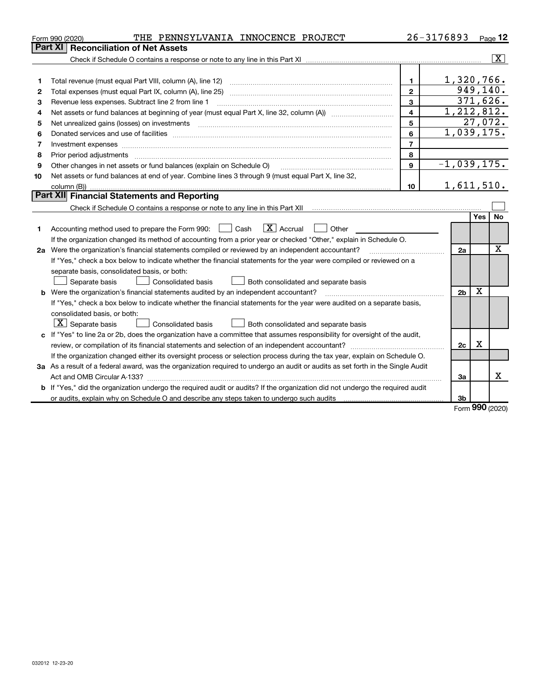|    | THE PENNSYLVANIA INNOCENCE PROJECT<br>Form 990 (2020)                                                                           |                | $26 - 3176893$ |                |          | $Page$ 12               |  |
|----|---------------------------------------------------------------------------------------------------------------------------------|----------------|----------------|----------------|----------|-------------------------|--|
|    | Part XI<br><b>Reconciliation of Net Assets</b>                                                                                  |                |                |                |          |                         |  |
|    |                                                                                                                                 |                |                |                |          | $\overline{\mathbf{X}}$ |  |
|    |                                                                                                                                 |                |                |                |          |                         |  |
| 1  |                                                                                                                                 | $\blacksquare$ |                | 1,320,766.     |          |                         |  |
| 2  |                                                                                                                                 | $\mathbf{2}$   |                |                |          | 949, 140.               |  |
| 3  | Revenue less expenses. Subtract line 2 from line 1                                                                              | 3              |                |                |          | 371,626.                |  |
| 4  |                                                                                                                                 | $\overline{4}$ |                | 1,212,812.     |          |                         |  |
| 5  | Net unrealized gains (losses) on investments                                                                                    | 5              |                |                |          | 27,072.                 |  |
| 6  |                                                                                                                                 | 6              |                | 1,039,175.     |          |                         |  |
| 7  | Investment expenses                                                                                                             | $\overline{7}$ |                |                |          |                         |  |
| 8  | Prior period adjustments                                                                                                        | 8              |                |                |          |                         |  |
| 9  | Other changes in net assets or fund balances (explain on Schedule O)                                                            | $\mathbf{9}$   |                | $-1,039,175.$  |          |                         |  |
| 10 | Net assets or fund balances at end of year. Combine lines 3 through 9 (must equal Part X, line 32,                              |                |                |                |          |                         |  |
|    | column (B))                                                                                                                     | 10             |                | 1,611,510.     |          |                         |  |
|    | <b>Part XII</b> Financial Statements and Reporting                                                                              |                |                |                |          |                         |  |
|    |                                                                                                                                 |                |                |                |          |                         |  |
|    |                                                                                                                                 |                |                |                | Yes      | No                      |  |
| 1  | $\boxed{\mathbf{X}}$ Accrual<br>Accounting method used to prepare the Form 990: <u>I</u> Cash<br>Other                          |                |                |                |          |                         |  |
|    | If the organization changed its method of accounting from a prior year or checked "Other," explain in Schedule O.               |                |                |                |          |                         |  |
|    | 2a Were the organization's financial statements compiled or reviewed by an independent accountant?                              |                |                |                |          |                         |  |
|    | If "Yes," check a box below to indicate whether the financial statements for the year were compiled or reviewed on a            |                |                |                |          |                         |  |
|    | separate basis, consolidated basis, or both:                                                                                    |                |                |                |          |                         |  |
|    | Separate basis<br><b>Consolidated basis</b><br>Both consolidated and separate basis                                             |                |                |                |          |                         |  |
|    | <b>b</b> Were the organization's financial statements audited by an independent accountant?                                     |                |                | 2 <sub>b</sub> | X        |                         |  |
|    | If "Yes," check a box below to indicate whether the financial statements for the year were audited on a separate basis,         |                |                |                |          |                         |  |
|    | consolidated basis, or both:                                                                                                    |                |                |                |          |                         |  |
|    | $X$ Separate basis<br>Consolidated basis<br>Both consolidated and separate basis                                                |                |                |                |          |                         |  |
|    | c If "Yes" to line 2a or 2b, does the organization have a committee that assumes responsibility for oversight of the audit,     |                |                |                |          |                         |  |
|    |                                                                                                                                 |                |                | 2c             | Χ        |                         |  |
|    | If the organization changed either its oversight process or selection process during the tax year, explain on Schedule O.       |                |                |                |          |                         |  |
|    | 3a As a result of a federal award, was the organization required to undergo an audit or audits as set forth in the Single Audit |                |                |                |          |                         |  |
|    |                                                                                                                                 |                |                | За             |          | x                       |  |
|    | b If "Yes," did the organization undergo the required audit or audits? If the organization did not undergo the required audit   |                |                |                |          |                         |  |
|    | or audits, explain why on Schedule O and describe any steps taken to undergo such audits manufactured university                |                |                | 3b             | $\Omega$ |                         |  |

Form 990 (2020)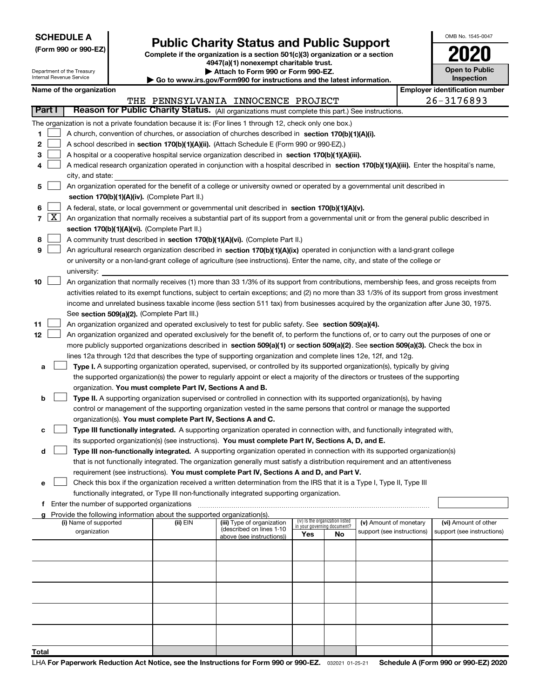| <b>SCHEDULE A</b> |
|-------------------|
|-------------------|

# Public Charity Status and Public Support<br>
omplete if the organization is a section 501(c)(3) organization or a section<br>  $4947(3)$  (1) nonexempt charitable trust

(Form 990 or 990-EZ) Complete if the organization is a section 501(c)(3) organization or a section 4947(a)(1) nonexempt charitable trust.

| Attach to Form 990 or Form 990-EZ.                           |
|--------------------------------------------------------------|
| usu iro qoy/Eorm000 for inotruotiona and the latest informal |

| OMB No. 1545-0047                   |  |
|-------------------------------------|--|
| $\mathbf{L}$                        |  |
| <b>Open to Public</b><br>Inspection |  |

٦

L

| Department of the Treasury<br>Attach to Form 990 or Form 990-EZ.<br>Internal Revenue Service<br>Go to www.irs.gov/Form990 for instructions and the latest information. |        |                                               |  | <b>Open to Public</b><br>Inspection                                    |                                                                                                                                              |     |                                                                |                            |  |                                       |  |
|------------------------------------------------------------------------------------------------------------------------------------------------------------------------|--------|-----------------------------------------------|--|------------------------------------------------------------------------|----------------------------------------------------------------------------------------------------------------------------------------------|-----|----------------------------------------------------------------|----------------------------|--|---------------------------------------|--|
|                                                                                                                                                                        |        | Name of the organization                      |  |                                                                        |                                                                                                                                              |     |                                                                |                            |  | <b>Employer identification number</b> |  |
|                                                                                                                                                                        |        |                                               |  |                                                                        | THE PENNSYLVANIA INNOCENCE PROJECT                                                                                                           |     |                                                                |                            |  | 26-3176893                            |  |
|                                                                                                                                                                        | Part I |                                               |  |                                                                        | Reason for Public Charity Status. (All organizations must complete this part.) See instructions.                                             |     |                                                                |                            |  |                                       |  |
|                                                                                                                                                                        |        |                                               |  |                                                                        | The organization is not a private foundation because it is: (For lines 1 through 12, check only one box.)                                    |     |                                                                |                            |  |                                       |  |
| 1                                                                                                                                                                      |        |                                               |  |                                                                        | A church, convention of churches, or association of churches described in section 170(b)(1)(A)(i).                                           |     |                                                                |                            |  |                                       |  |
| 2                                                                                                                                                                      |        |                                               |  |                                                                        | A school described in section 170(b)(1)(A)(ii). (Attach Schedule E (Form 990 or 990-EZ).)                                                    |     |                                                                |                            |  |                                       |  |
| з                                                                                                                                                                      |        |                                               |  |                                                                        | A hospital or a cooperative hospital service organization described in section 170(b)(1)(A)(iii).                                            |     |                                                                |                            |  |                                       |  |
| 4                                                                                                                                                                      |        |                                               |  |                                                                        | A medical research organization operated in conjunction with a hospital described in section 170(b)(1)(A)(iii). Enter the hospital's name,   |     |                                                                |                            |  |                                       |  |
|                                                                                                                                                                        |        | city, and state:                              |  |                                                                        |                                                                                                                                              |     |                                                                |                            |  |                                       |  |
| 5                                                                                                                                                                      |        |                                               |  |                                                                        | An organization operated for the benefit of a college or university owned or operated by a governmental unit described in                    |     |                                                                |                            |  |                                       |  |
|                                                                                                                                                                        |        | section 170(b)(1)(A)(iv). (Complete Part II.) |  |                                                                        |                                                                                                                                              |     |                                                                |                            |  |                                       |  |
| 6                                                                                                                                                                      |        |                                               |  |                                                                        | A federal, state, or local government or governmental unit described in section 170(b)(1)(A)(v).                                             |     |                                                                |                            |  |                                       |  |
|                                                                                                                                                                        | 7   X  |                                               |  |                                                                        | An organization that normally receives a substantial part of its support from a governmental unit or from the general public described in    |     |                                                                |                            |  |                                       |  |
|                                                                                                                                                                        |        |                                               |  | section 170(b)(1)(A)(vi). (Complete Part II.)                          |                                                                                                                                              |     |                                                                |                            |  |                                       |  |
| 8                                                                                                                                                                      |        |                                               |  |                                                                        | A community trust described in section 170(b)(1)(A)(vi). (Complete Part II.)                                                                 |     |                                                                |                            |  |                                       |  |
| 9                                                                                                                                                                      |        |                                               |  |                                                                        | An agricultural research organization described in section 170(b)(1)(A)(ix) operated in conjunction with a land-grant college                |     |                                                                |                            |  |                                       |  |
|                                                                                                                                                                        |        |                                               |  |                                                                        | or university or a non-land-grant college of agriculture (see instructions). Enter the name, city, and state of the college or               |     |                                                                |                            |  |                                       |  |
|                                                                                                                                                                        |        | university:                                   |  |                                                                        |                                                                                                                                              |     |                                                                |                            |  |                                       |  |
| 10                                                                                                                                                                     |        |                                               |  |                                                                        | An organization that normally receives (1) more than 33 1/3% of its support from contributions, membership fees, and gross receipts from     |     |                                                                |                            |  |                                       |  |
|                                                                                                                                                                        |        |                                               |  |                                                                        | activities related to its exempt functions, subject to certain exceptions; and (2) no more than 33 1/3% of its support from gross investment |     |                                                                |                            |  |                                       |  |
|                                                                                                                                                                        |        |                                               |  |                                                                        | income and unrelated business taxable income (less section 511 tax) from businesses acquired by the organization after June 30, 1975.        |     |                                                                |                            |  |                                       |  |
|                                                                                                                                                                        |        |                                               |  | See section 509(a)(2). (Complete Part III.)                            |                                                                                                                                              |     |                                                                |                            |  |                                       |  |
| 11                                                                                                                                                                     |        |                                               |  |                                                                        | An organization organized and operated exclusively to test for public safety. See section 509(a)(4).                                         |     |                                                                |                            |  |                                       |  |
| 12                                                                                                                                                                     |        |                                               |  |                                                                        | An organization organized and operated exclusively for the benefit of, to perform the functions of, or to carry out the purposes of one or   |     |                                                                |                            |  |                                       |  |
|                                                                                                                                                                        |        |                                               |  |                                                                        | more publicly supported organizations described in section 509(a)(1) or section 509(a)(2). See section 509(a)(3). Check the box in           |     |                                                                |                            |  |                                       |  |
|                                                                                                                                                                        |        |                                               |  |                                                                        | lines 12a through 12d that describes the type of supporting organization and complete lines 12e, 12f, and 12g.                               |     |                                                                |                            |  |                                       |  |
| а                                                                                                                                                                      |        |                                               |  |                                                                        | Type I. A supporting organization operated, supervised, or controlled by its supported organization(s), typically by giving                  |     |                                                                |                            |  |                                       |  |
|                                                                                                                                                                        |        |                                               |  |                                                                        | the supported organization(s) the power to regularly appoint or elect a majority of the directors or trustees of the supporting              |     |                                                                |                            |  |                                       |  |
|                                                                                                                                                                        |        |                                               |  | organization. You must complete Part IV, Sections A and B.             |                                                                                                                                              |     |                                                                |                            |  |                                       |  |
| b                                                                                                                                                                      |        |                                               |  |                                                                        | Type II. A supporting organization supervised or controlled in connection with its supported organization(s), by having                      |     |                                                                |                            |  |                                       |  |
|                                                                                                                                                                        |        |                                               |  |                                                                        | control or management of the supporting organization vested in the same persons that control or manage the supported                         |     |                                                                |                            |  |                                       |  |
|                                                                                                                                                                        |        |                                               |  | organization(s). You must complete Part IV, Sections A and C.          |                                                                                                                                              |     |                                                                |                            |  |                                       |  |
| с                                                                                                                                                                      |        |                                               |  |                                                                        | Type III functionally integrated. A supporting organization operated in connection with, and functionally integrated with,                   |     |                                                                |                            |  |                                       |  |
|                                                                                                                                                                        |        |                                               |  |                                                                        | its supported organization(s) (see instructions). You must complete Part IV, Sections A, D, and E.                                           |     |                                                                |                            |  |                                       |  |
| d                                                                                                                                                                      |        |                                               |  |                                                                        | Type III non-functionally integrated. A supporting organization operated in connection with its supported organization(s)                    |     |                                                                |                            |  |                                       |  |
|                                                                                                                                                                        |        |                                               |  |                                                                        | that is not functionally integrated. The organization generally must satisfy a distribution requirement and an attentiveness                 |     |                                                                |                            |  |                                       |  |
|                                                                                                                                                                        |        |                                               |  |                                                                        | requirement (see instructions). You must complete Part IV, Sections A and D, and Part V.                                                     |     |                                                                |                            |  |                                       |  |
| е                                                                                                                                                                      |        |                                               |  |                                                                        | Check this box if the organization received a written determination from the IRS that it is a Type I, Type II, Type III                      |     |                                                                |                            |  |                                       |  |
|                                                                                                                                                                        |        |                                               |  |                                                                        | functionally integrated, or Type III non-functionally integrated supporting organization.                                                    |     |                                                                |                            |  |                                       |  |
|                                                                                                                                                                        |        | f Enter the number of supported organizations |  |                                                                        |                                                                                                                                              |     |                                                                |                            |  |                                       |  |
| a                                                                                                                                                                      |        |                                               |  | Provide the following information about the supported organization(s). |                                                                                                                                              |     |                                                                |                            |  |                                       |  |
|                                                                                                                                                                        |        | (i) Name of supported                         |  | (ii) EIN                                                               | (iii) Type of organization                                                                                                                   |     | (iv) Is the organization listed<br>in your governing document? | (v) Amount of monetary     |  | (vi) Amount of other                  |  |
|                                                                                                                                                                        |        | organization                                  |  |                                                                        | (described on lines 1-10<br>above (see instructions))                                                                                        | Yes | No                                                             | support (see instructions) |  | support (see instructions)            |  |
|                                                                                                                                                                        |        |                                               |  |                                                                        |                                                                                                                                              |     |                                                                |                            |  |                                       |  |
|                                                                                                                                                                        |        |                                               |  |                                                                        |                                                                                                                                              |     |                                                                |                            |  |                                       |  |
|                                                                                                                                                                        |        |                                               |  |                                                                        |                                                                                                                                              |     |                                                                |                            |  |                                       |  |
|                                                                                                                                                                        |        |                                               |  |                                                                        |                                                                                                                                              |     |                                                                |                            |  |                                       |  |
|                                                                                                                                                                        |        |                                               |  |                                                                        |                                                                                                                                              |     |                                                                |                            |  |                                       |  |
|                                                                                                                                                                        |        |                                               |  |                                                                        |                                                                                                                                              |     |                                                                |                            |  |                                       |  |
|                                                                                                                                                                        |        |                                               |  |                                                                        |                                                                                                                                              |     |                                                                |                            |  |                                       |  |
|                                                                                                                                                                        |        |                                               |  |                                                                        |                                                                                                                                              |     |                                                                |                            |  |                                       |  |
|                                                                                                                                                                        |        |                                               |  |                                                                        |                                                                                                                                              |     |                                                                |                            |  |                                       |  |
|                                                                                                                                                                        |        |                                               |  |                                                                        |                                                                                                                                              |     |                                                                |                            |  |                                       |  |
|                                                                                                                                                                        |        |                                               |  |                                                                        |                                                                                                                                              |     |                                                                |                            |  |                                       |  |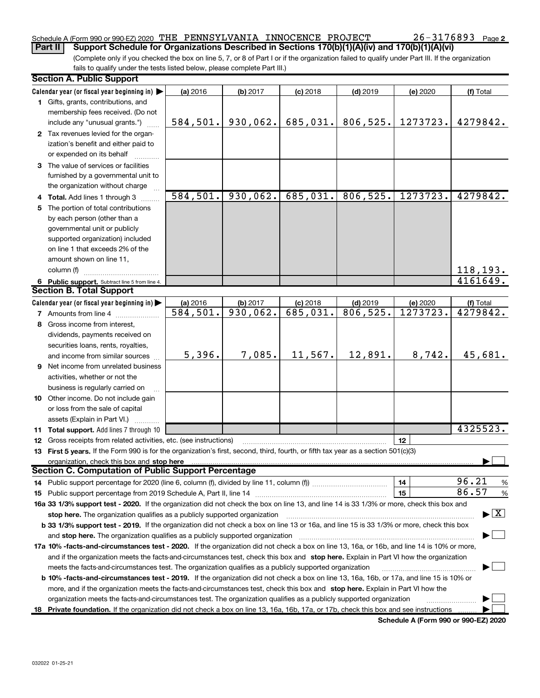### Schedule A (Form 990 or 990-EZ) 2020 THE PENNSYLVANIA INNOCENCE PROJECT  $26-3176893$  Page

(Complete only if you checked the box on line 5, 7, or 8 of Part I or if the organization failed to qualify under Part III. If the organization fails to qualify under the tests listed below, please complete Part III.) Part II | Support Schedule for Organizations Described in Sections 170(b)(1)(A)(iv) and 170(b)(1)(A)(vi)

| <b>Section A. Public Support</b>                                                                                                           |           |          |            |            |          |                                          |
|--------------------------------------------------------------------------------------------------------------------------------------------|-----------|----------|------------|------------|----------|------------------------------------------|
| Calendar year (or fiscal year beginning in)                                                                                                | (a) 2016  | (b) 2017 | $(c)$ 2018 | $(d)$ 2019 | (e) 2020 | (f) Total                                |
| 1 Gifts, grants, contributions, and                                                                                                        |           |          |            |            |          |                                          |
| membership fees received. (Do not                                                                                                          |           |          |            |            |          |                                          |
| include any "unusual grants.")                                                                                                             | 584,501.  | 930,062. | 685,031.   | 806,525.   | 1273723. | 4279842.                                 |
| 2 Tax revenues levied for the organ-                                                                                                       |           |          |            |            |          |                                          |
| ization's benefit and either paid to                                                                                                       |           |          |            |            |          |                                          |
| or expended on its behalf                                                                                                                  |           |          |            |            |          |                                          |
| 3 The value of services or facilities                                                                                                      |           |          |            |            |          |                                          |
| furnished by a governmental unit to                                                                                                        |           |          |            |            |          |                                          |
| the organization without charge                                                                                                            |           |          |            |            |          |                                          |
| 4 Total. Add lines 1 through 3                                                                                                             | 584, 501. | 930,062. | 685,031.   | 806, 525.  | 1273723. | 4279842.                                 |
| The portion of total contributions                                                                                                         |           |          |            |            |          |                                          |
| by each person (other than a                                                                                                               |           |          |            |            |          |                                          |
| governmental unit or publicly                                                                                                              |           |          |            |            |          |                                          |
|                                                                                                                                            |           |          |            |            |          |                                          |
| supported organization) included                                                                                                           |           |          |            |            |          |                                          |
| on line 1 that exceeds 2% of the                                                                                                           |           |          |            |            |          |                                          |
| amount shown on line 11,                                                                                                                   |           |          |            |            |          |                                          |
| column (f)                                                                                                                                 |           |          |            |            |          | 118,193.                                 |
| 6 Public support. Subtract line 5 from line 4.                                                                                             |           |          |            |            |          | 4161649.                                 |
| <b>Section B. Total Support</b>                                                                                                            |           |          |            |            |          |                                          |
| Calendar year (or fiscal year beginning in)                                                                                                | (a) 2016  | (b) 2017 | $(c)$ 2018 | $(d)$ 2019 | (e) 2020 | (f) Total                                |
| <b>7</b> Amounts from line 4                                                                                                               | 584, 501. | 930,062. | 685,031.   | 806, 525.  | 1273723. | 4279842.                                 |
| 8 Gross income from interest,                                                                                                              |           |          |            |            |          |                                          |
| dividends, payments received on                                                                                                            |           |          |            |            |          |                                          |
| securities loans, rents, royalties,                                                                                                        |           |          |            |            |          |                                          |
| and income from similar sources                                                                                                            | 5,396.    | 7,085.   | 11,567.    | 12,891.    | 8,742.   | 45,681.                                  |
| <b>9</b> Net income from unrelated business                                                                                                |           |          |            |            |          |                                          |
| activities, whether or not the                                                                                                             |           |          |            |            |          |                                          |
| business is regularly carried on                                                                                                           |           |          |            |            |          |                                          |
| 10 Other income. Do not include gain                                                                                                       |           |          |            |            |          |                                          |
| or loss from the sale of capital                                                                                                           |           |          |            |            |          |                                          |
| assets (Explain in Part VI.)                                                                                                               |           |          |            |            |          |                                          |
| 11 Total support. Add lines 7 through 10                                                                                                   |           |          |            |            |          | 4325523.                                 |
| 12 Gross receipts from related activities, etc. (see instructions)                                                                         |           |          |            |            | 12       |                                          |
| 13 First 5 years. If the Form 990 is for the organization's first, second, third, fourth, or fifth tax year as a section 501(c)(3)         |           |          |            |            |          |                                          |
|                                                                                                                                            |           |          |            |            |          |                                          |
| organization, check this box and stop here<br><b>Section C. Computation of Public Support Percentage</b>                                   |           |          |            |            |          |                                          |
|                                                                                                                                            |           |          |            |            | 14       | 96.21                                    |
| 14 Public support percentage for 2020 (line 6, column (f), divided by line 11, column (f) <i>mummumumum</i>                                |           |          |            |            | 15       | %<br>86.57                               |
| 15 Public support percentage from 2019 Schedule A, Part II, line 14                                                                        |           |          |            |            |          | %                                        |
| 16a 33 1/3% support test - 2020. If the organization did not check the box on line 13, and line 14 is 33 1/3% or more, check this box and  |           |          |            |            |          |                                          |
| stop here. The organization qualifies as a publicly supported organization                                                                 |           |          |            |            |          | $\blacktriangleright$ $\boxed{\text{X}}$ |
| b 33 1/3% support test - 2019. If the organization did not check a box on line 13 or 16a, and line 15 is 33 1/3% or more, check this box   |           |          |            |            |          |                                          |
| and stop here. The organization qualifies as a publicly supported organization                                                             |           |          |            |            |          |                                          |
| 17a 10% -facts-and-circumstances test - 2020. If the organization did not check a box on line 13, 16a, or 16b, and line 14 is 10% or more, |           |          |            |            |          |                                          |
| and if the organization meets the facts-and-circumstances test, check this box and stop here. Explain in Part VI how the organization      |           |          |            |            |          |                                          |
| meets the facts-and-circumstances test. The organization qualifies as a publicly supported organization                                    |           |          |            |            |          |                                          |
| b 10% -facts-and-circumstances test - 2019. If the organization did not check a box on line 13, 16a, 16b, or 17a, and line 15 is 10% or    |           |          |            |            |          |                                          |
| more, and if the organization meets the facts-and-circumstances test, check this box and stop here. Explain in Part VI how the             |           |          |            |            |          |                                          |
| organization meets the facts-and-circumstances test. The organization qualifies as a publicly supported organization                       |           |          |            |            |          |                                          |
| 18 Private foundation. If the organization did not check a box on line 13, 16a, 16b, 17a, or 17b, check this box and see instructions      |           |          |            |            |          |                                          |

Schedule A (Form 990 or 990-EZ) 2020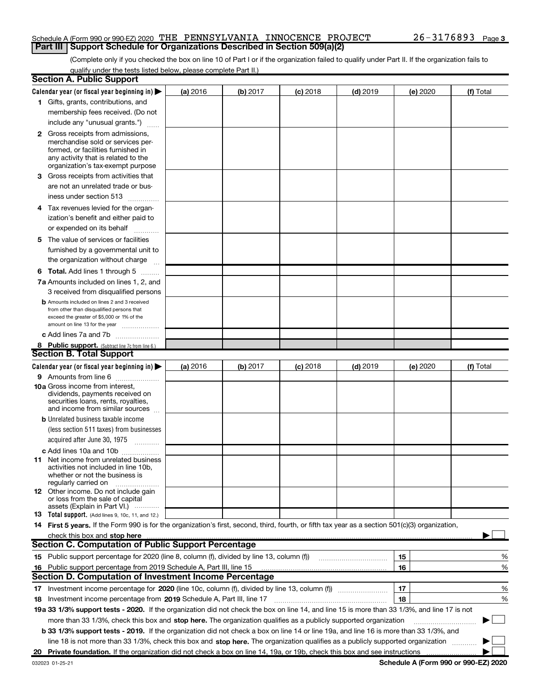#### Schedule A (Form 990 or 990-EZ) 2020 THE PENNSYLVANIA INNOCENCE PROJECT  $26-3176893$  Page **Part III | Support Schedule for Organizations Described in Section 509(a)(2)**

(Complete only if you checked the box on line 10 of Part I or if the organization failed to qualify under Part II. If the organization fails to qualify under the tests listed below, please complete Part II.)

|   | <b>Section A. Public Support</b>                                                                                                                                                 |          |          |            |            |          |           |
|---|----------------------------------------------------------------------------------------------------------------------------------------------------------------------------------|----------|----------|------------|------------|----------|-----------|
|   | Calendar year (or fiscal year beginning in)                                                                                                                                      | (a) 2016 | (b) 2017 | $(c)$ 2018 | $(d)$ 2019 | (e) 2020 | (f) Total |
|   | 1 Gifts, grants, contributions, and                                                                                                                                              |          |          |            |            |          |           |
|   | membership fees received. (Do not                                                                                                                                                |          |          |            |            |          |           |
|   | include any "unusual grants.")                                                                                                                                                   |          |          |            |            |          |           |
|   | 2 Gross receipts from admissions,<br>merchandise sold or services per-<br>formed, or facilities furnished in<br>any activity that is related to the                              |          |          |            |            |          |           |
|   | organization's tax-exempt purpose                                                                                                                                                |          |          |            |            |          |           |
| З | Gross receipts from activities that                                                                                                                                              |          |          |            |            |          |           |
|   | are not an unrelated trade or bus-                                                                                                                                               |          |          |            |            |          |           |
|   | iness under section 513                                                                                                                                                          |          |          |            |            |          |           |
|   | 4 Tax revenues levied for the organ-                                                                                                                                             |          |          |            |            |          |           |
|   | ization's benefit and either paid to                                                                                                                                             |          |          |            |            |          |           |
|   | or expended on its behalf                                                                                                                                                        |          |          |            |            |          |           |
|   | 5 The value of services or facilities                                                                                                                                            |          |          |            |            |          |           |
|   | furnished by a governmental unit to                                                                                                                                              |          |          |            |            |          |           |
|   | the organization without charge                                                                                                                                                  |          |          |            |            |          |           |
|   | <b>6 Total.</b> Add lines 1 through 5 $\dots$                                                                                                                                    |          |          |            |            |          |           |
|   | 7a Amounts included on lines 1, 2, and                                                                                                                                           |          |          |            |            |          |           |
|   | 3 received from disqualified persons                                                                                                                                             |          |          |            |            |          |           |
|   | <b>b</b> Amounts included on lines 2 and 3 received<br>from other than disqualified persons that<br>exceed the greater of \$5,000 or 1% of the<br>amount on line 13 for the year |          |          |            |            |          |           |
|   | c Add lines 7a and 7b                                                                                                                                                            |          |          |            |            |          |           |
|   | 8 Public support. (Subtract line 7c from line 6.)                                                                                                                                |          |          |            |            |          |           |
|   | <b>Section B. Total Support</b>                                                                                                                                                  |          |          |            |            |          |           |
|   | Calendar year (or fiscal year beginning in) $\blacktriangleright$                                                                                                                | (a) 2016 | (b) 2017 | $(c)$ 2018 | $(d)$ 2019 | (e) 2020 | (f) Total |
|   | 9 Amounts from line 6                                                                                                                                                            |          |          |            |            |          |           |
|   | 10a Gross income from interest,<br>dividends, payments received on<br>securities loans, rents, royalties,<br>and income from similar sources                                     |          |          |            |            |          |           |
|   | <b>b</b> Unrelated business taxable income                                                                                                                                       |          |          |            |            |          |           |
|   | (less section 511 taxes) from businesses                                                                                                                                         |          |          |            |            |          |           |
|   | acquired after June 30, 1975                                                                                                                                                     |          |          |            |            |          |           |
|   | c Add lines 10a and 10b                                                                                                                                                          |          |          |            |            |          |           |
|   | 11 Net income from unrelated business<br>activities not included in line 10b.<br>whether or not the business is<br>regularly carried on                                          |          |          |            |            |          |           |
|   | 12 Other income. Do not include gain<br>or loss from the sale of capital<br>assets (Explain in Part VI.)                                                                         |          |          |            |            |          |           |
|   | <b>13</b> Total support. (Add lines 9, 10c, 11, and 12.)                                                                                                                         |          |          |            |            |          |           |
|   | 14 First 5 years. If the Form 990 is for the organization's first, second, third, fourth, or fifth tax year as a section 501(c)(3) organization,                                 |          |          |            |            |          |           |
|   | check this box and stop here                                                                                                                                                     |          |          |            |            |          |           |
|   | <b>Section C. Computation of Public Support Percentage</b>                                                                                                                       |          |          |            |            |          |           |
|   | 15 Public support percentage for 2020 (line 8, column (f), divided by line 13, column (f))                                                                                       |          |          |            |            | 15       | %         |
|   | 16 Public support percentage from 2019 Schedule A, Part III, line 15                                                                                                             |          |          |            |            | 16       | %         |
|   | <b>Section D. Computation of Investment Income Percentage</b>                                                                                                                    |          |          |            |            |          |           |
|   |                                                                                                                                                                                  |          |          |            |            | 17       | %         |
|   | 18 Investment income percentage from 2019 Schedule A, Part III, line 17                                                                                                          |          |          |            |            | 18       | %         |
|   | 19a 33 1/3% support tests - 2020. If the organization did not check the box on line 14, and line 15 is more than 33 1/3%, and line 17 is not                                     |          |          |            |            |          |           |
|   | more than 33 1/3%, check this box and stop here. The organization qualifies as a publicly supported organization                                                                 |          |          |            |            |          |           |
|   | <b>b 33 1/3% support tests - 2019.</b> If the organization did not check a box on line 14 or line 19a, and line 16 is more than 33 1/3%, and                                     |          |          |            |            |          |           |
|   | line 18 is not more than 33 1/3%, check this box and stop here. The organization qualifies as a publicly supported organization                                                  |          |          |            |            |          |           |
|   | 20 Private foundation. If the organization did not check a box on line 14, 19a, or 19b, check this box and see instructions                                                      |          |          |            |            |          |           |

Schedule A (Form 990 or 990-EZ) 2020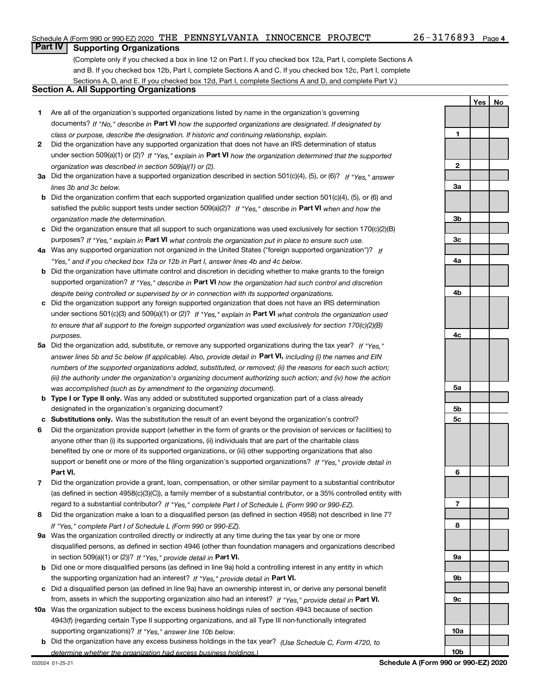Yes | No

## **Part IV | Supporting Organizations**

(Complete only if you checked a box in line 12 on Part I. If you checked box 12a, Part I, complete Sections A and B. If you checked box 12b, Part I, complete Sections A and C. If you checked box 12c, Part I, complete Sections A, D, and E. If you checked box 12d, Part I, complete Sections A and D, and complete Part V.)

#### Section A. All Supporting Organizations

- 1 Are all of the organization's supported organizations listed by name in the organization's governing documents? If "No," describe in Part VI how the supported organizations are designated. If designated by class or purpose, describe the designation. If historic and continuing relationship, explain.
- 2 Did the organization have any supported organization that does not have an IRS determination of status under section 509(a)(1) or (2)? If "Yes," explain in Part VI how the organization determined that the supported organization was described in section 509(a)(1) or (2).
- 3a Did the organization have a supported organization described in section 501(c)(4), (5), or (6)? If "Yes," answer lines 3b and 3c below.
- b Did the organization confirm that each supported organization qualified under section 501(c)(4), (5), or (6) and satisfied the public support tests under section 509(a)(2)? If "Yes," describe in Part VI when and how the organization made the determination.
- c Did the organization ensure that all support to such organizations was used exclusively for section 170(c)(2)(B) purposes? If "Yes," explain in Part VI what controls the organization put in place to ensure such use.
- 4a Was any supported organization not organized in the United States ("foreign supported organization")? If "Yes," and if you checked box 12a or 12b in Part I, answer lines 4b and 4c below.
- b Did the organization have ultimate control and discretion in deciding whether to make grants to the foreign supported organization? If "Yes," describe in Part VI how the organization had such control and discretion despite being controlled or supervised by or in connection with its supported organizations.
- c Did the organization support any foreign supported organization that does not have an IRS determination under sections 501(c)(3) and 509(a)(1) or (2)? If "Yes," explain in Part VI what controls the organization used to ensure that all support to the foreign supported organization was used exclusively for section 170(c)(2)(B) purposes.
- 5a Did the organization add, substitute, or remove any supported organizations during the tax year? If "Yes," answer lines 5b and 5c below (if applicable). Also, provide detail in **Part VI,** including (i) the names and EIN numbers of the supported organizations added, substituted, or removed; (ii) the reasons for each such action; (iii) the authority under the organization's organizing document authorizing such action; and (iv) how the action was accomplished (such as by amendment to the organizing document).
- **b Type I or Type II only.** Was any added or substituted supported organization part of a class already designated in the organization's organizing document?
- c Substitutions only. Was the substitution the result of an event beyond the organization's control?
- 6 Did the organization provide support (whether in the form of grants or the provision of services or facilities) to Part VI. support or benefit one or more of the filing organization's supported organizations? If "Yes," provide detail in anyone other than (i) its supported organizations, (ii) individuals that are part of the charitable class benefited by one or more of its supported organizations, or (iii) other supporting organizations that also
- 7 Did the organization provide a grant, loan, compensation, or other similar payment to a substantial contributor regard to a substantial contributor? If "Yes," complete Part I of Schedule L (Form 990 or 990-EZ). (as defined in section 4958(c)(3)(C)), a family member of a substantial contributor, or a 35% controlled entity with
- 8 Did the organization make a loan to a disqualified person (as defined in section 4958) not described in line 7? If "Yes," complete Part I of Schedule L (Form 990 or 990-EZ).
- **9a** Was the organization controlled directly or indirectly at any time during the tax year by one or more in section 509(a)(1) or (2))? If "Yes," provide detail in Part VI. disqualified persons, as defined in section 4946 (other than foundation managers and organizations described
- b Did one or more disqualified persons (as defined in line 9a) hold a controlling interest in any entity in which the supporting organization had an interest? If "Yes," provide detail in Part VI.
- c Did a disqualified person (as defined in line 9a) have an ownership interest in, or derive any personal benefit from, assets in which the supporting organization also had an interest? If "Yes," provide detail in Part VI.
- 10a Was the organization subject to the excess business holdings rules of section 4943 because of section supporting organizations)? If "Yes," answer line 10b below. 4943(f) (regarding certain Type II supporting organizations, and all Type III non-functionally integrated
	- **b** Did the organization have any excess business holdings in the tax year? (Use Schedule C, Form 4720, to determine whether the organization had excess business holdings.)

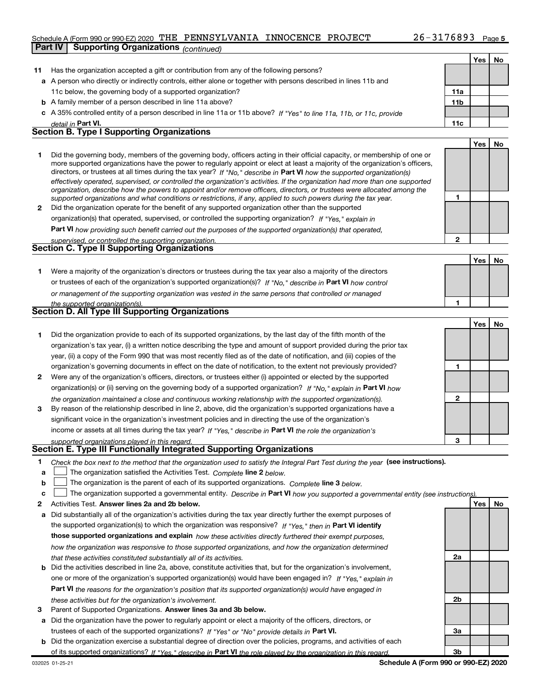#### Schedule A (Form 990 or 990-EZ) 2020 THE PENNSYLVANIA INNOCENCE PROJECT  $26-3176893$  Page

**Part IV | Supporting Organizations** (continued)



3 Parent of Supported Organizations. Answer lines 3a and 3b below.

a Did the organization have the power to regularly appoint or elect a majority of the officers, directors, or trustees of each of the supported organizations? If "Yes" or "No" provide details in Part VI.

b Did the organization exercise a substantial degree of direction over the policies, programs, and activities of each of its supported organizations? If "Yes," describe in Part VI the role played by the organization in this regard.

3a

3b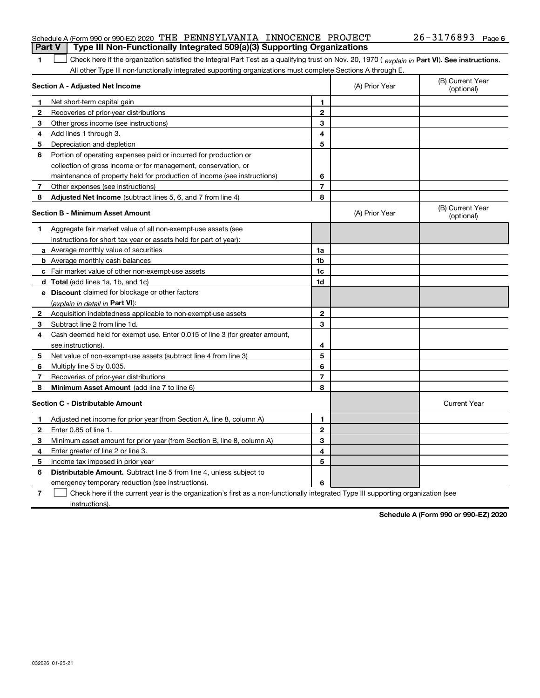| <b>Part V</b> Type III Non-Functionally Integrated 509(a)(3) Supporting Organizations |  |  |                       |  |
|---------------------------------------------------------------------------------------|--|--|-----------------------|--|
| Schedule A (Form 990 or 990-EZ) 2020 THE PENNSYLVANIA INNOCENCE PROJECT               |  |  | $26 - 3176893$ Page 6 |  |

#### The Check here if the organization satisfied the Integral Part Test as a qualifying trust on Nov. 20, 1970 ( explain in Part VI). See instructions. All other Type III non-functionally integrated supporting organizations must complete Sections A through E.

|              | Section A - Adjusted Net Income                                             |                | (A) Prior Year | (B) Current Year<br>(optional) |
|--------------|-----------------------------------------------------------------------------|----------------|----------------|--------------------------------|
| 1            | Net short-term capital gain                                                 | 1              |                |                                |
| 2            | Recoveries of prior-year distributions                                      | $\mathbf{2}$   |                |                                |
| 3            | Other gross income (see instructions)                                       | 3              |                |                                |
| 4            | Add lines 1 through 3.                                                      | 4              |                |                                |
| 5            | Depreciation and depletion                                                  | 5              |                |                                |
| 6            | Portion of operating expenses paid or incurred for production or            |                |                |                                |
|              | collection of gross income or for management, conservation, or              |                |                |                                |
|              | maintenance of property held for production of income (see instructions)    | 6              |                |                                |
| 7            | Other expenses (see instructions)                                           | $\overline{7}$ |                |                                |
| 8            | Adjusted Net Income (subtract lines 5, 6, and 7 from line 4)                | 8              |                |                                |
|              | <b>Section B - Minimum Asset Amount</b>                                     |                | (A) Prior Year | (B) Current Year<br>(optional) |
| 1            | Aggregate fair market value of all non-exempt-use assets (see               |                |                |                                |
|              | instructions for short tax year or assets held for part of year):           |                |                |                                |
|              | a Average monthly value of securities                                       | 1a             |                |                                |
|              | <b>b</b> Average monthly cash balances                                      | 1b             |                |                                |
|              | c Fair market value of other non-exempt-use assets                          | 1c             |                |                                |
|              | d Total (add lines 1a, 1b, and 1c)                                          | 1d             |                |                                |
|              | <b>e</b> Discount claimed for blockage or other factors                     |                |                |                                |
|              | (explain in detail in Part VI):                                             |                |                |                                |
| 2            | Acquisition indebtedness applicable to non-exempt use assets                | $\mathbf{2}$   |                |                                |
| 3            | Subtract line 2 from line 1d.                                               | 3              |                |                                |
| 4            | Cash deemed held for exempt use. Enter 0.015 of line 3 (for greater amount, |                |                |                                |
|              | see instructions).                                                          | 4              |                |                                |
| 5            | Net value of non-exempt-use assets (subtract line 4 from line 3)            | 5              |                |                                |
| 6            | Multiply line 5 by 0.035.                                                   | 6              |                |                                |
| 7            | Recoveries of prior-year distributions                                      | $\overline{7}$ |                |                                |
| 8            | <b>Minimum Asset Amount</b> (add line 7 to line 6)                          | 8              |                |                                |
|              | <b>Section C - Distributable Amount</b>                                     |                |                | <b>Current Year</b>            |
| 1            | Adjusted net income for prior year (from Section A, line 8, column A)       | 1              |                |                                |
| $\mathbf{2}$ | Enter 0.85 of line 1.                                                       | $\mathbf{2}$   |                |                                |
| 3            | Minimum asset amount for prior year (from Section B, line 8, column A)      | 3              |                |                                |
| 4            | Enter greater of line 2 or line 3.                                          | 4              |                |                                |
| 5            | Income tax imposed in prior year                                            | 5              |                |                                |
| 6            | Distributable Amount. Subtract line 5 from line 4, unless subject to        |                |                |                                |
|              | emergency temporary reduction (see instructions).                           | 6              |                |                                |
|              |                                                                             |                |                |                                |

7 Check here if the current year is the organization's first as a non-functionally integrated Type III supporting organization (see instructions).

Schedule A (Form 990 or 990-EZ) 2020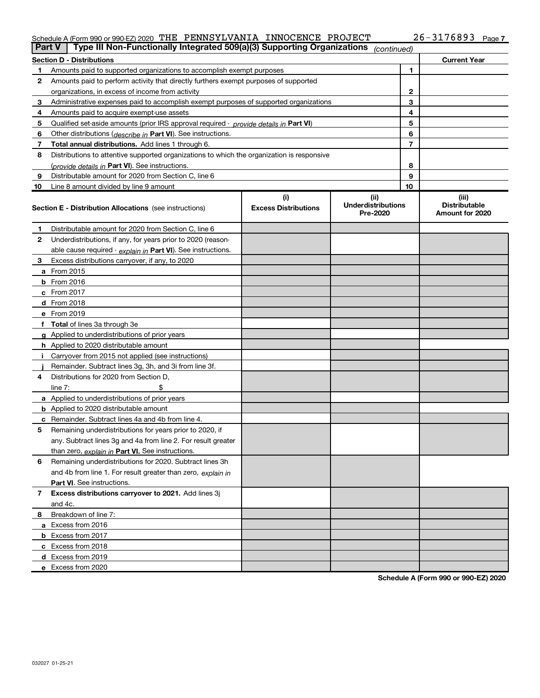#### Schedule A (Form 990 or 990-EZ) 2020 THE PENNSYLVANIA INNOCENCE PROJECT  $26-3176893$  Page

| <b>Part V</b> | Type III Non-Functionally Integrated 509(a)(3) Supporting Organizations                    |                                    | (continued)                                    |                                                  |
|---------------|--------------------------------------------------------------------------------------------|------------------------------------|------------------------------------------------|--------------------------------------------------|
|               | <b>Section D - Distributions</b>                                                           |                                    |                                                | <b>Current Year</b>                              |
|               | Amounts paid to supported organizations to accomplish exempt purposes                      |                                    | 1                                              |                                                  |
| 2             | Amounts paid to perform activity that directly furthers exempt purposes of supported       |                                    |                                                |                                                  |
|               | organizations, in excess of income from activity                                           | 2                                  |                                                |                                                  |
| з             | Administrative expenses paid to accomplish exempt purposes of supported organizations      |                                    | 3                                              |                                                  |
| 4             | Amounts paid to acquire exempt-use assets                                                  |                                    | 4                                              |                                                  |
| 5             | Qualified set-aside amounts (prior IRS approval required - provide details in Part VI)     |                                    | 5                                              |                                                  |
| 6             | Other distributions ( <i>describe in</i> Part VI). See instructions.                       |                                    | 6                                              |                                                  |
| 7             | Total annual distributions. Add lines 1 through 6.                                         |                                    | $\overline{7}$                                 |                                                  |
| 8             | Distributions to attentive supported organizations to which the organization is responsive |                                    |                                                |                                                  |
|               | (provide details in Part VI). See instructions.                                            |                                    | 8                                              |                                                  |
| 9             | Distributable amount for 2020 from Section C, line 6                                       |                                    | 9                                              |                                                  |
| 10            | Line 8 amount divided by line 9 amount                                                     |                                    | 10                                             |                                                  |
|               | <b>Section E - Distribution Allocations</b> (see instructions)                             | (i)<br><b>Excess Distributions</b> | (iii)<br><b>Underdistributions</b><br>Pre-2020 | (iii)<br><b>Distributable</b><br>Amount for 2020 |
| 1             | Distributable amount for 2020 from Section C, line 6                                       |                                    |                                                |                                                  |
| 2             | Underdistributions, if any, for years prior to 2020 (reason-                               |                                    |                                                |                                                  |
|               | able cause required - explain in Part VI). See instructions.                               |                                    |                                                |                                                  |
| з             | Excess distributions carryover, if any, to 2020                                            |                                    |                                                |                                                  |
|               | <b>a</b> From 2015                                                                         |                                    |                                                |                                                  |
|               | <b>b</b> From $2016$                                                                       |                                    |                                                |                                                  |
|               | $c$ From 2017                                                                              |                                    |                                                |                                                  |
|               | <b>d</b> From 2018                                                                         |                                    |                                                |                                                  |
|               | e From 2019                                                                                |                                    |                                                |                                                  |
|               | f Total of lines 3a through 3e                                                             |                                    |                                                |                                                  |
|               | <b>g</b> Applied to underdistributions of prior years                                      |                                    |                                                |                                                  |
|               | <b>h</b> Applied to 2020 distributable amount                                              |                                    |                                                |                                                  |
|               | Carryover from 2015 not applied (see instructions)                                         |                                    |                                                |                                                  |
|               | Remainder. Subtract lines 3g, 3h, and 3i from line 3f.                                     |                                    |                                                |                                                  |
| 4             | Distributions for 2020 from Section D,                                                     |                                    |                                                |                                                  |
|               | line $7:$                                                                                  |                                    |                                                |                                                  |
|               | a Applied to underdistributions of prior years                                             |                                    |                                                |                                                  |
|               | <b>b</b> Applied to 2020 distributable amount                                              |                                    |                                                |                                                  |
| c             | Remainder. Subtract lines 4a and 4b from line 4.                                           |                                    |                                                |                                                  |
| 5             | Remaining underdistributions for years prior to 2020, if                                   |                                    |                                                |                                                  |
|               | any. Subtract lines 3g and 4a from line 2. For result greater                              |                                    |                                                |                                                  |
|               | than zero, explain in Part VI. See instructions.                                           |                                    |                                                |                                                  |
| 6             | Remaining underdistributions for 2020. Subtract lines 3h                                   |                                    |                                                |                                                  |
|               | and 4b from line 1. For result greater than zero, explain in                               |                                    |                                                |                                                  |
|               | Part VI. See instructions.                                                                 |                                    |                                                |                                                  |
| 7             | Excess distributions carryover to 2021. Add lines 3j                                       |                                    |                                                |                                                  |
|               | and 4c.                                                                                    |                                    |                                                |                                                  |
| 8             | Breakdown of line 7:                                                                       |                                    |                                                |                                                  |
|               | a Excess from 2016                                                                         |                                    |                                                |                                                  |
|               | <b>b</b> Excess from 2017                                                                  |                                    |                                                |                                                  |
|               | c Excess from 2018<br>d Excess from 2019                                                   |                                    |                                                |                                                  |
|               | e Excess from 2020                                                                         |                                    |                                                |                                                  |
|               |                                                                                            |                                    |                                                |                                                  |

Schedule A (Form 990 or 990-EZ) 2020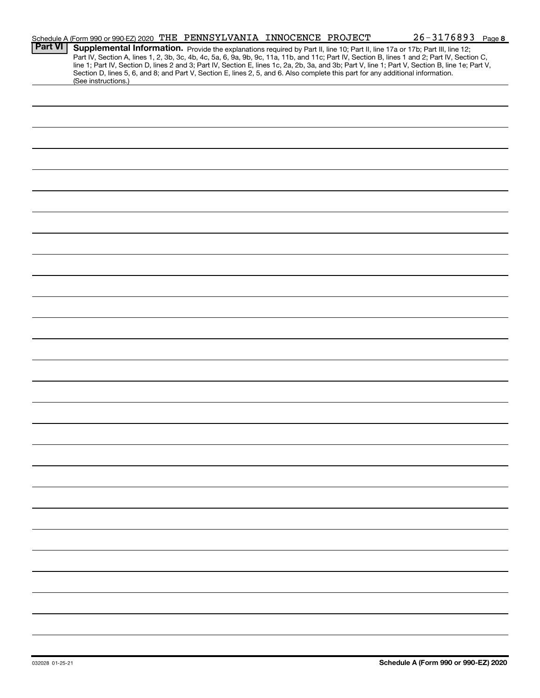|                | Schedule A (Form 990 or 990-EZ) 2020 THE PENNSYLVANIA INNOCENCE PROJECT                                                                                                                                                                                                                                                                                                                                                                                                                                                                                                                     |  | $26 - 3176893$ Page 8 |
|----------------|---------------------------------------------------------------------------------------------------------------------------------------------------------------------------------------------------------------------------------------------------------------------------------------------------------------------------------------------------------------------------------------------------------------------------------------------------------------------------------------------------------------------------------------------------------------------------------------------|--|-----------------------|
| <b>Part VI</b> | Supplemental Information. Provide the explanations required by Part II, line 10; Part II, line 17a or 17b; Part III, line 12;<br>Part IV, Section A, lines 1, 2, 3b, 3c, 4b, 4c, 5a, 6, 9a, 9b, 9c, 11a, 11b, and 11c; Part IV, Section B, lines 1 and 2; Part IV, Section C,<br>line 1; Part IV, Section D, lines 2 and 3; Part IV, Section E, lines 1c, 2a, 2b, 3a, and 3b; Part V, line 1; Part V, Section B, line 1e; Part V,<br>Section D, lines 5, 6, and 8; and Part V, Section E, lines 2, 5, and 6. Also complete this part for any additional information.<br>(See instructions.) |  |                       |
|                |                                                                                                                                                                                                                                                                                                                                                                                                                                                                                                                                                                                             |  |                       |
|                |                                                                                                                                                                                                                                                                                                                                                                                                                                                                                                                                                                                             |  |                       |
|                |                                                                                                                                                                                                                                                                                                                                                                                                                                                                                                                                                                                             |  |                       |
|                |                                                                                                                                                                                                                                                                                                                                                                                                                                                                                                                                                                                             |  |                       |
|                |                                                                                                                                                                                                                                                                                                                                                                                                                                                                                                                                                                                             |  |                       |
|                |                                                                                                                                                                                                                                                                                                                                                                                                                                                                                                                                                                                             |  |                       |
|                |                                                                                                                                                                                                                                                                                                                                                                                                                                                                                                                                                                                             |  |                       |
|                |                                                                                                                                                                                                                                                                                                                                                                                                                                                                                                                                                                                             |  |                       |
|                |                                                                                                                                                                                                                                                                                                                                                                                                                                                                                                                                                                                             |  |                       |
|                |                                                                                                                                                                                                                                                                                                                                                                                                                                                                                                                                                                                             |  |                       |
|                |                                                                                                                                                                                                                                                                                                                                                                                                                                                                                                                                                                                             |  |                       |
|                |                                                                                                                                                                                                                                                                                                                                                                                                                                                                                                                                                                                             |  |                       |
|                |                                                                                                                                                                                                                                                                                                                                                                                                                                                                                                                                                                                             |  |                       |
|                |                                                                                                                                                                                                                                                                                                                                                                                                                                                                                                                                                                                             |  |                       |
|                |                                                                                                                                                                                                                                                                                                                                                                                                                                                                                                                                                                                             |  |                       |
|                |                                                                                                                                                                                                                                                                                                                                                                                                                                                                                                                                                                                             |  |                       |
|                |                                                                                                                                                                                                                                                                                                                                                                                                                                                                                                                                                                                             |  |                       |
|                |                                                                                                                                                                                                                                                                                                                                                                                                                                                                                                                                                                                             |  |                       |
|                |                                                                                                                                                                                                                                                                                                                                                                                                                                                                                                                                                                                             |  |                       |
|                |                                                                                                                                                                                                                                                                                                                                                                                                                                                                                                                                                                                             |  |                       |
|                |                                                                                                                                                                                                                                                                                                                                                                                                                                                                                                                                                                                             |  |                       |
|                |                                                                                                                                                                                                                                                                                                                                                                                                                                                                                                                                                                                             |  |                       |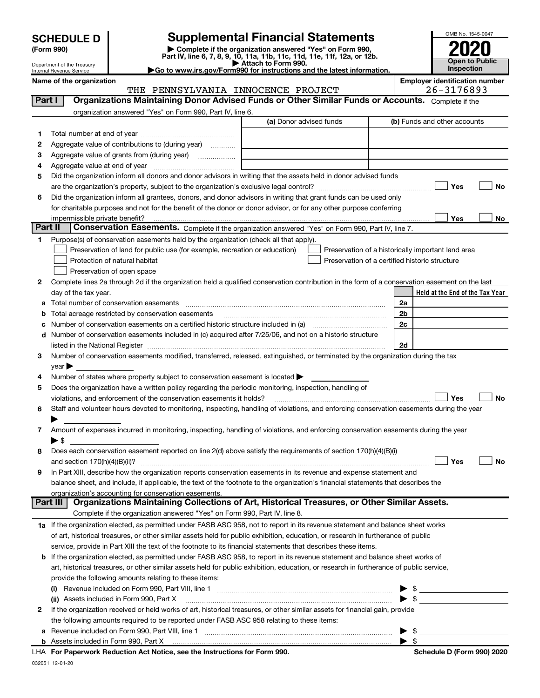| <b>SCHEDULE D</b> |
|-------------------|
|-------------------|

| (Form 990) |  |
|------------|--|
|------------|--|

SCHEDULE D<br>
Form 990) **Supplemental Financial Statements**<br>
Part IV, line 6, 7, 8, 9, 10, 11a, 11b, 11c, 11d, 11e, 11f, 12a, or 12b.<br>
Part IV, line 6, 7, 8, 9, 10, 11a, 11b, 11c, 11d, 11e, 11f, 12a, or 12b.



Department of the Treasury Internal Revenue Service

Go to www.irs.gov/Form990 for instructions and the latest information.

Held at the End of the Tax Year Name of the organization Employer identification number (a) Donor advised funds 1 2 3 4 5 6 No Nes Low <u>Yes No</u> 1 2 Complete lines 2a through 2d if the organization held a qualified conservation contribution in the form of a conservation easement on the last 3 4 5 6 7 8 9 a b **c** Number of conservation easements on a certified historic structure included in (a) mature included in (a) d 2a 2b 2c 2d No Nes Low No Nes Low 1a If the organization elected, as permitted under FASB ASC 958, not to report in its revenue statement and balance sheet works  $\mathfrak{p}$ b If the organization elected, as permitted under FASB ASC 958, to report in its revenue statement and balance sheet works of (i) Revenue included on Form 990, Part VIII, line 1  $\ldots$   $\ldots$   $\ldots$   $\ldots$   $\ldots$   $\ldots$   $\ldots$   $\ldots$   $\ldots$   $\ldots$   $\ldots$   $\ldots$   $\ldots$ (ii) Assets included in Form 990, Part X ~~~~~~~~~~~~~~~~~~~~~~~~~~~~~~~~~ | \$ a Revenue included on Form 990, Part VIII, line 1  $\ldots$   $\ldots$   $\ldots$   $\ldots$   $\ldots$   $\ldots$   $\ldots$   $\ldots$   $\ldots$   $\ldots$   $\ldots$   $\ldots$   $\ldots$   $\ldots$   $\ldots$ b Part I | Organizations Maintaining Donor Advised Funds or Other Similar Funds or Accounts. Complete if the organization answered "Yes" on Form 990, Part IV, line 6. (b) Funds and other accounts Total number at end of year ~~~~~~~~~~~~~~~ Aggregate value of contributions to (during year) \_\_\_\_\_\_\_\_\_ Aggregate value of grants from (during year) \_\_\_\_\_\_\_\_\_\_\_\_\_\_ Aggregate value at end of year ~~~~~~~~~~~~~ Did the organization inform all donors and donor advisors in writing that the assets held in donor advised funds are the organization's property, subject to the organization's exclusive legal control? ~~~~~~~~~~~~~~~~~~ Did the organization inform all grantees, donors, and donor advisors in writing that grant funds can be used only for charitable purposes and not for the benefit of the donor or donor advisor, or for any other purpose conferring impermissible private benefit? Part II | Conservation Easements. Complete if the organization answered "Yes" on Form 990, Part IV, line 7. Purpose(s) of conservation easements held by the organization (check all that apply). Preservation of land for public use (for example, recreation or education) **Protection of natural habitat Example 2014 Department of the COV** Preservation of open space Preservation of a historically important land area Preservation of a certified historic structure day of the tax year. Total number of conservation easements ~~~~~~~~~~~~~~~~~~~~~~~~~~~~~~~~ Total acreage restricted by conservation easements Number of conservation easements included in (c) acquired after 7/25/06, and not on a historic structure listed in the National Register ~~~~~~~~~~~~~~~~~~~~~~~~~~~~~~~~~~~~~~ Number of conservation easements modified, transferred, released, extinguished, or terminated by the organization during the tax  $\vee$ ear $\blacktriangleright$ Number of states where property subject to conservation easement is located  $\blacktriangleright$ Does the organization have a written policy regarding the periodic monitoring, inspection, handling of violations, and enforcement of the conservation easements it holds?  $\Box$   $\Box$   $\Box$   $\Box$ Staff and volunteer hours devoted to monitoring, inspecting, handling of violations, and enforcing conservation easements during the year  $\blacktriangleright$ Amount of expenses incurred in monitoring, inspecting, handling of violations, and enforcing conservation easements during the year  $\blacktriangleright$  \$ Does each conservation easement reported on line 2(d) above satisfy the requirements of section 170(h)(4)(B)(i) and section 170(h)(4)(B)(ii)? ~~~~~~~~~~~~~~~~~~~~~~~~~~~~~~~~~~~~~~~~~~~~~~ In Part XIII, describe how the organization reports conservation easements in its revenue and expense statement and balance sheet, and include, if applicable, the text of the footnote to the organization's financial statements that describes the organization's accounting for conservation easements. Complete if the organization answered "Yes" on Form 990, Part IV, line 8. of art, historical treasures, or other similar assets held for public exhibition, education, or research in furtherance of public service, provide in Part XIII the text of the footnote to its financial statements that describes these items. art, historical treasures, or other similar assets held for public exhibition, education, or research in furtherance of public service, provide the following amounts relating to these items: If the organization received or held works of art, historical treasures, or other similar assets for financial gain, provide the following amounts required to be reported under FASB ASC 958 relating to these items: Assets included in Form 990, Part X | \$ Part III | Organizations Maintaining Collections of Art, Historical Treasures, or Other Similar Assets.  $\Box$  Yes  $\Box$  $\begin{array}{c} \hline \end{array}$ THE PENNSYLVANIA INNOCENCE PROJECT 26-3176893

LHA For Paperwork Reduction Act Notice, see the Instructions for Form 990. Shaham Schedule D (Form 990) 2020 L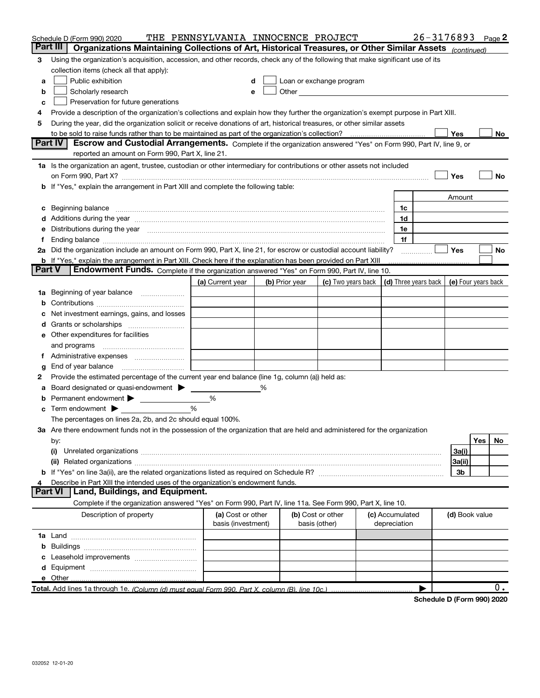|        | Schedule D (Form 990) 2020                                                                                                                                                                                                                                                                                                                      | THE PENNSYLVANIA INNOCENCE PROJECT |   |                |                                                                                                                                                                                                                               |                 | 26-3176893                 |                     |     | Page $2$ |
|--------|-------------------------------------------------------------------------------------------------------------------------------------------------------------------------------------------------------------------------------------------------------------------------------------------------------------------------------------------------|------------------------------------|---|----------------|-------------------------------------------------------------------------------------------------------------------------------------------------------------------------------------------------------------------------------|-----------------|----------------------------|---------------------|-----|----------|
|        | Part III<br>Organizations Maintaining Collections of Art, Historical Treasures, or Other Similar Assets (continued)                                                                                                                                                                                                                             |                                    |   |                |                                                                                                                                                                                                                               |                 |                            |                     |     |          |
| 3      | Using the organization's acquisition, accession, and other records, check any of the following that make significant use of its                                                                                                                                                                                                                 |                                    |   |                |                                                                                                                                                                                                                               |                 |                            |                     |     |          |
|        | collection items (check all that apply):                                                                                                                                                                                                                                                                                                        |                                    |   |                |                                                                                                                                                                                                                               |                 |                            |                     |     |          |
| a      | Public exhibition                                                                                                                                                                                                                                                                                                                               |                                    |   |                | Loan or exchange program                                                                                                                                                                                                      |                 |                            |                     |     |          |
| b      | Scholarly research                                                                                                                                                                                                                                                                                                                              |                                    |   |                | Other and the contract of the contract of the contract of the contract of the contract of the contract of the contract of the contract of the contract of the contract of the contract of the contract of the contract of the |                 |                            |                     |     |          |
| с      | Preservation for future generations                                                                                                                                                                                                                                                                                                             |                                    |   |                |                                                                                                                                                                                                                               |                 |                            |                     |     |          |
|        | Provide a description of the organization's collections and explain how they further the organization's exempt purpose in Part XIII.                                                                                                                                                                                                            |                                    |   |                |                                                                                                                                                                                                                               |                 |                            |                     |     |          |
| 5      | During the year, did the organization solicit or receive donations of art, historical treasures, or other similar assets                                                                                                                                                                                                                        |                                    |   |                |                                                                                                                                                                                                                               |                 |                            |                     |     |          |
|        | to be sold to raise funds rather than to be maintained as part of the organization's collection?                                                                                                                                                                                                                                                |                                    |   |                |                                                                                                                                                                                                                               |                 |                            | Yes                 |     | No       |
|        | Escrow and Custodial Arrangements. Complete if the organization answered "Yes" on Form 990, Part IV, line 9, or<br><b>Part IV</b><br>reported an amount on Form 990, Part X, line 21.                                                                                                                                                           |                                    |   |                |                                                                                                                                                                                                                               |                 |                            |                     |     |          |
|        |                                                                                                                                                                                                                                                                                                                                                 |                                    |   |                |                                                                                                                                                                                                                               |                 |                            |                     |     |          |
|        | 1a Is the organization an agent, trustee, custodian or other intermediary for contributions or other assets not included                                                                                                                                                                                                                        |                                    |   |                |                                                                                                                                                                                                                               |                 |                            |                     |     |          |
|        | on Form 990, Part X? [11] matter contracts and contracts and contracts are contracted as a form 990, Part X?<br><b>b</b> If "Yes," explain the arrangement in Part XIII and complete the following table:                                                                                                                                       |                                    |   |                |                                                                                                                                                                                                                               |                 |                            | Yes                 |     | No       |
|        |                                                                                                                                                                                                                                                                                                                                                 |                                    |   |                |                                                                                                                                                                                                                               |                 |                            | Amount              |     |          |
|        |                                                                                                                                                                                                                                                                                                                                                 |                                    |   |                |                                                                                                                                                                                                                               | 1c              |                            |                     |     |          |
|        | c Beginning balance measurements and the contract of the contract of the contract of the contract of the contract of the contract of the contract of the contract of the contract of the contract of the contract of the contr<br>d Additions during the year manufactured and an account of a state of the state of an account of the state of |                                    |   |                |                                                                                                                                                                                                                               | 1d              |                            |                     |     |          |
|        | e Distributions during the year manufactured and an account of the contract of the contract of the contract of                                                                                                                                                                                                                                  |                                    |   |                |                                                                                                                                                                                                                               | 1e              |                            |                     |     |          |
| Ť.     |                                                                                                                                                                                                                                                                                                                                                 |                                    |   |                |                                                                                                                                                                                                                               | 1f              |                            |                     |     |          |
|        | 2a Did the organization include an amount on Form 990, Part X, line 21, for escrow or custodial account liability?                                                                                                                                                                                                                              |                                    |   |                |                                                                                                                                                                                                                               |                 | .                          | Yes                 |     | No       |
|        | <b>b</b> If "Yes," explain the arrangement in Part XIII. Check here if the explanation has been provided on Part XIII                                                                                                                                                                                                                           |                                    |   |                |                                                                                                                                                                                                                               |                 |                            |                     |     |          |
| Part V | Endowment Funds. Complete if the organization answered "Yes" on Form 990, Part IV, line 10.                                                                                                                                                                                                                                                     |                                    |   |                |                                                                                                                                                                                                                               |                 |                            |                     |     |          |
|        |                                                                                                                                                                                                                                                                                                                                                 | (a) Current year                   |   | (b) Prior year | (c) Two years back $\vert$ (d) Three years back $\vert$                                                                                                                                                                       |                 |                            | (e) Four years back |     |          |
|        | 1a Beginning of year balance                                                                                                                                                                                                                                                                                                                    |                                    |   |                |                                                                                                                                                                                                                               |                 |                            |                     |     |          |
| b      |                                                                                                                                                                                                                                                                                                                                                 |                                    |   |                |                                                                                                                                                                                                                               |                 |                            |                     |     |          |
|        | Net investment earnings, gains, and losses                                                                                                                                                                                                                                                                                                      |                                    |   |                |                                                                                                                                                                                                                               |                 |                            |                     |     |          |
|        |                                                                                                                                                                                                                                                                                                                                                 |                                    |   |                |                                                                                                                                                                                                                               |                 |                            |                     |     |          |
|        | e Other expenditures for facilities                                                                                                                                                                                                                                                                                                             |                                    |   |                |                                                                                                                                                                                                                               |                 |                            |                     |     |          |
|        |                                                                                                                                                                                                                                                                                                                                                 |                                    |   |                |                                                                                                                                                                                                                               |                 |                            |                     |     |          |
|        |                                                                                                                                                                                                                                                                                                                                                 |                                    |   |                |                                                                                                                                                                                                                               |                 |                            |                     |     |          |
| g      |                                                                                                                                                                                                                                                                                                                                                 |                                    |   |                |                                                                                                                                                                                                                               |                 |                            |                     |     |          |
| 2      | Provide the estimated percentage of the current year end balance (line 1g, column (a)) held as:                                                                                                                                                                                                                                                 |                                    |   |                |                                                                                                                                                                                                                               |                 |                            |                     |     |          |
|        | Board designated or quasi-endowment >                                                                                                                                                                                                                                                                                                           |                                    | % |                |                                                                                                                                                                                                                               |                 |                            |                     |     |          |
|        | <b>b</b> Permanent endowment $\blacktriangleright$                                                                                                                                                                                                                                                                                              | %                                  |   |                |                                                                                                                                                                                                                               |                 |                            |                     |     |          |
|        | $\mathbf c$ Term endowment $\blacktriangleright$                                                                                                                                                                                                                                                                                                | %                                  |   |                |                                                                                                                                                                                                                               |                 |                            |                     |     |          |
|        | The percentages on lines 2a, 2b, and 2c should equal 100%.                                                                                                                                                                                                                                                                                      |                                    |   |                |                                                                                                                                                                                                                               |                 |                            |                     |     |          |
|        | 3a Are there endowment funds not in the possession of the organization that are held and administered for the organization                                                                                                                                                                                                                      |                                    |   |                |                                                                                                                                                                                                                               |                 |                            |                     |     |          |
|        | by:                                                                                                                                                                                                                                                                                                                                             |                                    |   |                |                                                                                                                                                                                                                               |                 |                            |                     | Yes | No.      |
|        | (i)                                                                                                                                                                                                                                                                                                                                             |                                    |   |                |                                                                                                                                                                                                                               |                 |                            | 3a(i)<br>3a(ii)     |     |          |
|        |                                                                                                                                                                                                                                                                                                                                                 |                                    |   |                |                                                                                                                                                                                                                               |                 |                            | 3b                  |     |          |
|        | Describe in Part XIII the intended uses of the organization's endowment funds.                                                                                                                                                                                                                                                                  |                                    |   |                |                                                                                                                                                                                                                               |                 |                            |                     |     |          |
|        | Land, Buildings, and Equipment.<br><b>Part VI</b>                                                                                                                                                                                                                                                                                               |                                    |   |                |                                                                                                                                                                                                                               |                 |                            |                     |     |          |
|        | Complete if the organization answered "Yes" on Form 990, Part IV, line 11a. See Form 990, Part X, line 10.                                                                                                                                                                                                                                      |                                    |   |                |                                                                                                                                                                                                                               |                 |                            |                     |     |          |
|        | Description of property                                                                                                                                                                                                                                                                                                                         | (a) Cost or other                  |   |                | (b) Cost or other                                                                                                                                                                                                             | (c) Accumulated |                            | (d) Book value      |     |          |
|        |                                                                                                                                                                                                                                                                                                                                                 | basis (investment)                 |   |                | basis (other)                                                                                                                                                                                                                 | depreciation    |                            |                     |     |          |
|        |                                                                                                                                                                                                                                                                                                                                                 |                                    |   |                |                                                                                                                                                                                                                               |                 |                            |                     |     |          |
|        |                                                                                                                                                                                                                                                                                                                                                 |                                    |   |                |                                                                                                                                                                                                                               |                 |                            |                     |     |          |
|        |                                                                                                                                                                                                                                                                                                                                                 |                                    |   |                |                                                                                                                                                                                                                               |                 |                            |                     |     |          |
|        |                                                                                                                                                                                                                                                                                                                                                 |                                    |   |                |                                                                                                                                                                                                                               |                 |                            |                     |     |          |
|        | e Other                                                                                                                                                                                                                                                                                                                                         |                                    |   |                |                                                                                                                                                                                                                               |                 |                            |                     |     |          |
|        | Total. Add lines 1a through 1e. (Column (d) must equal Form 990. Part X, column (B), line 10c.)                                                                                                                                                                                                                                                 |                                    |   |                |                                                                                                                                                                                                                               |                 |                            |                     |     | 0.       |
|        |                                                                                                                                                                                                                                                                                                                                                 |                                    |   |                |                                                                                                                                                                                                                               |                 | Schedule D (Form 990) 2020 |                     |     |          |

Schedule D (Form 990) 2020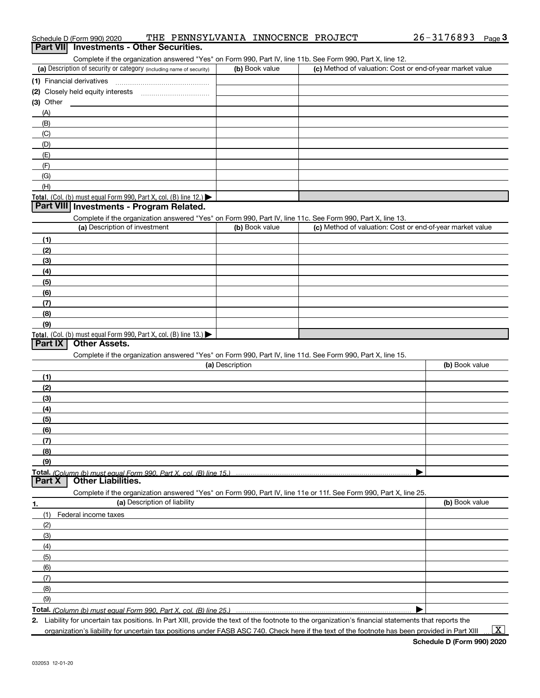|            | <b>Part VII</b> Investments - Other Securities.                                                                                             |                 |                                                           |                |
|------------|---------------------------------------------------------------------------------------------------------------------------------------------|-----------------|-----------------------------------------------------------|----------------|
|            | Complete if the organization answered "Yes" on Form 990, Part IV, line 11b. See Form 990, Part X, line 12.                                  |                 |                                                           |                |
|            | (a) Description of security or category (including name of security)                                                                        | (b) Book value  | (c) Method of valuation: Cost or end-of-year market value |                |
|            | (1) Financial derivatives                                                                                                                   |                 |                                                           |                |
|            |                                                                                                                                             |                 |                                                           |                |
| (3) Other  |                                                                                                                                             |                 |                                                           |                |
| (A)        |                                                                                                                                             |                 |                                                           |                |
| (B)        |                                                                                                                                             |                 |                                                           |                |
| (C)        |                                                                                                                                             |                 |                                                           |                |
| (D)        |                                                                                                                                             |                 |                                                           |                |
| (E)        |                                                                                                                                             |                 |                                                           |                |
| (F)        |                                                                                                                                             |                 |                                                           |                |
| (G)        |                                                                                                                                             |                 |                                                           |                |
| (H)        |                                                                                                                                             |                 |                                                           |                |
|            | Total. (Col. (b) must equal Form 990, Part X, col. (B) line $12$ .)<br>Part VIII Investments - Program Related.                             |                 |                                                           |                |
|            |                                                                                                                                             |                 |                                                           |                |
|            | Complete if the organization answered "Yes" on Form 990, Part IV, line 11c. See Form 990, Part X, line 13.<br>(a) Description of investment | (b) Book value  | (c) Method of valuation: Cost or end-of-year market value |                |
| (1)        |                                                                                                                                             |                 |                                                           |                |
| (2)        |                                                                                                                                             |                 |                                                           |                |
| (3)        |                                                                                                                                             |                 |                                                           |                |
| (4)        |                                                                                                                                             |                 |                                                           |                |
| (5)        |                                                                                                                                             |                 |                                                           |                |
| (6)        |                                                                                                                                             |                 |                                                           |                |
| (7)        |                                                                                                                                             |                 |                                                           |                |
| (8)        |                                                                                                                                             |                 |                                                           |                |
| (9)        |                                                                                                                                             |                 |                                                           |                |
|            | <b>Total.</b> (Col. (b) must equal Form 990, Part X, col. (B) line $13.$                                                                    |                 |                                                           |                |
| Part IX    | <b>Other Assets.</b>                                                                                                                        |                 |                                                           |                |
|            | Complete if the organization answered "Yes" on Form 990, Part IV, line 11d. See Form 990, Part X, line 15.                                  |                 |                                                           |                |
|            |                                                                                                                                             | (a) Description |                                                           | (b) Book value |
| (1)        |                                                                                                                                             |                 |                                                           |                |
| (2)        |                                                                                                                                             |                 |                                                           |                |
| (3)        |                                                                                                                                             |                 |                                                           |                |
| (4)        |                                                                                                                                             |                 |                                                           |                |
| (5)        |                                                                                                                                             |                 |                                                           |                |
| (6)        |                                                                                                                                             |                 |                                                           |                |
| (7)<br>(8) |                                                                                                                                             |                 |                                                           |                |
| (9)        |                                                                                                                                             |                 |                                                           |                |
|            | Total. (Column (b) must equal Form 990, Part X, col. (B) line 15.)                                                                          |                 |                                                           |                |
| Part X     | <b>Other Liabilities.</b>                                                                                                                   |                 |                                                           |                |
|            | Complete if the organization answered "Yes" on Form 990, Part IV, line 11e or 11f. See Form 990, Part X, line 25.                           |                 |                                                           |                |
| <u>1.</u>  | (a) Description of liability                                                                                                                |                 |                                                           | (b) Book value |
| (1)        | Federal income taxes                                                                                                                        |                 |                                                           |                |
| (2)        |                                                                                                                                             |                 |                                                           |                |
| (3)        |                                                                                                                                             |                 |                                                           |                |
| (4)        |                                                                                                                                             |                 |                                                           |                |
| (5)        |                                                                                                                                             |                 |                                                           |                |
| (6)        |                                                                                                                                             |                 |                                                           |                |
| (7)        |                                                                                                                                             |                 |                                                           |                |
| (8)        |                                                                                                                                             |                 |                                                           |                |
| (9)        |                                                                                                                                             |                 |                                                           |                |
|            | Total. (Column (b) must equal Form 990, Part X, col. (B) line 25.)                                                                          |                 |                                                           |                |

2. Liability for uncertain tax positions. In Part XIII, provide the text of the footnote to the organization's financial statements that reports the

#### Schedule D (Form 990) 2020 THE PENNSYLVANIA INNOCENCE PROJECT  $26-3176893$  Page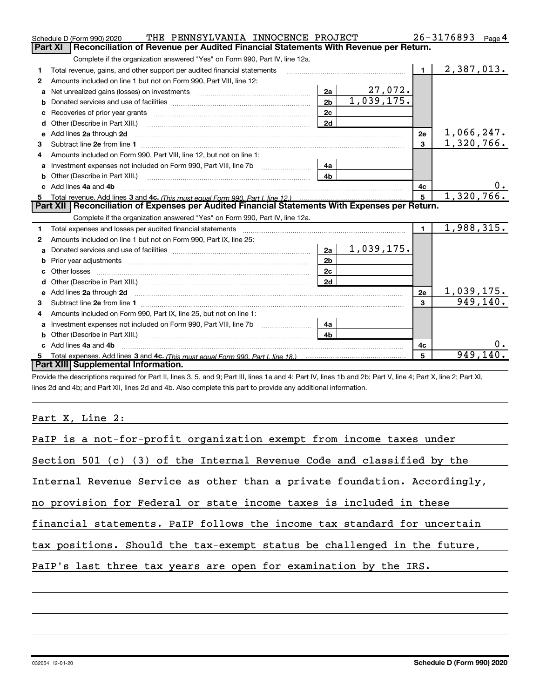|    | THE PENNSYLVANIA INNOCENCE PROJECT<br>Schedule D (Form 990) 2020                                                                                                                                                                    |                |            |                | 26-3176893<br>Page 4     |
|----|-------------------------------------------------------------------------------------------------------------------------------------------------------------------------------------------------------------------------------------|----------------|------------|----------------|--------------------------|
|    | Reconciliation of Revenue per Audited Financial Statements With Revenue per Return.<br><b>Part XI</b>                                                                                                                               |                |            |                |                          |
|    | Complete if the organization answered "Yes" on Form 990, Part IV, line 12a.                                                                                                                                                         |                |            |                |                          |
| 1  | Total revenue, gains, and other support per audited financial statements                                                                                                                                                            |                |            | $\blacksquare$ | $\overline{2,387,013}$ . |
| 2  | Amounts included on line 1 but not on Form 990, Part VIII, line 12:                                                                                                                                                                 |                |            |                |                          |
| a  | Net unrealized gains (losses) on investments [11] matter contracts and the unrealized gains (losses) on investments                                                                                                                 | 2a             | $27,072$ . |                |                          |
|    |                                                                                                                                                                                                                                     | 2 <sub>b</sub> | 1,039,175. |                |                          |
| с  | Recoveries of prior year grants [11,111] [12] Recoveries of prior year grants [11] [12] [12] [12] [12] [12] [1                                                                                                                      | 2c             |            |                |                          |
| d  | Other (Describe in Part XIII.) <b>Construction Contract Construction</b> Chern Construction Chern Chern Chern Chern Chern Chern Chern Chern Chern Chern Chern Chern Chern Chern Chern Chern Chern Chern Chern Chern Chern Chern Che | 2d             |            |                |                          |
| е  | Add lines 2a through 2d                                                                                                                                                                                                             |                |            | 2e             | 1,066,247.               |
| 3  |                                                                                                                                                                                                                                     |                |            | $\mathbf{3}$   | 1,320,766.               |
| 4  | Amounts included on Form 990, Part VIII, line 12, but not on line 1:                                                                                                                                                                |                |            |                |                          |
| a  |                                                                                                                                                                                                                                     | - 4а           |            |                |                          |
| b  | Other (Describe in Part XIII.) [100] [100] [100] [100] [100] [100] [100] [100] [100] [100] [100] [100] [100] [                                                                                                                      | 4 <sub>b</sub> |            |                |                          |
| c. | Add lines 4a and 4b                                                                                                                                                                                                                 |                |            | 4c             | 0.                       |
| 5  | Total revenue. Add lines 3 and 4c. (This must equal Form 990. Part I. line 12.)                                                                                                                                                     |                |            | 5              | 1,320,766.               |
|    |                                                                                                                                                                                                                                     |                |            |                |                          |
|    | Part XII Reconciliation of Expenses per Audited Financial Statements With Expenses per Return.                                                                                                                                      |                |            |                |                          |
|    | Complete if the organization answered "Yes" on Form 990, Part IV, line 12a.                                                                                                                                                         |                |            |                |                          |
| 1  | Total expenses and losses per audited financial statements [11] [11] Total expenses and losses per audited financial statements [11] [11] Total expenses and losses per audited financial statements                                |                |            | $\blacksquare$ | 1,988,315.               |
| 2  | Amounts included on line 1 but not on Form 990, Part IX, line 25:                                                                                                                                                                   |                |            |                |                          |
| a  |                                                                                                                                                                                                                                     | 2a             | 1,039,175. |                |                          |
| b  |                                                                                                                                                                                                                                     | 2 <sub>b</sub> |            |                |                          |
| c  |                                                                                                                                                                                                                                     | 2c             |            |                |                          |
|    |                                                                                                                                                                                                                                     | 2d             |            |                |                          |
| е  | Add lines 2a through 2d                                                                                                                                                                                                             |                |            | 2e             | 1,039,175.               |
| 3  |                                                                                                                                                                                                                                     |                |            | 3              | 949,140.                 |
| 4  | Amounts included on Form 990, Part IX, line 25, but not on line 1:                                                                                                                                                                  |                |            |                |                          |
| a  |                                                                                                                                                                                                                                     | 4a             |            |                |                          |
|    |                                                                                                                                                                                                                                     | 4 <sub>h</sub> |            |                |                          |
|    | Add lines 4a and 4b                                                                                                                                                                                                                 |                |            | 4c             | 0.                       |
|    | <b>Part XIII Supplemental Information.</b>                                                                                                                                                                                          |                |            | 5              | 949, 140.                |

Provide the descriptions required for Part II, lines 3, 5, and 9; Part III, lines 1a and 4; Part IV, lines 1b and 2b; Part V, line 4; Part X, line 2; Part XI, lines 2d and 4b; and Part XII, lines 2d and 4b. Also complete this part to provide any additional information.

Part X, Line 2:

| PaIP is a not-for-profit organization exempt from income taxes under      |
|---------------------------------------------------------------------------|
| Section 501 (c) (3) of the Internal Revenue Code and classified by the    |
| Internal Revenue Service as other than a private foundation. Accordingly, |
| no provision for Federal or state income taxes is included in these       |
| financial statements. PaIP follows the income tax standard for uncertain  |
| tax positions. Should the tax-exempt status be challenged in the future,  |
| PaIP's last three tax years are open for examination by the IRS.          |
|                                                                           |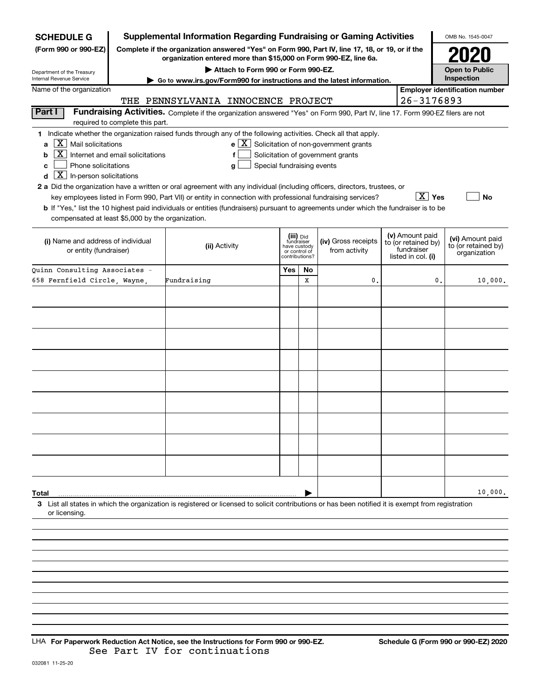| <b>SCHEDULE G</b>                                                                                                                                                                                                                                                                                                                                                                                                                                                                                                                                                                                                                                                                                                                                                                                                                                   | <b>Supplemental Information Regarding Fundraising or Gaming Activities</b>                                                                                      |                                                                            |    |                                      |  |                                                                            |    | OMB No. 1545-0047                                       |
|-----------------------------------------------------------------------------------------------------------------------------------------------------------------------------------------------------------------------------------------------------------------------------------------------------------------------------------------------------------------------------------------------------------------------------------------------------------------------------------------------------------------------------------------------------------------------------------------------------------------------------------------------------------------------------------------------------------------------------------------------------------------------------------------------------------------------------------------------------|-----------------------------------------------------------------------------------------------------------------------------------------------------------------|----------------------------------------------------------------------------|----|--------------------------------------|--|----------------------------------------------------------------------------|----|---------------------------------------------------------|
| (Form 990 or 990-EZ)<br>Complete if the organization answered "Yes" on Form 990, Part IV, line 17, 18, or 19, or if the<br>organization entered more than \$15,000 on Form 990-EZ, line 6a.                                                                                                                                                                                                                                                                                                                                                                                                                                                                                                                                                                                                                                                         |                                                                                                                                                                 |                                                                            |    |                                      |  |                                                                            |    |                                                         |
| Attach to Form 990 or Form 990-EZ.<br>Department of the Treasury                                                                                                                                                                                                                                                                                                                                                                                                                                                                                                                                                                                                                                                                                                                                                                                    |                                                                                                                                                                 |                                                                            |    |                                      |  |                                                                            |    | <b>Open to Public</b>                                   |
| Internal Revenue Service                                                                                                                                                                                                                                                                                                                                                                                                                                                                                                                                                                                                                                                                                                                                                                                                                            | Go to www.irs.gov/Form990 for instructions and the latest information.                                                                                          |                                                                            |    |                                      |  |                                                                            |    | Inspection                                              |
| Name of the organization<br>THE                                                                                                                                                                                                                                                                                                                                                                                                                                                                                                                                                                                                                                                                                                                                                                                                                     |                                                                                                                                                                 |                                                                            |    |                                      |  | 26-3176893                                                                 |    | <b>Employer identification number</b>                   |
| Part I                                                                                                                                                                                                                                                                                                                                                                                                                                                                                                                                                                                                                                                                                                                                                                                                                                              | PENNSYLVANIA INNOCENCE PROJECT<br>Fundraising Activities. Complete if the organization answered "Yes" on Form 990, Part IV, line 17. Form 990-EZ filers are not |                                                                            |    |                                      |  |                                                                            |    |                                                         |
| required to complete this part.                                                                                                                                                                                                                                                                                                                                                                                                                                                                                                                                                                                                                                                                                                                                                                                                                     |                                                                                                                                                                 |                                                                            |    |                                      |  |                                                                            |    |                                                         |
| 1 Indicate whether the organization raised funds through any of the following activities. Check all that apply.<br>$\overline{X}$ Mail solicitations<br>$e$ $\boxed{\text{X}}$ Solicitation of non-government grants<br>a<br>X  <br>Internet and email solicitations<br>Solicitation of government grants<br>b<br>f<br>Phone solicitations<br>Special fundraising events<br>c<br>g<br>$\overline{X}$ In-person solicitations<br>d<br>2 a Did the organization have a written or oral agreement with any individual (including officers, directors, trustees, or<br>$\overline{X}$ Yes<br>key employees listed in Form 990, Part VII) or entity in connection with professional fundraising services?<br>No<br>b If "Yes," list the 10 highest paid individuals or entities (fundraisers) pursuant to agreements under which the fundraiser is to be |                                                                                                                                                                 |                                                                            |    |                                      |  |                                                                            |    |                                                         |
| compensated at least \$5,000 by the organization.                                                                                                                                                                                                                                                                                                                                                                                                                                                                                                                                                                                                                                                                                                                                                                                                   |                                                                                                                                                                 |                                                                            |    |                                      |  |                                                                            |    |                                                         |
| (i) Name and address of individual<br>or entity (fundraiser)                                                                                                                                                                                                                                                                                                                                                                                                                                                                                                                                                                                                                                                                                                                                                                                        | (ii) Activity                                                                                                                                                   | (iii) Did<br>fundraiser<br>have custody<br>or control of<br>contributions? |    | (iv) Gross receipts<br>from activity |  | (v) Amount paid<br>to (or retained by)<br>fundraiser<br>listed in col. (i) |    | (vi) Amount paid<br>to (or retained by)<br>organization |
| Ouinn Consulting Associates -                                                                                                                                                                                                                                                                                                                                                                                                                                                                                                                                                                                                                                                                                                                                                                                                                       |                                                                                                                                                                 | Yes                                                                        | No |                                      |  |                                                                            |    |                                                         |
| 658 Fernfield Circle, Wayne,                                                                                                                                                                                                                                                                                                                                                                                                                                                                                                                                                                                                                                                                                                                                                                                                                        | Fundraising                                                                                                                                                     |                                                                            | X  | 0                                    |  |                                                                            | 0. | 10,000.                                                 |
|                                                                                                                                                                                                                                                                                                                                                                                                                                                                                                                                                                                                                                                                                                                                                                                                                                                     |                                                                                                                                                                 |                                                                            |    |                                      |  |                                                                            |    |                                                         |
|                                                                                                                                                                                                                                                                                                                                                                                                                                                                                                                                                                                                                                                                                                                                                                                                                                                     |                                                                                                                                                                 |                                                                            |    |                                      |  |                                                                            |    |                                                         |
|                                                                                                                                                                                                                                                                                                                                                                                                                                                                                                                                                                                                                                                                                                                                                                                                                                                     |                                                                                                                                                                 |                                                                            |    |                                      |  |                                                                            |    |                                                         |
|                                                                                                                                                                                                                                                                                                                                                                                                                                                                                                                                                                                                                                                                                                                                                                                                                                                     |                                                                                                                                                                 |                                                                            |    |                                      |  |                                                                            |    |                                                         |
|                                                                                                                                                                                                                                                                                                                                                                                                                                                                                                                                                                                                                                                                                                                                                                                                                                                     |                                                                                                                                                                 |                                                                            |    |                                      |  |                                                                            |    |                                                         |
|                                                                                                                                                                                                                                                                                                                                                                                                                                                                                                                                                                                                                                                                                                                                                                                                                                                     |                                                                                                                                                                 |                                                                            |    |                                      |  |                                                                            |    |                                                         |
|                                                                                                                                                                                                                                                                                                                                                                                                                                                                                                                                                                                                                                                                                                                                                                                                                                                     |                                                                                                                                                                 |                                                                            |    |                                      |  |                                                                            |    |                                                         |
|                                                                                                                                                                                                                                                                                                                                                                                                                                                                                                                                                                                                                                                                                                                                                                                                                                                     |                                                                                                                                                                 |                                                                            |    |                                      |  |                                                                            |    |                                                         |
|                                                                                                                                                                                                                                                                                                                                                                                                                                                                                                                                                                                                                                                                                                                                                                                                                                                     |                                                                                                                                                                 |                                                                            |    |                                      |  |                                                                            |    |                                                         |
|                                                                                                                                                                                                                                                                                                                                                                                                                                                                                                                                                                                                                                                                                                                                                                                                                                                     |                                                                                                                                                                 |                                                                            |    |                                      |  |                                                                            |    |                                                         |
|                                                                                                                                                                                                                                                                                                                                                                                                                                                                                                                                                                                                                                                                                                                                                                                                                                                     |                                                                                                                                                                 |                                                                            |    |                                      |  |                                                                            |    |                                                         |
|                                                                                                                                                                                                                                                                                                                                                                                                                                                                                                                                                                                                                                                                                                                                                                                                                                                     |                                                                                                                                                                 |                                                                            |    |                                      |  |                                                                            |    |                                                         |
|                                                                                                                                                                                                                                                                                                                                                                                                                                                                                                                                                                                                                                                                                                                                                                                                                                                     |                                                                                                                                                                 |                                                                            |    |                                      |  |                                                                            |    |                                                         |
|                                                                                                                                                                                                                                                                                                                                                                                                                                                                                                                                                                                                                                                                                                                                                                                                                                                     |                                                                                                                                                                 |                                                                            |    |                                      |  |                                                                            |    |                                                         |
|                                                                                                                                                                                                                                                                                                                                                                                                                                                                                                                                                                                                                                                                                                                                                                                                                                                     |                                                                                                                                                                 |                                                                            |    |                                      |  |                                                                            |    |                                                         |
| Total                                                                                                                                                                                                                                                                                                                                                                                                                                                                                                                                                                                                                                                                                                                                                                                                                                               |                                                                                                                                                                 |                                                                            |    |                                      |  |                                                                            |    | 10,000.                                                 |
| 3 List all states in which the organization is registered or licensed to solicit contributions or has been notified it is exempt from registration<br>or licensing.                                                                                                                                                                                                                                                                                                                                                                                                                                                                                                                                                                                                                                                                                 |                                                                                                                                                                 |                                                                            |    |                                      |  |                                                                            |    |                                                         |
|                                                                                                                                                                                                                                                                                                                                                                                                                                                                                                                                                                                                                                                                                                                                                                                                                                                     |                                                                                                                                                                 |                                                                            |    |                                      |  |                                                                            |    |                                                         |
|                                                                                                                                                                                                                                                                                                                                                                                                                                                                                                                                                                                                                                                                                                                                                                                                                                                     |                                                                                                                                                                 |                                                                            |    |                                      |  |                                                                            |    |                                                         |
|                                                                                                                                                                                                                                                                                                                                                                                                                                                                                                                                                                                                                                                                                                                                                                                                                                                     |                                                                                                                                                                 |                                                                            |    |                                      |  |                                                                            |    |                                                         |
|                                                                                                                                                                                                                                                                                                                                                                                                                                                                                                                                                                                                                                                                                                                                                                                                                                                     |                                                                                                                                                                 |                                                                            |    |                                      |  |                                                                            |    |                                                         |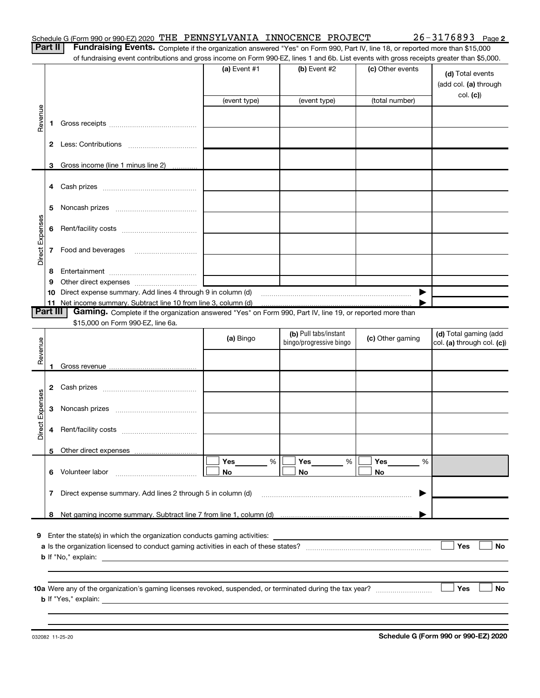Part II | Fundraising Events. Complete if the organization answered "Yes" on Form 990, Part IV, line 18, or reported more than \$15,000 of fundraising event contributions and gross income on Form 990-EZ, lines 1 and 6b. List events with gross receipts greater than \$5,000.

|                 |                                           |                                                                                                                                   | (a) Event $#1$<br>(event type)                                                                                        | (b) Event $#2$<br>(event type)                   | (c) Other events<br>(total number) | (d) Total events<br>(add col. (a) through<br>col. (c) |  |
|-----------------|-------------------------------------------|-----------------------------------------------------------------------------------------------------------------------------------|-----------------------------------------------------------------------------------------------------------------------|--------------------------------------------------|------------------------------------|-------------------------------------------------------|--|
| Revenue         |                                           |                                                                                                                                   |                                                                                                                       |                                                  |                                    |                                                       |  |
|                 |                                           |                                                                                                                                   |                                                                                                                       |                                                  |                                    |                                                       |  |
|                 |                                           | 3 Gross income (line 1 minus line 2)                                                                                              |                                                                                                                       |                                                  |                                    |                                                       |  |
|                 |                                           |                                                                                                                                   |                                                                                                                       |                                                  |                                    |                                                       |  |
|                 | 5                                         |                                                                                                                                   |                                                                                                                       |                                                  |                                    |                                                       |  |
|                 |                                           |                                                                                                                                   |                                                                                                                       |                                                  |                                    |                                                       |  |
| Direct Expenses |                                           | 7 Food and beverages                                                                                                              |                                                                                                                       |                                                  |                                    |                                                       |  |
|                 | 8                                         |                                                                                                                                   | <u> 1980 - Johann Barn, mars ann an t-Aonaich an t-Aonaich an t-Aonaich ann an t-Aonaich ann an t-Aonaich ann an </u> |                                                  |                                    |                                                       |  |
|                 | 9                                         |                                                                                                                                   |                                                                                                                       |                                                  |                                    |                                                       |  |
|                 |                                           | 10 Direct expense summary. Add lines 4 through 9 in column (d)<br>11 Net income summary. Subtract line 10 from line 3, column (d) |                                                                                                                       |                                                  | ▶                                  |                                                       |  |
|                 | Part III                                  | Gaming. Complete if the organization answered "Yes" on Form 990, Part IV, line 19, or reported more than                          |                                                                                                                       |                                                  |                                    |                                                       |  |
|                 |                                           | \$15,000 on Form 990-EZ, line 6a.                                                                                                 |                                                                                                                       |                                                  |                                    |                                                       |  |
| Revenue         |                                           |                                                                                                                                   | (a) Bingo                                                                                                             | (b) Pull tabs/instant<br>bingo/progressive bingo | (c) Other gaming                   | (d) Total gaming (add<br>col. (a) through col. (c))   |  |
|                 |                                           |                                                                                                                                   |                                                                                                                       |                                                  |                                    |                                                       |  |
|                 |                                           |                                                                                                                                   |                                                                                                                       |                                                  |                                    |                                                       |  |
|                 |                                           |                                                                                                                                   |                                                                                                                       |                                                  |                                    |                                                       |  |
| Direct Expenses |                                           |                                                                                                                                   |                                                                                                                       |                                                  |                                    |                                                       |  |
|                 | 4                                         |                                                                                                                                   |                                                                                                                       |                                                  |                                    |                                                       |  |
|                 |                                           |                                                                                                                                   |                                                                                                                       |                                                  |                                    |                                                       |  |
|                 | 6                                         | Volunteer labor                                                                                                                   | Yes<br>%<br>No                                                                                                        | Yes<br>%<br>No                                   | Yes<br>%<br>No                     |                                                       |  |
|                 | 7                                         | Direct expense summary. Add lines 2 through 5 in column (d)                                                                       |                                                                                                                       |                                                  | ▶                                  |                                                       |  |
|                 |                                           |                                                                                                                                   |                                                                                                                       |                                                  |                                    |                                                       |  |
|                 |                                           |                                                                                                                                   |                                                                                                                       |                                                  |                                    |                                                       |  |
|                 |                                           | 9 Enter the state(s) in which the organization conducts gaming activities:                                                        |                                                                                                                       |                                                  |                                    |                                                       |  |
|                 | Yes<br>No<br><b>b</b> If "No," explain: _ |                                                                                                                                   |                                                                                                                       |                                                  |                                    |                                                       |  |
|                 |                                           |                                                                                                                                   |                                                                                                                       |                                                  |                                    |                                                       |  |
|                 |                                           |                                                                                                                                   |                                                                                                                       |                                                  |                                    | <b>Yes</b><br>No                                      |  |
|                 |                                           |                                                                                                                                   |                                                                                                                       |                                                  |                                    |                                                       |  |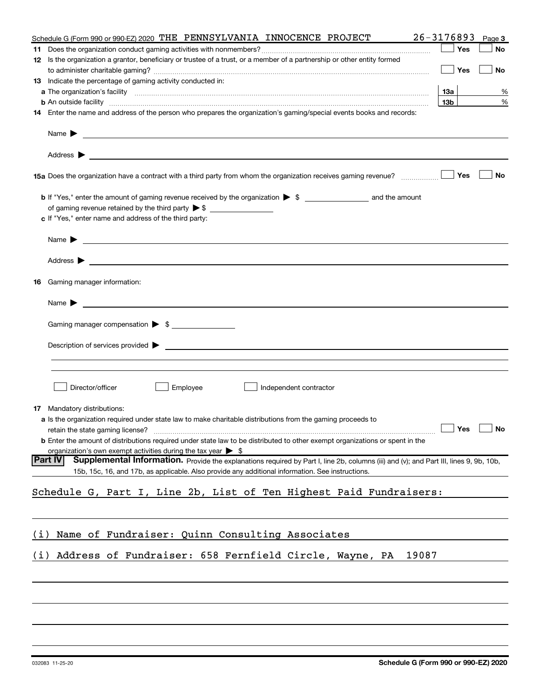| <b>Yes</b><br>No<br>12 Is the organization a grantor, beneficiary or trustee of a trust, or a member of a partnership or other entity formed<br><b>Yes</b><br>No<br>13 Indicate the percentage of gaming activity conducted in:<br>13а<br>%<br>13 <sub>b</sub><br>%<br><b>b</b> An outside facility <i>www.communicality www.communicality.communicality www.communicality www.communicality.com</i><br>14 Enter the name and address of the person who prepares the organization's gaming/special events books and records:<br>Name $\blacktriangleright$ $\frac{1}{\sqrt{1-\frac{1}{2}}\sqrt{1-\frac{1}{2}}\sqrt{1-\frac{1}{2}}\sqrt{1-\frac{1}{2}}\sqrt{1-\frac{1}{2}}\sqrt{1-\frac{1}{2}}\sqrt{1-\frac{1}{2}}\sqrt{1-\frac{1}{2}}\sqrt{1-\frac{1}{2}}\sqrt{1-\frac{1}{2}}\sqrt{1-\frac{1}{2}}\sqrt{1-\frac{1}{2}}\sqrt{1-\frac{1}{2}}\sqrt{1-\frac{1}{2}}\sqrt{1-\frac{1}{2}}\sqrt{1-\frac{1}{2}}\sqrt{1-\frac{1}{2}}\sqrt{1-\frac{1}{2}}\sqrt{1$<br>Yes<br>No<br>c If "Yes," enter name and address of the third party:<br><b>16</b> Gaming manager information:<br>Gaming manager compensation > \$<br>Director/officer<br>Employee<br>Independent contractor<br><b>17</b> Mandatory distributions:<br><b>a</b> Is the organization required under state law to make charitable distributions from the gaming proceeds to<br>$\Box$ Yes $\Box$ No<br>retain the state gaming license? <b>Manual Constantine and State State State State State Constantine Constantine Constantine Constantine Constantine Constantine Constantine Constantine Constantine Constantine Constantine Con</b><br><b>b</b> Enter the amount of distributions required under state law to be distributed to other exempt organizations or spent in the<br>organization's own exempt activities during the tax year $\triangleright$ \$<br><b>Part IV</b><br>Supplemental Information. Provide the explanations required by Part I, line 2b, columns (iii) and (v); and Part III, lines 9, 9b, 10b,<br>15b, 15c, 16, and 17b, as applicable. Also provide any additional information. See instructions.<br>Schedule G, Part I, Line 2b, List of Ten Highest Paid Fundraisers:<br>Name of Fundraiser: Quinn Consulting Associates<br>(1)<br>Address of Fundraiser: 658 Fernfield Circle, Wayne, PA<br>19087<br>(i) | 26-3176893<br>Schedule G (Form 990 or 990-EZ) 2020 THE PENNSYLVANIA INNOCENCE PROJECT |  | Page 3 |
|--------------------------------------------------------------------------------------------------------------------------------------------------------------------------------------------------------------------------------------------------------------------------------------------------------------------------------------------------------------------------------------------------------------------------------------------------------------------------------------------------------------------------------------------------------------------------------------------------------------------------------------------------------------------------------------------------------------------------------------------------------------------------------------------------------------------------------------------------------------------------------------------------------------------------------------------------------------------------------------------------------------------------------------------------------------------------------------------------------------------------------------------------------------------------------------------------------------------------------------------------------------------------------------------------------------------------------------------------------------------------------------------------------------------------------------------------------------------------------------------------------------------------------------------------------------------------------------------------------------------------------------------------------------------------------------------------------------------------------------------------------------------------------------------------------------------------------------------------------------------------------------------------------------------------------------------------------------------------------------------------------------------------------------------------------------------------------------------------------------------------------------------------------------------------------------------------------------------------------------------------------------------------------------------------|---------------------------------------------------------------------------------------|--|--------|
|                                                                                                                                                                                                                                                                                                                                                                                                                                                                                                                                                                                                                                                                                                                                                                                                                                                                                                                                                                                                                                                                                                                                                                                                                                                                                                                                                                                                                                                                                                                                                                                                                                                                                                                                                                                                                                                                                                                                                                                                                                                                                                                                                                                                                                                                                                  |                                                                                       |  |        |
|                                                                                                                                                                                                                                                                                                                                                                                                                                                                                                                                                                                                                                                                                                                                                                                                                                                                                                                                                                                                                                                                                                                                                                                                                                                                                                                                                                                                                                                                                                                                                                                                                                                                                                                                                                                                                                                                                                                                                                                                                                                                                                                                                                                                                                                                                                  |                                                                                       |  |        |
|                                                                                                                                                                                                                                                                                                                                                                                                                                                                                                                                                                                                                                                                                                                                                                                                                                                                                                                                                                                                                                                                                                                                                                                                                                                                                                                                                                                                                                                                                                                                                                                                                                                                                                                                                                                                                                                                                                                                                                                                                                                                                                                                                                                                                                                                                                  |                                                                                       |  |        |
|                                                                                                                                                                                                                                                                                                                                                                                                                                                                                                                                                                                                                                                                                                                                                                                                                                                                                                                                                                                                                                                                                                                                                                                                                                                                                                                                                                                                                                                                                                                                                                                                                                                                                                                                                                                                                                                                                                                                                                                                                                                                                                                                                                                                                                                                                                  |                                                                                       |  |        |
|                                                                                                                                                                                                                                                                                                                                                                                                                                                                                                                                                                                                                                                                                                                                                                                                                                                                                                                                                                                                                                                                                                                                                                                                                                                                                                                                                                                                                                                                                                                                                                                                                                                                                                                                                                                                                                                                                                                                                                                                                                                                                                                                                                                                                                                                                                  |                                                                                       |  |        |
|                                                                                                                                                                                                                                                                                                                                                                                                                                                                                                                                                                                                                                                                                                                                                                                                                                                                                                                                                                                                                                                                                                                                                                                                                                                                                                                                                                                                                                                                                                                                                                                                                                                                                                                                                                                                                                                                                                                                                                                                                                                                                                                                                                                                                                                                                                  |                                                                                       |  |        |
|                                                                                                                                                                                                                                                                                                                                                                                                                                                                                                                                                                                                                                                                                                                                                                                                                                                                                                                                                                                                                                                                                                                                                                                                                                                                                                                                                                                                                                                                                                                                                                                                                                                                                                                                                                                                                                                                                                                                                                                                                                                                                                                                                                                                                                                                                                  |                                                                                       |  |        |
|                                                                                                                                                                                                                                                                                                                                                                                                                                                                                                                                                                                                                                                                                                                                                                                                                                                                                                                                                                                                                                                                                                                                                                                                                                                                                                                                                                                                                                                                                                                                                                                                                                                                                                                                                                                                                                                                                                                                                                                                                                                                                                                                                                                                                                                                                                  |                                                                                       |  |        |
|                                                                                                                                                                                                                                                                                                                                                                                                                                                                                                                                                                                                                                                                                                                                                                                                                                                                                                                                                                                                                                                                                                                                                                                                                                                                                                                                                                                                                                                                                                                                                                                                                                                                                                                                                                                                                                                                                                                                                                                                                                                                                                                                                                                                                                                                                                  |                                                                                       |  |        |
|                                                                                                                                                                                                                                                                                                                                                                                                                                                                                                                                                                                                                                                                                                                                                                                                                                                                                                                                                                                                                                                                                                                                                                                                                                                                                                                                                                                                                                                                                                                                                                                                                                                                                                                                                                                                                                                                                                                                                                                                                                                                                                                                                                                                                                                                                                  |                                                                                       |  |        |
|                                                                                                                                                                                                                                                                                                                                                                                                                                                                                                                                                                                                                                                                                                                                                                                                                                                                                                                                                                                                                                                                                                                                                                                                                                                                                                                                                                                                                                                                                                                                                                                                                                                                                                                                                                                                                                                                                                                                                                                                                                                                                                                                                                                                                                                                                                  |                                                                                       |  |        |
|                                                                                                                                                                                                                                                                                                                                                                                                                                                                                                                                                                                                                                                                                                                                                                                                                                                                                                                                                                                                                                                                                                                                                                                                                                                                                                                                                                                                                                                                                                                                                                                                                                                                                                                                                                                                                                                                                                                                                                                                                                                                                                                                                                                                                                                                                                  |                                                                                       |  |        |
|                                                                                                                                                                                                                                                                                                                                                                                                                                                                                                                                                                                                                                                                                                                                                                                                                                                                                                                                                                                                                                                                                                                                                                                                                                                                                                                                                                                                                                                                                                                                                                                                                                                                                                                                                                                                                                                                                                                                                                                                                                                                                                                                                                                                                                                                                                  |                                                                                       |  |        |
|                                                                                                                                                                                                                                                                                                                                                                                                                                                                                                                                                                                                                                                                                                                                                                                                                                                                                                                                                                                                                                                                                                                                                                                                                                                                                                                                                                                                                                                                                                                                                                                                                                                                                                                                                                                                                                                                                                                                                                                                                                                                                                                                                                                                                                                                                                  |                                                                                       |  |        |
|                                                                                                                                                                                                                                                                                                                                                                                                                                                                                                                                                                                                                                                                                                                                                                                                                                                                                                                                                                                                                                                                                                                                                                                                                                                                                                                                                                                                                                                                                                                                                                                                                                                                                                                                                                                                                                                                                                                                                                                                                                                                                                                                                                                                                                                                                                  |                                                                                       |  |        |
|                                                                                                                                                                                                                                                                                                                                                                                                                                                                                                                                                                                                                                                                                                                                                                                                                                                                                                                                                                                                                                                                                                                                                                                                                                                                                                                                                                                                                                                                                                                                                                                                                                                                                                                                                                                                                                                                                                                                                                                                                                                                                                                                                                                                                                                                                                  |                                                                                       |  |        |
|                                                                                                                                                                                                                                                                                                                                                                                                                                                                                                                                                                                                                                                                                                                                                                                                                                                                                                                                                                                                                                                                                                                                                                                                                                                                                                                                                                                                                                                                                                                                                                                                                                                                                                                                                                                                                                                                                                                                                                                                                                                                                                                                                                                                                                                                                                  |                                                                                       |  |        |
|                                                                                                                                                                                                                                                                                                                                                                                                                                                                                                                                                                                                                                                                                                                                                                                                                                                                                                                                                                                                                                                                                                                                                                                                                                                                                                                                                                                                                                                                                                                                                                                                                                                                                                                                                                                                                                                                                                                                                                                                                                                                                                                                                                                                                                                                                                  |                                                                                       |  |        |
|                                                                                                                                                                                                                                                                                                                                                                                                                                                                                                                                                                                                                                                                                                                                                                                                                                                                                                                                                                                                                                                                                                                                                                                                                                                                                                                                                                                                                                                                                                                                                                                                                                                                                                                                                                                                                                                                                                                                                                                                                                                                                                                                                                                                                                                                                                  |                                                                                       |  |        |
|                                                                                                                                                                                                                                                                                                                                                                                                                                                                                                                                                                                                                                                                                                                                                                                                                                                                                                                                                                                                                                                                                                                                                                                                                                                                                                                                                                                                                                                                                                                                                                                                                                                                                                                                                                                                                                                                                                                                                                                                                                                                                                                                                                                                                                                                                                  |                                                                                       |  |        |
|                                                                                                                                                                                                                                                                                                                                                                                                                                                                                                                                                                                                                                                                                                                                                                                                                                                                                                                                                                                                                                                                                                                                                                                                                                                                                                                                                                                                                                                                                                                                                                                                                                                                                                                                                                                                                                                                                                                                                                                                                                                                                                                                                                                                                                                                                                  |                                                                                       |  |        |
|                                                                                                                                                                                                                                                                                                                                                                                                                                                                                                                                                                                                                                                                                                                                                                                                                                                                                                                                                                                                                                                                                                                                                                                                                                                                                                                                                                                                                                                                                                                                                                                                                                                                                                                                                                                                                                                                                                                                                                                                                                                                                                                                                                                                                                                                                                  |                                                                                       |  |        |
|                                                                                                                                                                                                                                                                                                                                                                                                                                                                                                                                                                                                                                                                                                                                                                                                                                                                                                                                                                                                                                                                                                                                                                                                                                                                                                                                                                                                                                                                                                                                                                                                                                                                                                                                                                                                                                                                                                                                                                                                                                                                                                                                                                                                                                                                                                  |                                                                                       |  |        |
|                                                                                                                                                                                                                                                                                                                                                                                                                                                                                                                                                                                                                                                                                                                                                                                                                                                                                                                                                                                                                                                                                                                                                                                                                                                                                                                                                                                                                                                                                                                                                                                                                                                                                                                                                                                                                                                                                                                                                                                                                                                                                                                                                                                                                                                                                                  |                                                                                       |  |        |
|                                                                                                                                                                                                                                                                                                                                                                                                                                                                                                                                                                                                                                                                                                                                                                                                                                                                                                                                                                                                                                                                                                                                                                                                                                                                                                                                                                                                                                                                                                                                                                                                                                                                                                                                                                                                                                                                                                                                                                                                                                                                                                                                                                                                                                                                                                  |                                                                                       |  |        |
|                                                                                                                                                                                                                                                                                                                                                                                                                                                                                                                                                                                                                                                                                                                                                                                                                                                                                                                                                                                                                                                                                                                                                                                                                                                                                                                                                                                                                                                                                                                                                                                                                                                                                                                                                                                                                                                                                                                                                                                                                                                                                                                                                                                                                                                                                                  |                                                                                       |  |        |
|                                                                                                                                                                                                                                                                                                                                                                                                                                                                                                                                                                                                                                                                                                                                                                                                                                                                                                                                                                                                                                                                                                                                                                                                                                                                                                                                                                                                                                                                                                                                                                                                                                                                                                                                                                                                                                                                                                                                                                                                                                                                                                                                                                                                                                                                                                  |                                                                                       |  |        |
|                                                                                                                                                                                                                                                                                                                                                                                                                                                                                                                                                                                                                                                                                                                                                                                                                                                                                                                                                                                                                                                                                                                                                                                                                                                                                                                                                                                                                                                                                                                                                                                                                                                                                                                                                                                                                                                                                                                                                                                                                                                                                                                                                                                                                                                                                                  |                                                                                       |  |        |
|                                                                                                                                                                                                                                                                                                                                                                                                                                                                                                                                                                                                                                                                                                                                                                                                                                                                                                                                                                                                                                                                                                                                                                                                                                                                                                                                                                                                                                                                                                                                                                                                                                                                                                                                                                                                                                                                                                                                                                                                                                                                                                                                                                                                                                                                                                  |                                                                                       |  |        |
|                                                                                                                                                                                                                                                                                                                                                                                                                                                                                                                                                                                                                                                                                                                                                                                                                                                                                                                                                                                                                                                                                                                                                                                                                                                                                                                                                                                                                                                                                                                                                                                                                                                                                                                                                                                                                                                                                                                                                                                                                                                                                                                                                                                                                                                                                                  |                                                                                       |  |        |
|                                                                                                                                                                                                                                                                                                                                                                                                                                                                                                                                                                                                                                                                                                                                                                                                                                                                                                                                                                                                                                                                                                                                                                                                                                                                                                                                                                                                                                                                                                                                                                                                                                                                                                                                                                                                                                                                                                                                                                                                                                                                                                                                                                                                                                                                                                  |                                                                                       |  |        |
|                                                                                                                                                                                                                                                                                                                                                                                                                                                                                                                                                                                                                                                                                                                                                                                                                                                                                                                                                                                                                                                                                                                                                                                                                                                                                                                                                                                                                                                                                                                                                                                                                                                                                                                                                                                                                                                                                                                                                                                                                                                                                                                                                                                                                                                                                                  |                                                                                       |  |        |
|                                                                                                                                                                                                                                                                                                                                                                                                                                                                                                                                                                                                                                                                                                                                                                                                                                                                                                                                                                                                                                                                                                                                                                                                                                                                                                                                                                                                                                                                                                                                                                                                                                                                                                                                                                                                                                                                                                                                                                                                                                                                                                                                                                                                                                                                                                  |                                                                                       |  |        |
|                                                                                                                                                                                                                                                                                                                                                                                                                                                                                                                                                                                                                                                                                                                                                                                                                                                                                                                                                                                                                                                                                                                                                                                                                                                                                                                                                                                                                                                                                                                                                                                                                                                                                                                                                                                                                                                                                                                                                                                                                                                                                                                                                                                                                                                                                                  |                                                                                       |  |        |
|                                                                                                                                                                                                                                                                                                                                                                                                                                                                                                                                                                                                                                                                                                                                                                                                                                                                                                                                                                                                                                                                                                                                                                                                                                                                                                                                                                                                                                                                                                                                                                                                                                                                                                                                                                                                                                                                                                                                                                                                                                                                                                                                                                                                                                                                                                  |                                                                                       |  |        |
|                                                                                                                                                                                                                                                                                                                                                                                                                                                                                                                                                                                                                                                                                                                                                                                                                                                                                                                                                                                                                                                                                                                                                                                                                                                                                                                                                                                                                                                                                                                                                                                                                                                                                                                                                                                                                                                                                                                                                                                                                                                                                                                                                                                                                                                                                                  |                                                                                       |  |        |
|                                                                                                                                                                                                                                                                                                                                                                                                                                                                                                                                                                                                                                                                                                                                                                                                                                                                                                                                                                                                                                                                                                                                                                                                                                                                                                                                                                                                                                                                                                                                                                                                                                                                                                                                                                                                                                                                                                                                                                                                                                                                                                                                                                                                                                                                                                  |                                                                                       |  |        |
|                                                                                                                                                                                                                                                                                                                                                                                                                                                                                                                                                                                                                                                                                                                                                                                                                                                                                                                                                                                                                                                                                                                                                                                                                                                                                                                                                                                                                                                                                                                                                                                                                                                                                                                                                                                                                                                                                                                                                                                                                                                                                                                                                                                                                                                                                                  |                                                                                       |  |        |
|                                                                                                                                                                                                                                                                                                                                                                                                                                                                                                                                                                                                                                                                                                                                                                                                                                                                                                                                                                                                                                                                                                                                                                                                                                                                                                                                                                                                                                                                                                                                                                                                                                                                                                                                                                                                                                                                                                                                                                                                                                                                                                                                                                                                                                                                                                  |                                                                                       |  |        |
|                                                                                                                                                                                                                                                                                                                                                                                                                                                                                                                                                                                                                                                                                                                                                                                                                                                                                                                                                                                                                                                                                                                                                                                                                                                                                                                                                                                                                                                                                                                                                                                                                                                                                                                                                                                                                                                                                                                                                                                                                                                                                                                                                                                                                                                                                                  |                                                                                       |  |        |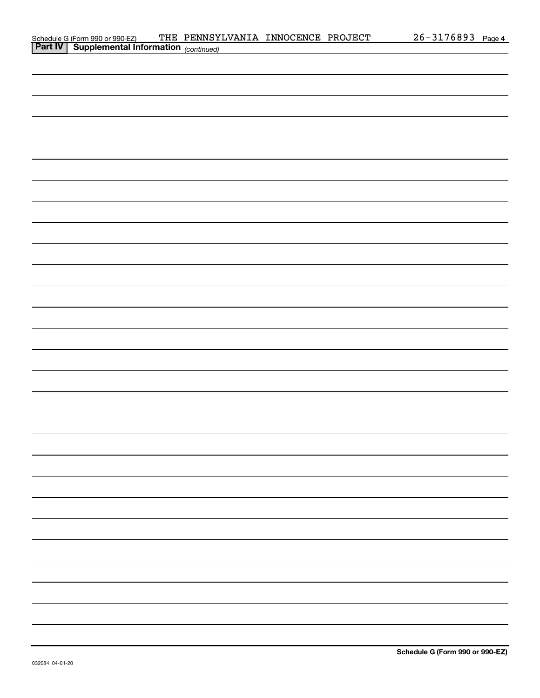| Schedule G (Form 990 or 990-EZ) THE PENNSY<br><b>Part IV</b> Supplemental Information (continued) | THE PENNSYLVANIA INNOCENCE PROJECT |  | 26-3176893 Page 4 |  |
|---------------------------------------------------------------------------------------------------|------------------------------------|--|-------------------|--|
|                                                                                                   |                                    |  |                   |  |
|                                                                                                   |                                    |  |                   |  |
|                                                                                                   |                                    |  |                   |  |
|                                                                                                   |                                    |  |                   |  |
|                                                                                                   |                                    |  |                   |  |
|                                                                                                   |                                    |  |                   |  |
|                                                                                                   |                                    |  |                   |  |
|                                                                                                   |                                    |  |                   |  |
|                                                                                                   |                                    |  |                   |  |
|                                                                                                   |                                    |  |                   |  |
|                                                                                                   |                                    |  |                   |  |
|                                                                                                   |                                    |  |                   |  |
|                                                                                                   |                                    |  |                   |  |
|                                                                                                   |                                    |  |                   |  |
|                                                                                                   |                                    |  |                   |  |
|                                                                                                   |                                    |  |                   |  |
|                                                                                                   |                                    |  |                   |  |
|                                                                                                   |                                    |  |                   |  |
|                                                                                                   |                                    |  |                   |  |
|                                                                                                   |                                    |  |                   |  |
|                                                                                                   |                                    |  |                   |  |
|                                                                                                   |                                    |  |                   |  |
|                                                                                                   |                                    |  |                   |  |
|                                                                                                   |                                    |  |                   |  |
|                                                                                                   |                                    |  |                   |  |
|                                                                                                   |                                    |  |                   |  |
|                                                                                                   |                                    |  |                   |  |
|                                                                                                   |                                    |  |                   |  |
|                                                                                                   |                                    |  |                   |  |
|                                                                                                   |                                    |  |                   |  |
|                                                                                                   |                                    |  |                   |  |
|                                                                                                   |                                    |  |                   |  |
|                                                                                                   |                                    |  |                   |  |
|                                                                                                   |                                    |  |                   |  |
|                                                                                                   |                                    |  |                   |  |
|                                                                                                   |                                    |  |                   |  |
|                                                                                                   |                                    |  |                   |  |
|                                                                                                   |                                    |  |                   |  |
|                                                                                                   |                                    |  |                   |  |
|                                                                                                   |                                    |  |                   |  |
|                                                                                                   |                                    |  |                   |  |
|                                                                                                   |                                    |  |                   |  |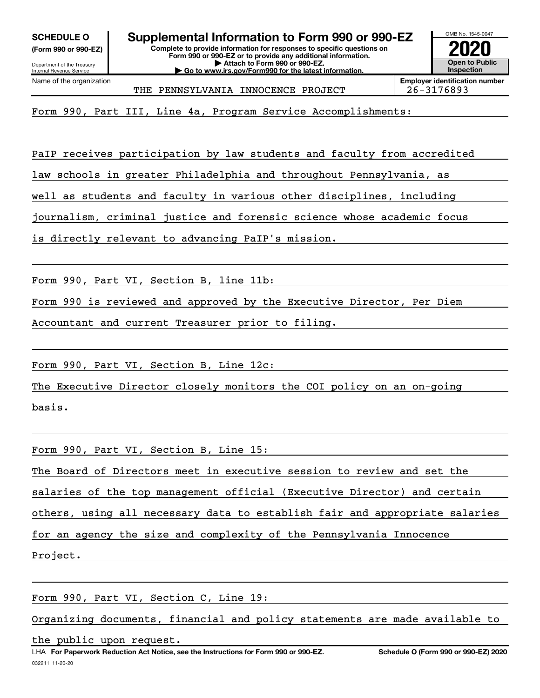(Form 990 or 990-EZ)

Department of the Treasury Internal Revenue Service Name of the organization

Complete to provide information for responses to specific questions on Form 990 or 990-EZ or to provide any additional information. SCHEDULE O  $\blacksquare$  Supplemental Information to Form 990 or 990-EZ

| Attach to Form 990 or 990-EZ. | Go to www.irs.gov/Form990 for the latest information.



THE PENNSYLVANIA INNOCENCE PROJECT 26-3176893

Employer identification number

Form 990, Part III, Line 4a, Program Service Accomplishments:

PaIP receives participation by law students and faculty from accredited

law schools in greater Philadelphia and throughout Pennsylvania, as

well as students and faculty in various other disciplines, including

journalism, criminal justice and forensic science whose academic focus

is directly relevant to advancing PaIP's mission.

Form 990, Part VI, Section B, line 11b:

Form 990 is reviewed and approved by the Executive Director, Per Diem

Accountant and current Treasurer prior to filing.

Form 990, Part VI, Section B, Line 12c:

The Executive Director closely monitors the COI policy on an on-going

basis.

Form 990, Part VI, Section B, Line 15:

The Board of Directors meet in executive session to review and set the

salaries of the top management official (Executive Director) and certain

others, using all necessary data to establish fair and appropriate salaries

for an agency the size and complexity of the Pennsylvania Innocence

Project.

Form 990, Part VI, Section C, Line 19:

Organizing documents, financial and policy statements are made available to

the public upon request.